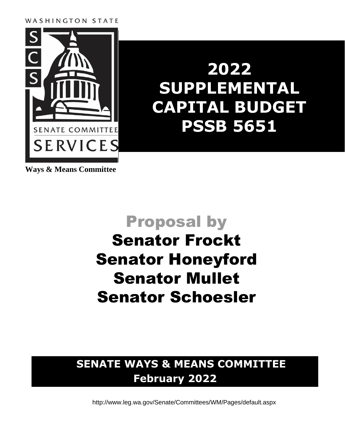### WASHINGTON STATE



# **2022 SUPPLEMENTAL CAPITAL BUDGET PSSB 5651**

**Ways & Means Committee**

## Proposal by

## Senator Frockt Senator Honeyford Senator Mullet Senator Schoesler

### **SENATE WAYS & MEANS COMMITTEE February 2022**

<http://www.leg.wa.gov/Senate/Committees/WM/Pages/default.aspx>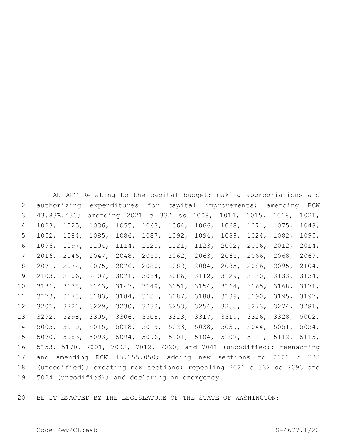AN ACT Relating to the capital budget; making appropriations and authorizing expenditures for capital improvements; amending RCW 43.83B.430; amending 2021 c 332 ss 1008, 1014, 1015, 1018, 1021, 1023, 1025, 1036, 1055, 1063, 1064, 1066, 1068, 1071, 1075, 1048, 1052, 1084, 1085, 1086, 1087, 1092, 1094, 1089, 1024, 1082, 1095, 1096, 1097, 1104, 1114, 1120, 1121, 1123, 2002, 2006, 2012, 2014, 2016, 2046, 2047, 2048, 2050, 2062, 2063, 2065, 2066, 2068, 2069, 2071, 2072, 2075, 2076, 2080, 2082, 2084, 2085, 2086, 2095, 2104, 2103, 2106, 2107, 3071, 3084, 3086, 3112, 3129, 3130, 3133, 3134, 3136, 3138, 3143, 3147, 3149, 3151, 3154, 3164, 3165, 3168, 3171, 3173, 3178, 3183, 3184, 3185, 3187, 3188, 3189, 3190, 3195, 3197, 3201, 3221, 3229, 3230, 3232, 3253, 3254, 3255, 3273, 3274, 3281, 3292, 3298, 3305, 3306, 3308, 3313, 3317, 3319, 3326, 3328, 5002, 5005, 5010, 5015, 5018, 5019, 5023, 5038, 5039, 5044, 5051, 5054, 5070, 5083, 5093, 5094, 5096, 5101, 5104, 5107, 5111, 5112, 5115, 5153, 5170, 7001, 7002, 7012, 7020, and 7041 (uncodified); reenacting and amending RCW 43.155.050; adding new sections to 2021 c 332 (uncodified); creating new sections; repealing 2021 c 332 ss 2093 and 19 5024 (uncodified); and declaring an emergency.

BE IT ENACTED BY THE LEGISLATURE OF THE STATE OF WASHINGTON: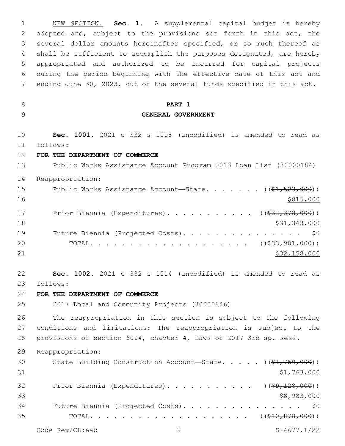NEW SECTION. **Sec. 1.** A supplemental capital budget is hereby adopted and, subject to the provisions set forth in this act, the several dollar amounts hereinafter specified, or so much thereof as shall be sufficient to accomplish the purposes designated, are hereby appropriated and authorized to be incurred for capital projects during the period beginning with the effective date of this act and ending June 30, 2023, out of the several funds specified in this act. **PART 1 GENERAL GOVERNMENT Sec. 1001.** 2021 c 332 s 1008 (uncodified) is amended to read as follows: 11 **FOR THE DEPARTMENT OF COMMERCE** Public Works Assistance Account Program 2013 Loan List (30000184) Reappropriation: 15 Public Works Assistance Account—State. . . . . . ((\$1,523,000)) \$815,000 17 Prior Biennia (Expenditures). . . . . . . . . . ((\$32,378,000))  $\frac{18}{31,343,000}$ 19 Future Biennia (Projected Costs). . . . . . . . . . . . . . \$0 20 TOTAL. . . . . . . . . . . . . . . . . . ((\$33,901,000)) 21 \$32,158,000 **Sec. 1002.** 2021 c 332 s 1014 (uncodified) is amended to read as follows: 23 **FOR THE DEPARTMENT OF COMMERCE** 2017 Local and Community Projects (30000846) The reappropriation in this section is subject to the following conditions and limitations: The reappropriation is subject to the provisions of section 6004, chapter 4, Laws of 2017 3rd sp. sess. Reappropriation: 30 State Building Construction Account—State. . . . . ((\$1,750,000))  $$1,763,000$ 32 Prior Biennia (Expenditures). . . . . . . . . . ((\$9,128,000)) \$8,983,000 Future Biennia (Projected Costs). . . . . . . . . . . . . . . \$0 TOTAL. . . . . . . . . . . . . . . . . . . . ((\$10,878,000))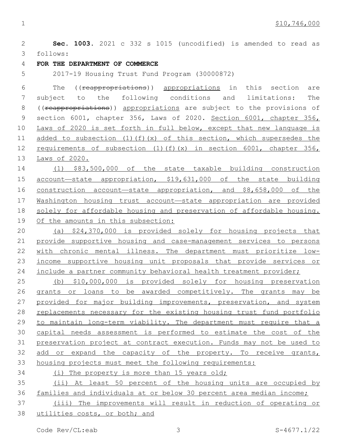**Sec. 1003.** 2021 c 332 s 1015 (uncodified) is amended to read as follows: 3 **FOR THE DEPARTMENT OF COMMERCE** 2017-19 Housing Trust Fund Program (30000872) The ((reappropriations)) appropriations in this section are subject to the following conditions and limitations: The 8 ((reappropriations)) appropriations are subject to the provisions of 9 section 6001, chapter 356, Laws of 2020. Section 6001, chapter 356, Laws of 2020 is set forth in full below, except that new language is 11 added to subsection  $(1)(f)(x)$  of this section, which supersedes the 12 requirements of subsection (1)(f)(x) in section 6001, chapter 356, Laws of 2020. (1) \$83,500,000 of the state taxable building construction account—state appropriation, \$19,631,000 of the state building 16 construction account—state appropriation, and \$8,658,000 of the Washington housing trust account—state appropriation are provided solely for affordable housing and preservation of affordable housing. Of the amounts in this subsection: (a) \$24,370,000 is provided solely for housing projects that provide supportive housing and case-management services to persons with chronic mental illness. The department must prioritize low- income supportive housing unit proposals that provide services or 24 include a partner community behavioral health treatment provider; (b) \$10,000,000 is provided solely for housing preservation grants or loans to be awarded competitively. The grants may be 27 provided for major building improvements, preservation, and system replacements necessary for the existing housing trust fund portfolio to maintain long-term viability. The department must require that a capital needs assessment is performed to estimate the cost of the preservation project at contract execution. Funds may not be used to add or expand the capacity of the property. To receive grants, housing projects must meet the following requirements: (i) The property is more than 15 years old; (ii) At least 50 percent of the housing units are occupied by families and individuals at or below 30 percent area median income; (iii) The improvements will result in reduction of operating or utilities costs, or both; and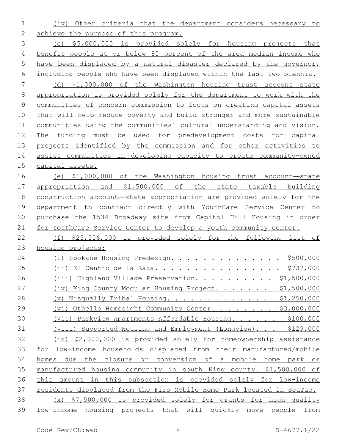(iv) Other criteria that the department considers necessary to 2 achieve the purpose of this program.

 (c) \$5,000,000 is provided solely for housing projects that benefit people at or below 80 percent of the area median income who have been displaced by a natural disaster declared by the governor, including people who have been displaced within the last two biennia.

 (d) \$1,000,000 of the Washington housing trust account—state appropriation is provided solely for the department to work with the communities of concern commission to focus on creating capital assets that will help reduce poverty and build stronger and more sustainable communities using the communities' cultural understanding and vision. The funding must be used for predevelopment costs for capital projects identified by the commission and for other activities to assist communities in developing capacity to create community-owned capital assets.

 (e) \$1,000,000 of the Washington housing trust account—state appropriation and \$1,500,000 of the state taxable building construction account—state appropriation are provided solely for the department to contract directly with YouthCare Service Center to purchase the 1534 Broadway site from Capitol Hill Housing in order for YouthCare Service Center to develop a youth community center.

 (f) \$25,506,000 is provided solely for the following list of housing projects:

| 24 | Spokane Housing Predesign. \$500,000<br>(i)                            |
|----|------------------------------------------------------------------------|
| 25 | <u> El Centro de la Raza. \$737,000</u><br>(i)                         |
| 26 | (iii) Highland Village Preservation. \$1,500,000                       |
| 27 | (iv) King County Modular Housing Project. \$1,500,000                  |
| 28 | (v) Nisqually Tribal Housing. \$1,250,000                              |
| 29 | Othello Homesight Community Center. \$3,000,000<br>(vi)                |
| 30 | (vii) Parkview Apartments Affordable Housing. \$100,000                |
| 31 | Supported Housing and Employment (Longview). \$129,000<br>(viii)       |
| 32 | (ix) \$2,000,000 is provided solely for homeownership assistance       |
| 33 | for low-income households displaced from their manufactured/mobile     |
| 34 | the closure or conversion of a mobile home park or<br>due<br>homes     |
| 35 | manufactured housing community in south King county. \$1,500,000 of    |
| 36 | in this subsection is provided solely for low-income<br>this<br>amount |
| 37 | residents displaced from the Firs Mobile Home Park located in SeaTac.  |
| 38 | \$7,500,000 is provided solely for grants for high quality<br>(x)      |
| 39 | low-income housing projects that will quickly move people from         |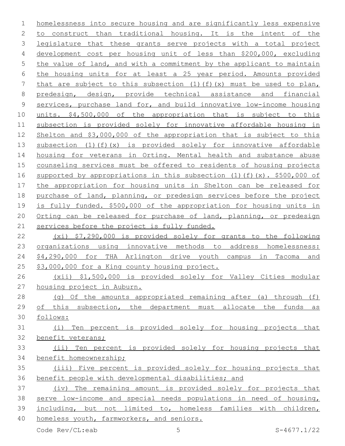homelessness into secure housing and are significantly less expensive to construct than traditional housing. It is the intent of the 3 legislature that these grants serve projects with a total project development cost per housing unit of less than \$200,000, excluding 5 the value of land, and with a commitment by the applicant to maintain the housing units for at least a 25 year period. Amounts provided 7 that are subject to this subsection  $(1)(f)(x)$  must be used to plan, predesign, design, provide technical assistance and financial services, purchase land for, and build innovative low-income housing units. \$4,500,000 of the appropriation that is subject to this subsection is provided solely for innovative affordable housing in Shelton and \$3,000,000 of the appropriation that is subject to this subsection (1)(f)(x) is provided solely for innovative affordable housing for veterans in Orting. Mental health and substance abuse 15 counseling services must be offered to residents of housing projects supported by appropriations in this subsection (1)(f)(x). \$500,000 of the appropriation for housing units in Shelton can be released for 18 purchase of land, planning, or predesign services before the project is fully funded. \$500,000 of the appropriation for housing units in Orting can be released for purchase of land, planning, or predesign 21 services before the project is fully funded. (xi) \$7,290,000 is provided solely for grants to the following 23 organizations using innovative methods to address homelessness: \$4,290,000 for THA Arlington drive youth campus in Tacoma and \$3,000,000 for a King county housing project. (xii) \$1,500,000 is provided solely for Valley Cities modular housing project in Auburn.

 (g) Of the amounts appropriated remaining after (a) through (f) of this subsection, the department must allocate the funds as follows:

 (i) Ten percent is provided solely for housing projects that benefit veterans;

### (ii) Ten percent is provided solely for housing projects that benefit homeownership;

 (iii) Five percent is provided solely for housing projects that benefit people with developmental disabilities; and

 (iv) The remaining amount is provided solely for projects that serve low-income and special needs populations in need of housing, including, but not limited to, homeless families with children, homeless youth, farmworkers, and seniors.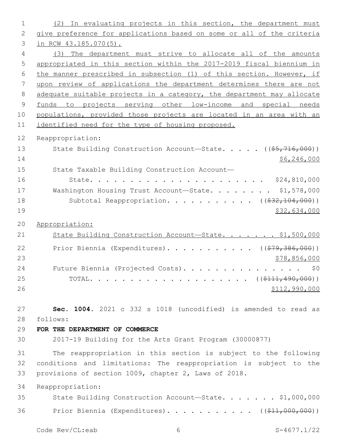| 1              | (2) In evaluating projects in this section, the department must       |
|----------------|-----------------------------------------------------------------------|
| $\mathbf{2}$   | give preference for applications based on some or all of the criteria |
| 3              | in RCW 43.185.070(5).                                                 |
| 4              | (3) The department must strive to allocate all of the amounts         |
| 5              | appropriated in this section within the 2017-2019 fiscal biennium in  |
| 6              | the manner prescribed in subsection (1) of this section. However, if  |
| 7              | upon review of applications the department determines there are not   |
| 8              | adequate suitable projects in a category, the department may allocate |
| $\overline{9}$ | funds to projects serving other low-income and special needs          |
| 10             | populations, provided those projects are located in an area with an   |
| 11             | identified need for the type of housing proposed.                     |
| 12             | Reappropriation:                                                      |
| 13             | State Building Construction Account-State. ((\$5,716,000))            |
| 14             | \$6, 246, 000                                                         |
| 15             | State Taxable Building Construction Account-                          |
| 16             |                                                                       |
| 17             | Washington Housing Trust Account-State. \$1,578,000                   |
| 18             | Subtotal Reappropriation. ( $(\frac{232,104,000}{2})$ )               |
| 19             | \$32,634,000                                                          |
| 20             | Appropriation:                                                        |
| 21             | State Building Construction Account-State. \$1,500,000                |
|                |                                                                       |
| 22             | Prior Biennia (Expenditures). ( $(\frac{279}{36000})$ )               |
| 23<br>24       | \$78,856,000                                                          |
| 25             | Future Biennia (Projected Costs).<br>\$0                              |
| 26             | \$112,990,000                                                         |
|                |                                                                       |
| 27             | Sec. 1004. 2021 c 332 s 1018 (uncodified) is amended to read as       |
| 28             | follows:                                                              |
| 29             | FOR THE DEPARTMENT OF COMMERCE                                        |
| 30             | 2017-19 Building for the Arts Grant Program (30000877)                |
|                |                                                                       |
| 31             | The reappropriation in this section is subject to the following       |
| 32             | conditions and limitations: The reappropriation is subject to the     |
| 33             | provisions of section 1009, chapter 2, Laws of 2018.                  |
| 34             | Reappropriation:                                                      |
| 35             | State Building Construction Account-State. \$1,000,000                |
| 36             | Prior Biennia (Expenditures). ( $(\frac{11}{611}, 000, 000)$ )        |
|                | Code Rev/CL:eab<br>$S-4677.1/22$<br>6                                 |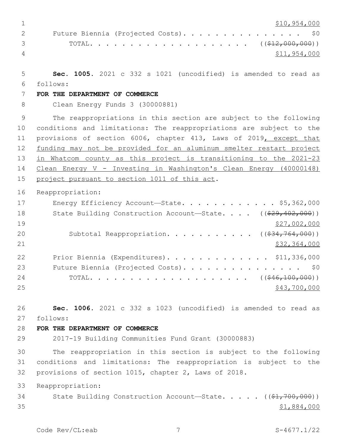\$10,954,000 2 Future Biennia (Projected Costs). . . . . . . . . . . . . . \$0 3 TOTAL. . . . . . . . . . . . . . . . . . (  $(\frac{212,000,000)}{12,000,000})$  \$11,954,000 **Sec. 1005.** 2021 c 332 s 1021 (uncodified) is amended to read as follows: 6 **FOR THE DEPARTMENT OF COMMERCE** Clean Energy Funds 3 (30000881) The reappropriations in this section are subject to the following conditions and limitations: The reappropriations are subject to the provisions of section 6006, chapter 413, Laws of 2019, except that 12 funding may not be provided for an aluminum smelter restart project in Whatcom county as this project is transitioning to the 2021-23 Clean Energy V - Investing in Washington's Clean Energy (40000148) 15 project pursuant to section 1011 of this act. Reappropriation: 17 Energy Efficiency Account—State. . . . . . . . . . . \$5,362,000 18 State Building Construction Account—State. . . . ((\$29,402,000)) \$27,002,000 20 Subtotal Reappropriation. . . . . . . . . . ((\$34,764,000)) \$32,364,000 Prior Biennia (Expenditures). . . . . . . . . . . . . \$11,336,000 23 Future Biennia (Projected Costs). . . . . . . . . . . . . . \$0 24 TOTAL. . . . . . . . . . . . . . . . . . (  $(\frac{646,100,000)}{100,000})$  \$43,700,000 **Sec. 1006.** 2021 c 332 s 1023 (uncodified) is amended to read as follows: 27 **FOR THE DEPARTMENT OF COMMERCE** 2017-19 Building Communities Fund Grant (30000883) The reappropriation in this section is subject to the following conditions and limitations: The reappropriation is subject to the provisions of section 1015, chapter 2, Laws of 2018. Reappropriation: 34 State Building Construction Account—State. . . . . ((\$1,700,000)) \$1,884,000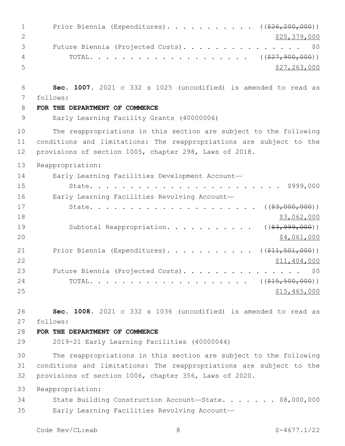| $\mathbf 1$  | Prior Biennia (Expenditures). ((\$26,200,000))                                                                                |
|--------------|-------------------------------------------------------------------------------------------------------------------------------|
| $\mathbf{2}$ | \$25,379,000                                                                                                                  |
| 3            | Future Biennia (Projected Costs).<br>\$0                                                                                      |
| 4            |                                                                                                                               |
| 5            | \$27, 263, 000                                                                                                                |
| 6            | Sec. 1007. 2021 c 332 s 1025 (uncodified) is amended to read as                                                               |
| 7            | follows:                                                                                                                      |
| 8            | FOR THE DEPARTMENT OF COMMERCE                                                                                                |
| 9            | Early Learning Facility Grants (40000006)                                                                                     |
| 10           | The reappropriations in this section are subject to the following                                                             |
| 11<br>12     | conditions and limitations: The reappropriations are subject to the<br>provisions of section 1005, chapter 298, Laws of 2018. |
| 13           | Reappropriation:                                                                                                              |
| 14           | Early Learning Facilities Development Account-                                                                                |
| 15           | \$999,000                                                                                                                     |
| 16           | Early Learning Facilities Revolving Account-                                                                                  |
| 17           | $($ $($ $\frac{63,000,000}{2})$ $)$<br>State.                                                                                 |
| 18           | \$3,062,000                                                                                                                   |
| 19           | Subtotal Reappropriation.<br>$($ (\$3,999,000))                                                                               |
| 20           | \$4,061,000                                                                                                                   |
| 21           | Prior Biennia (Expenditures). ( $(\frac{11}{21}, \frac{501}{100})$ )                                                          |
| 22           | \$11,404,000                                                                                                                  |
| 23           | Future Biennia (Projected Costs).<br>\$0                                                                                      |
| 24           | ( ( \$15, 500, 000) )<br>TOTAL.<br>$\mathbf{r}$ , $\mathbf{r}$ , $\mathbf{r}$ , $\mathbf{r}$ , $\mathbf{r}$ , $\mathbf{r}$    |
| 25           | \$15,465,000                                                                                                                  |
| 26           | Sec. 1008. 2021 c 332 s 1036 (uncodified) is amended to read as                                                               |
| 27           | follows:                                                                                                                      |
| 28           | FOR THE DEPARTMENT OF COMMERCE                                                                                                |
| 29           | 2019-21 Early Learning Facilities (40000044)                                                                                  |
| 30           | The reappropriations in this section are subject to the following                                                             |
| 31           | conditions and limitations: The reappropriations are subject to the                                                           |
| 32           | provisions of section 1006, chapter 356, Laws of 2020.                                                                        |
| 33           | Reappropriation:                                                                                                              |
| 34           | State Building Construction Account-State. \$8,000,000                                                                        |
| 35           | Early Learning Facilities Revolving Account-                                                                                  |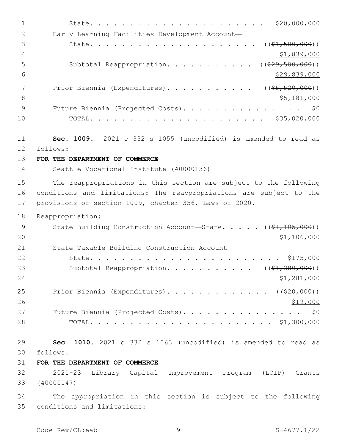| $\mathbf 1$    | \$20,000,000                                                                     |
|----------------|----------------------------------------------------------------------------------|
| $\mathbf{2}$   | Early Learning Facilities Development Account-                                   |
| 3              | $((\$1,500,000))$<br>State.                                                      |
| $\overline{4}$ | \$1,839,000                                                                      |
| 5              | ( ( \$29, 500, 000) )<br>Subtotal Reappropriation.                               |
| 6              | \$29,839,000                                                                     |
| 7              | Prior Biennia (Expenditures).<br>$($ $($ $$5, 520, 000)$ $)$                     |
| $\,8\,$        | \$5,181,000                                                                      |
| 9              | Future Biennia (Projected Costs).<br>\$0                                         |
| 10             | \$35,020,000<br>TOTAL.<br>$\mathbf{r}$ , and the state of the state $\mathbf{r}$ |
| 11             | Sec. 1009. 2021 c 332 s 1055 (uncodified) is amended to read as                  |
| 12             | follows:                                                                         |
| 13             | FOR THE DEPARTMENT OF COMMERCE                                                   |
| 14             | Seattle Vocational Institute (40000136)                                          |
| 15             | The reappropriations in this section are subject to the following                |
| 16             | conditions and limitations: The reappropriations are subject to the              |
| 17             | provisions of section 1009, chapter 356, Laws of 2020.                           |
| 18             | Reappropriation:                                                                 |
| 19             | State Building Construction Account-State. $($ $(*1, 105, 000))$                 |
| 20             | \$1,106,000                                                                      |
| 21             | State Taxable Building Construction Account-                                     |
| 22             | \$175,000<br>State.                                                              |
| 23             | ( ( \$1, 280, 000) )<br>Subtotal Reappropriation.                                |
| 24             | \$1,281,000                                                                      |
| 25             | Prior Biennia (Expenditures). ( $(\frac{20}{100})$ )                             |
| 26             | \$19,000                                                                         |
| 27             | Future Biennia (Projected Costs). \$0                                            |
| 28             |                                                                                  |
| 29             | Sec. 1010. 2021 c 332 s 1063 (uncodified) is amended to read as                  |
| 30             | follows:                                                                         |
| 31             | FOR THE DEPARTMENT OF COMMERCE                                                   |
| 32             | 2021-23 Library Capital Improvement Program (LCIP) Grants                        |
| 33             | (40000147)                                                                       |
| 34             | The appropriation in this section is subject to the following                    |
| 35             | conditions and limitations:                                                      |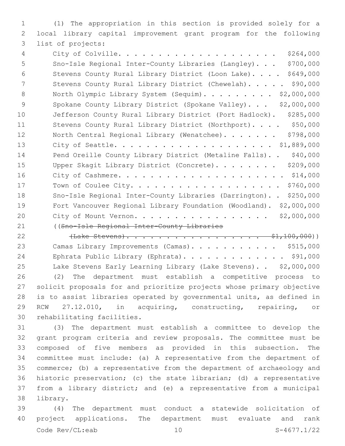(1) The appropriation in this section is provided solely for a local library capital improvement grant program for the following 3 list of projects:

 City of Colville. . . . . . . . . . . . . . . . . . . . \$264,000 Sno-Isle Regional Inter-County Libraries (Langley). . . \$700,000 Stevens County Rural Library District (Loon Lake). . . . \$649,000 7 Stevens County Rural Library District (Chewelah). . . . . \$90,000 8 North Olympic Library System (Sequim). . . . . . . . \$2,000,000 9 Spokane County Library District (Spokane Valley)... \$2,000,000 Jefferson County Rural Library District (Port Hadlock). \$285,000 11 Stevens County Rural Library District (Northport).... \$50,000 12 North Central Regional Library (Wenatchee)....... \$798,000 City of Seattle. . . . . . . . . . . . . . . . . . . . \$1,889,000 14 Pend Oreille County Library District (Metaline Falls).. \$40,000 15 Upper Skagit Library District (Concrete). . . . . . . \$209,000 City of Cashmere. . . . . . . . . . . . . . . . . . . . . \$14,000 Town of Coulee City. . . . . . . . . . . . . . . . . . . \$760,000 Sno-Isle Regional Inter-County Libraries (Darrington). . \$250,000 Fort Vancouver Regional Library Foundation (Woodland). \$2,000,000 City of Mount Vernon. . . . . . . . . . . . . . . . . \$2,000,000 ((Sno-Isle Regional Inter-County Libraries

22 (Lake Stevens). . . . . . . . . . . . . . . . . \$1,100,000) 23 Camas Library Improvements (Camas). . . . . . . . . . \$515,000 Ephrata Public Library (Ephrata). . . . . . . . . . . . . \$91,000 Lake Stevens Early Learning Library (Lake Stevens). . \$2,000,000 (2) The department must establish a competitive process to solicit proposals for and prioritize projects whose primary objective is to assist libraries operated by governmental units, as defined in RCW 27.12.010, in acquiring, constructing, repairing, or 30 rehabilitating facilities.

 (3) The department must establish a committee to develop the grant program criteria and review proposals. The committee must be composed of five members as provided in this subsection. The committee must include: (a) A representative from the department of commerce; (b) a representative from the department of archaeology and historic preservation; (c) the state librarian; (d) a representative from a library district; and (e) a representative from a municipal 38 library.

 (4) The department must conduct a statewide solicitation of project applications. The department must evaluate and rank Code Rev/CL:eab 10 S-4677.1/22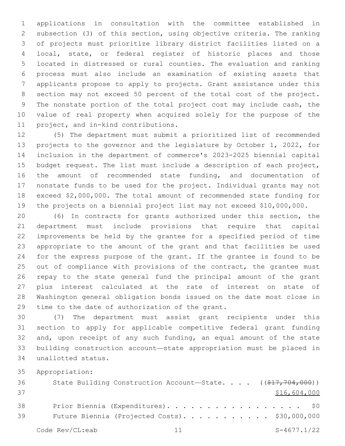applications in consultation with the committee established in subsection (3) of this section, using objective criteria. The ranking of projects must prioritize library district facilities listed on a local, state, or federal register of historic places and those located in distressed or rural counties. The evaluation and ranking process must also include an examination of existing assets that applicants propose to apply to projects. Grant assistance under this section may not exceed 50 percent of the total cost of the project. The nonstate portion of the total project cost may include cash, the value of real property when acquired solely for the purpose of the 11 project, and in-kind contributions.

 (5) The department must submit a prioritized list of recommended projects to the governor and the legislature by October 1, 2022, for inclusion in the department of commerce's 2023-2025 biennial capital budget request. The list must include a description of each project, the amount of recommended state funding, and documentation of nonstate funds to be used for the project. Individual grants may not exceed \$2,000,000. The total amount of recommended state funding for the projects on a biennial project list may not exceed \$10,000,000.

 (6) In contracts for grants authorized under this section, the department must include provisions that require that capital improvements be held by the grantee for a specified period of time appropriate to the amount of the grant and that facilities be used for the express purpose of the grant. If the grantee is found to be 25 out of compliance with provisions of the contract, the grantee must repay to the state general fund the principal amount of the grant plus interest calculated at the rate of interest on state of Washington general obligation bonds issued on the date most close in 29 time to the date of authorization of the grant.

 (7) The department must assist grant recipients under this section to apply for applicable competitive federal grant funding and, upon receipt of any such funding, an equal amount of the state building construction account—state appropriation must be placed in unallotted status.34

Appropriation:

| 36 | State Building Construction Account-State. $($ $($ $\frac{217}{772}$ , $704$ , $000)$ ) |
|----|-----------------------------------------------------------------------------------------|
| 37 | \$16,604,000                                                                            |
| 38 | Prior Biennia (Expenditures). \$0                                                       |
| 39 | Future Biennia (Projected Costs). \$30,000,000                                          |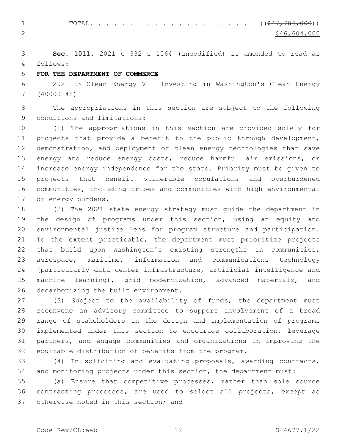1 TOTAL. . . . . . . . . . . . . . . . . . (  $(\frac{247, 704, 000}{5})$ 2  $\frac{$46,604,000}{ }$ 

 **Sec. 1011.** 2021 c 332 s 1064 (uncodified) is amended to read as follows: 4

### **FOR THE DEPARTMENT OF COMMERCE**

 2021-23 Clean Energy V - Investing in Washington's Clean Energy (40000148)

 The appropriations in this section are subject to the following 9 conditions and limitations:

 (1) The appropriations in this section are provided solely for projects that provide a benefit to the public through development, demonstration, and deployment of clean energy technologies that save energy and reduce energy costs, reduce harmful air emissions, or increase energy independence for the state. Priority must be given to projects that benefit vulnerable populations and overburdened communities, including tribes and communities with high environmental 17 or energy burdens.

 (2) The 2021 state energy strategy must guide the department in the design of programs under this section, using an equity and environmental justice lens for program structure and participation. To the extent practicable, the department must prioritize projects that build upon Washington's existing strengths in communities, aerospace, maritime, information and communications technology (particularly data center infrastructure, artificial intelligence and machine learning), grid modernization, advanced materials, and 26 decarbonizing the built environment.

 (3) Subject to the availability of funds, the department must reconvene an advisory committee to support involvement of a broad range of stakeholders in the design and implementation of programs implemented under this section to encourage collaboration, leverage partners, and engage communities and organizations in improving the equitable distribution of benefits from the program.

 (4) In soliciting and evaluating proposals, awarding contracts, and monitoring projects under this section, the department must:

 (a) Ensure that competitive processes, rather than sole source contracting processes, are used to select all projects, except as 37 otherwise noted in this section; and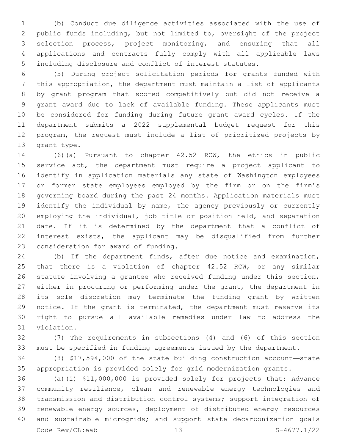(b) Conduct due diligence activities associated with the use of public funds including, but not limited to, oversight of the project selection process, project monitoring, and ensuring that all applications and contracts fully comply with all applicable laws including disclosure and conflict of interest statutes.

 (5) During project solicitation periods for grants funded with this appropriation, the department must maintain a list of applicants by grant program that scored competitively but did not receive a grant award due to lack of available funding. These applicants must be considered for funding during future grant award cycles. If the department submits a 2022 supplemental budget request for this program, the request must include a list of prioritized projects by 13 grant type.

 (6)(a) Pursuant to chapter 42.52 RCW, the ethics in public service act, the department must require a project applicant to identify in application materials any state of Washington employees or former state employees employed by the firm or on the firm's governing board during the past 24 months. Application materials must identify the individual by name, the agency previously or currently employing the individual, job title or position held, and separation date. If it is determined by the department that a conflict of interest exists, the applicant may be disqualified from further 23 consideration for award of funding.

 (b) If the department finds, after due notice and examination, 25 that there is a violation of chapter 42.52 RCW, or any similar statute involving a grantee who received funding under this section, either in procuring or performing under the grant, the department in its sole discretion may terminate the funding grant by written notice. If the grant is terminated, the department must reserve its right to pursue all available remedies under law to address the 31 violation.

 (7) The requirements in subsections (4) and (6) of this section must be specified in funding agreements issued by the department.

 (8) \$17,594,000 of the state building construction account—state appropriation is provided solely for grid modernization grants.

 (a)(i) \$11,000,000 is provided solely for projects that: Advance community resilience, clean and renewable energy technologies and transmission and distribution control systems; support integration of renewable energy sources, deployment of distributed energy resources and sustainable microgrids; and support state decarbonization goals Code Rev/CL:eab 13 S-4677.1/22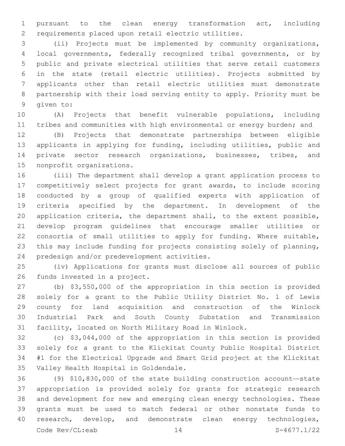pursuant to the clean energy transformation act, including requirements placed upon retail electric utilities.

 (ii) Projects must be implemented by community organizations, local governments, federally recognized tribal governments, or by public and private electrical utilities that serve retail customers in the state (retail electric utilities). Projects submitted by applicants other than retail electric utilities must demonstrate partnership with their load serving entity to apply. Priority must be 9 qiven to:

 (A) Projects that benefit vulnerable populations, including tribes and communities with high environmental or energy burden; and

 (B) Projects that demonstrate partnerships between eligible applicants in applying for funding, including utilities, public and private sector research organizations, businesses, tribes, and 15 nonprofit organizations.

 (iii) The department shall develop a grant application process to competitively select projects for grant awards, to include scoring conducted by a group of qualified experts with application of criteria specified by the department. In development of the application criteria, the department shall, to the extent possible, develop program guidelines that encourage smaller utilities or consortia of small utilities to apply for funding. Where suitable, this may include funding for projects consisting solely of planning, 24 predesign and/or predevelopment activities.

 (iv) Applications for grants must disclose all sources of public 26 funds invested in a project.

 (b) \$3,550,000 of the appropriation in this section is provided solely for a grant to the Public Utility District No. 1 of Lewis county for land acquisition and construction of the Winlock Industrial Park and South County Substation and Transmission facility, located on North Military Road in Winlock.

 (c) \$3,044,000 of the appropriation in this section is provided solely for a grant to the Klickitat County Public Hospital District #1 for the Electrical Upgrade and Smart Grid project at the Klickitat 35 Valley Health Hospital in Goldendale.

 (9) \$10,830,000 of the state building construction account—state appropriation is provided solely for grants for strategic research and development for new and emerging clean energy technologies. These grants must be used to match federal or other nonstate funds to 40 research, develop, and demonstrate clean energy technologies, Code Rev/CL:eab 14 S-4677.1/22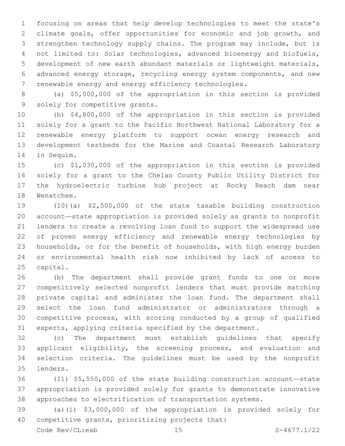focusing on areas that help develop technologies to meet the state's climate goals, offer opportunities for economic and job growth, and strengthen technology supply chains. The program may include, but is not limited to: Solar technologies, advanced bioenergy and biofuels, development of new earth abundant materials or lightweight materials, advanced energy storage, recycling energy system components, and new renewable energy and energy efficiency technologies.

 (a) \$5,000,000 of the appropriation in this section is provided 9 solely for competitive grants.

 (b) \$4,800,000 of the appropriation in this section is provided solely for a grant to the Pacific Northwest National Laboratory for a renewable energy platform to support ocean energy research and development testbeds for the Marine and Coastal Research Laboratory 14 in Sequim.

 (c) \$1,030,000 of the appropriation in this section is provided solely for a grant to the Chelan County Public Utility District for the hydroelectric turbine hub project at Rocky Reach dam near 18 Wenatchee.

 (10)(a) \$2,500,000 of the state taxable building construction account—state appropriation is provided solely as grants to nonprofit lenders to create a revolving loan fund to support the widespread use of proven energy efficiency and renewable energy technologies by households, or for the benefit of households, with high energy burden or environmental health risk now inhibited by lack of access to 25 capital.

 (b) The department shall provide grant funds to one or more competitively selected nonprofit lenders that must provide matching private capital and administer the loan fund. The department shall select the loan fund administrator or administrators through a competitive process, with scoring conducted by a group of qualified experts, applying criteria specified by the department.

 (c) The department must establish guidelines that specify applicant eligibility, the screening process, and evaluation and selection criteria. The guidelines must be used by the nonprofit lenders.35

 (11) \$5,550,000 of the state building construction account—state appropriation is provided solely for grants to demonstrate innovative approaches to electrification of transportation systems.

 (a)(i) \$3,000,000 of the appropriation is provided solely for 40 competitive grants, prioritizing projects that:

Code Rev/CL:eab 15 S-4677.1/22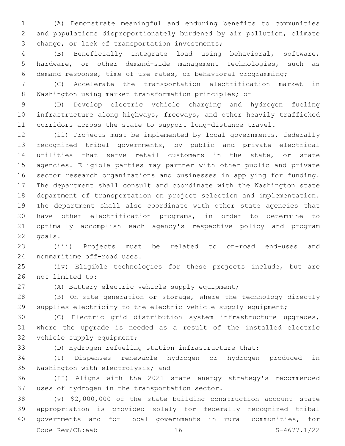(A) Demonstrate meaningful and enduring benefits to communities and populations disproportionately burdened by air pollution, climate 3 change, or lack of transportation investments;

 (B) Beneficially integrate load using behavioral, software, hardware, or other demand-side management technologies, such as demand response, time-of-use rates, or behavioral programming;

 (C) Accelerate the transportation electrification market in Washington using market transformation principles; or

 (D) Develop electric vehicle charging and hydrogen fueling infrastructure along highways, freeways, and other heavily trafficked corridors across the state to support long-distance travel.

 (ii) Projects must be implemented by local governments, federally recognized tribal governments, by public and private electrical utilities that serve retail customers in the state, or state agencies. Eligible parties may partner with other public and private sector research organizations and businesses in applying for funding. The department shall consult and coordinate with the Washington state department of transportation on project selection and implementation. The department shall also coordinate with other state agencies that have other electrification programs, in order to determine to optimally accomplish each agency's respective policy and program 22 goals.

 (iii) Projects must be related to on-road end-uses and 24 nonmaritime off-road uses.

 (iv) Eligible technologies for these projects include, but are 26 not limited to:

(A) Battery electric vehicle supply equipment;

 (B) On-site generation or storage, where the technology directly supplies electricity to the electric vehicle supply equipment;

 (C) Electric grid distribution system infrastructure upgrades, where the upgrade is needed as a result of the installed electric 32 vehicle supply equipment;

(D) Hydrogen refueling station infrastructure that:

 (I) Dispenses renewable hydrogen or hydrogen produced in 35 Washington with electrolysis; and

 (II) Aligns with the 2021 state energy strategy's recommended 37 uses of hydrogen in the transportation sector.

 (v) \$2,000,000 of the state building construction account—state appropriation is provided solely for federally recognized tribal governments and for local governments in rural communities, for Code Rev/CL:eab 16 S-4677.1/22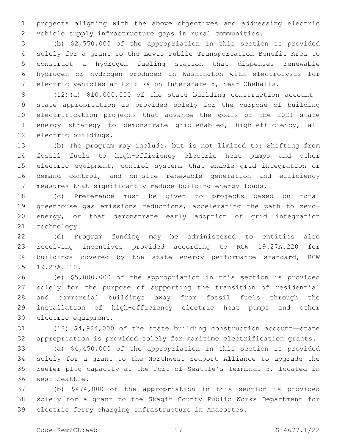projects aligning with the above objectives and addressing electric vehicle supply infrastructure gaps in rural communities.

 (b) \$2,550,000 of the appropriation in this section is provided solely for a grant to the Lewis Public Transportation Benefit Area to construct a hydrogen fueling station that dispenses renewable hydrogen or hydrogen produced in Washington with electrolysis for electric vehicles at Exit 74 on Interstate 5, near Chehalis.

 (12)(a) \$10,000,000 of the state building construction account— state appropriation is provided solely for the purpose of building electrification projects that advance the goals of the 2021 state 11 energy strategy to demonstrate grid-enabled, high-efficiency, all 12 electric buildings.

 (b) The program may include, but is not limited to: Shifting from fossil fuels to high-efficiency electric heat pumps and other electric equipment, control systems that enable grid integration or demand control, and on-site renewable generation and efficiency measures that significantly reduce building energy loads.

 (c) Preference must be given to projects based on total greenhouse gas emissions reductions, accelerating the path to zero- energy, or that demonstrate early adoption of grid integration 21 technology.

 (d) Program funding may be administered to entities also receiving incentives provided according to RCW 19.27A.220 for buildings covered by the state energy performance standard, RCW 25 19.27A.210.

 (e) \$5,000,000 of the appropriation in this section is provided solely for the purpose of supporting the transition of residential and commercial buildings away from fossil fuels through the installation of high-efficiency electric heat pumps and other 30 electric equipment.

 (13) \$4,924,000 of the state building construction account—state appropriation is provided solely for maritime electrification grants.

 (a) \$4,450,000 of the appropriation in this section is provided solely for a grant to the Northwest Seaport Alliance to upgrade the reefer plug capacity at the Port of Seattle's Terminal 5, located in 36 west Seattle.

 (b) \$474,000 of the appropriation in this section is provided solely for a grant to the Skagit County Public Works Department for electric ferry charging infrastructure in Anacortes.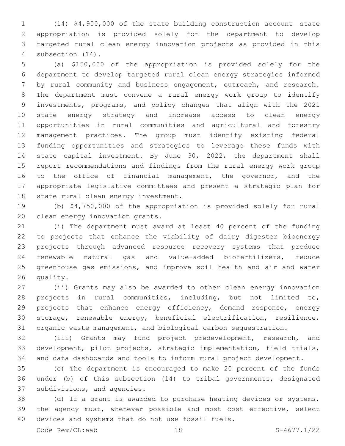(14) \$4,900,000 of the state building construction account—state appropriation is provided solely for the department to develop targeted rural clean energy innovation projects as provided in this 4 subsection  $(14)$ .

 (a) \$150,000 of the appropriation is provided solely for the department to develop targeted rural clean energy strategies informed by rural community and business engagement, outreach, and research. The department must convene a rural energy work group to identify investments, programs, and policy changes that align with the 2021 state energy strategy and increase access to clean energy opportunities in rural communities and agricultural and forestry management practices. The group must identify existing federal funding opportunities and strategies to leverage these funds with state capital investment. By June 30, 2022, the department shall report recommendations and findings from the rural energy work group 16 to the office of financial management, the governor, and the appropriate legislative committees and present a strategic plan for 18 state rural clean energy investment.

 (b) \$4,750,000 of the appropriation is provided solely for rural 20 clean energy innovation grants.

 (i) The department must award at least 40 percent of the funding to projects that enhance the viability of dairy digester bioenergy projects through advanced resource recovery systems that produce renewable natural gas and value-added biofertilizers, reduce greenhouse gas emissions, and improve soil health and air and water 26 quality.

 (ii) Grants may also be awarded to other clean energy innovation projects in rural communities, including, but not limited to, 29 projects that enhance energy efficiency, demand response, energy storage, renewable energy, beneficial electrification, resilience, organic waste management, and biological carbon sequestration.

 (iii) Grants may fund project predevelopment, research, and development, pilot projects, strategic implementation, field trials, and data dashboards and tools to inform rural project development.

 (c) The department is encouraged to make 20 percent of the funds under (b) of this subsection (14) to tribal governments, designated 37 subdivisions, and agencies.

 (d) If a grant is awarded to purchase heating devices or systems, the agency must, whenever possible and most cost effective, select 40 devices and systems that do not use fossil fuels.

Code Rev/CL:eab 18 18 S-4677.1/22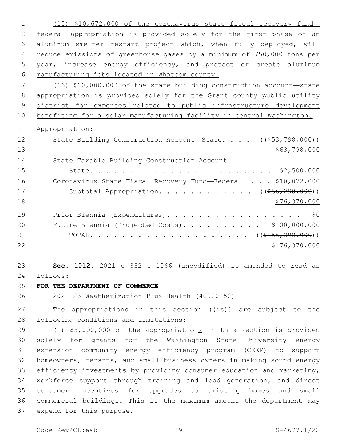(15) \$10,672,000 of the coronavirus state fiscal recovery fund— federal appropriation is provided solely for the first phase of an 3 aluminum smelter restart project which, when fully deployed, will reduce emissions of greenhouse gases by a minimum of 750,000 tons per year, increase energy efficiency, and protect or create aluminum manufacturing jobs located in Whatcom county. (16) \$10,000,000 of the state building construction account—state appropriation is provided solely for the Grant county public utility district for expenses related to public infrastructure development benefiting for a solar manufacturing facility in central Washington. Appropriation: 12 State Building Construction Account—State. . . . ((\$53,798,000)) \$63,798,000 State Taxable Building Construction Account— State. . . . . . . . . . . . . . . . . . . . . . . \$2,500,000 16 Coronavirus State Fiscal Recovery Fund—Federal. . . . \$10,072,000 17 Subtotal Appropriation. . . . . . . . . . . ((\$56,298,000)) 18 \$76,370,000 19 Prior Biennia (Expenditures). . . . . . . . . . . . . . . . \$0 Future Biennia (Projected Costs). . . . . . . . . . \$100,000,000 21 TOTAL. . . . . . . . . . . . . . . . . .  $($   $($   $\frac{298}{156}$ ,  $298$ , 000)) \$176,370,000 **Sec. 1012.** 2021 c 332 s 1066 (uncodified) is amended to read as follows: 24 **FOR THE DEPARTMENT OF COMMERCE** 2021-23 Weatherization Plus Health (40000150) 27 The appropriations in this section ((is)) are subject to the 28 following conditions and limitations: 29 (1) \$5,000,000 of the appropriations in this section is provided solely for grants for the Washington State University energy

 extension community energy efficiency program (CEEP) to support homeowners, tenants, and small business owners in making sound energy efficiency investments by providing consumer education and marketing, workforce support through training and lead generation, and direct consumer incentives for upgrades to existing homes and small commercial buildings. This is the maximum amount the department may 37 expend for this purpose.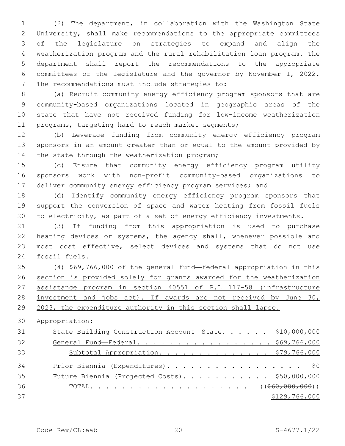(2) The department, in collaboration with the Washington State University, shall make recommendations to the appropriate committees of the legislature on strategies to expand and align the weatherization program and the rural rehabilitation loan program. The department shall report the recommendations to the appropriate committees of the legislature and the governor by November 1, 2022. 7 The recommendations must include strategies to:

 (a) Recruit community energy efficiency program sponsors that are community-based organizations located in geographic areas of the state that have not received funding for low-income weatherization programs, targeting hard to reach market segments;

 (b) Leverage funding from community energy efficiency program sponsors in an amount greater than or equal to the amount provided by 14 the state through the weatherization program;

 (c) Ensure that community energy efficiency program utility sponsors work with non-profit community-based organizations to 17 deliver community energy efficiency program services; and

 (d) Identify community energy efficiency program sponsors that support the conversion of space and water heating from fossil fuels to electricity, as part of a set of energy efficiency investments.

 (3) If funding from this appropriation is used to purchase heating devices or systems, the agency shall, whenever possible and most cost effective, select devices and systems that do not use 24 fossil fuels.

 (4) \$69,766,000 of the general fund—federal appropriation in this section is provided solely for grants awarded for the weatherization assistance program in section 40551 of P.L 117-58 (infrastructure investment and jobs act). If awards are not received by June 30, 2023, the expenditure authority in this section shall lapse.

Appropriation:

| 31 | State Building Construction Account-State. \$10,000,000 |
|----|---------------------------------------------------------|
| 32 | General Fund-Federal. \$69,766,000                      |
| 33 | Subtotal Appropriation. \$79,766,000                    |
| 34 | Prior Biennia (Expenditures). \$0                       |
| 35 | Future Biennia (Projected Costs). \$50,000,000          |
| 36 |                                                         |
| 37 | \$129,766,000                                           |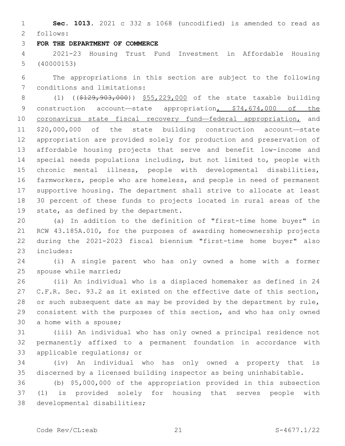**Sec. 1013.** 2021 c 332 s 1068 (uncodified) is amended to read as follows: 2

#### **FOR THE DEPARTMENT OF COMMERCE**

 2021-23 Housing Trust Fund Investment in Affordable Housing (40000153)

 The appropriations in this section are subject to the following 7 conditions and limitations:

8 (1) ((\$129,903,000)) \$55,229,000 of the state taxable building 9 construction account—state appropriation, \$74,674,000 of the 10 coronavirus state fiscal recovery fund—federal appropriation, and \$20,000,000 of the state building construction account—state appropriation are provided solely for production and preservation of affordable housing projects that serve and benefit low-income and special needs populations including, but not limited to, people with chronic mental illness, people with developmental disabilities, farmworkers, people who are homeless, and people in need of permanent supportive housing. The department shall strive to allocate at least 30 percent of these funds to projects located in rural areas of the 19 state, as defined by the department.

 (a) In addition to the definition of "first-time home buyer" in RCW 43.185A.010, for the purposes of awarding homeownership projects during the 2021-2023 fiscal biennium "first-time home buyer" also 23 includes:

 (i) A single parent who has only owned a home with a former 25 spouse while married;

 (ii) An individual who is a displaced homemaker as defined in 24 C.F.R. Sec. 93.2 as it existed on the effective date of this section, or such subsequent date as may be provided by the department by rule, consistent with the purposes of this section, and who has only owned 30 a home with a spouse;

 (iii) An individual who has only owned a principal residence not permanently affixed to a permanent foundation in accordance with 33 applicable regulations; or

 (iv) An individual who has only owned a property that is discerned by a licensed building inspector as being uninhabitable.

 (b) \$5,000,000 of the appropriation provided in this subsection (1) is provided solely for housing that serves people with 38 developmental disabilities;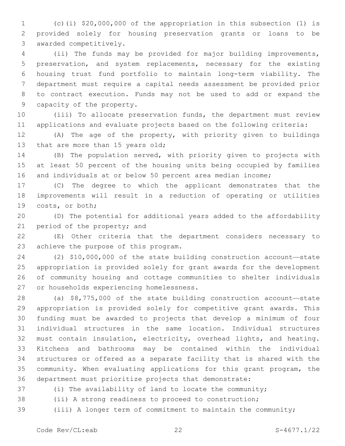(c)(i) \$20,000,000 of the appropriation in this subsection (1) is provided solely for housing preservation grants or loans to be 3 awarded competitively.

 (ii) The funds may be provided for major building improvements, preservation, and system replacements, necessary for the existing housing trust fund portfolio to maintain long-term viability. The department must require a capital needs assessment be provided prior to contract execution. Funds may not be used to add or expand the 9 capacity of the property.

 (iii) To allocate preservation funds, the department must review applications and evaluate projects based on the following criteria:

 (A) The age of the property, with priority given to buildings 13 that are more than 15 years old;

 (B) The population served, with priority given to projects with at least 50 percent of the housing units being occupied by families and individuals at or below 50 percent area median income;

 (C) The degree to which the applicant demonstrates that the improvements will result in a reduction of operating or utilities 19 costs, or both;

 (D) The potential for additional years added to the affordability 21 period of the property; and

 (E) Other criteria that the department considers necessary to 23 achieve the purpose of this program.

 (2) \$10,000,000 of the state building construction account—state appropriation is provided solely for grant awards for the development of community housing and cottage communities to shelter individuals 27 or households experiencing homelessness.

 (a) \$8,775,000 of the state building construction account—state appropriation is provided solely for competitive grant awards. This funding must be awarded to projects that develop a minimum of four individual structures in the same location. Individual structures must contain insulation, electricity, overhead lights, and heating. Kitchens and bathrooms may be contained within the individual structures or offered as a separate facility that is shared with the community. When evaluating applications for this grant program, the department must prioritize projects that demonstrate:

(i) The availability of land to locate the community;

(ii) A strong readiness to proceed to construction;

(iii) A longer term of commitment to maintain the community;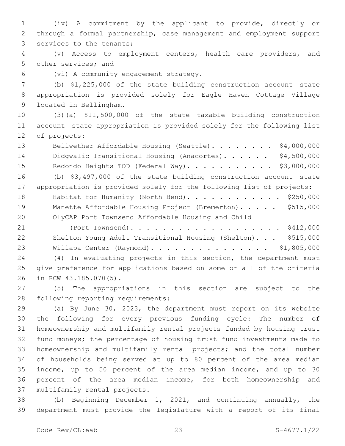(iv) A commitment by the applicant to provide, directly or through a formal partnership, case management and employment support 3 services to the tenants;

 (v) Access to employment centers, health care providers, and 5 other services; and

(vi) A community engagement strategy.6

 (b) \$1,225,000 of the state building construction account—state appropriation is provided solely for Eagle Haven Cottage Village 9 located in Bellingham.

 (3)(a) \$11,500,000 of the state taxable building construction account—state appropriation is provided solely for the following list 12 of projects:

13 Bellwether Affordable Housing (Seattle). . . . . . . \$4,000,000 14 Didgwalic Transitional Housing (Anacortes). . . . . . \$4,500,000 15 Redondo Heights TOD (Federal Way). . . . . . . . . . \$3,000,000 (b) \$3,497,000 of the state building construction account—state appropriation is provided solely for the following list of projects: 18 Habitat for Humanity (North Bend). . . . . . . . . . . \$250,000 19 Manette Affordable Housing Project (Bremerton). . . . . \$515,000 OlyCAP Port Townsend Affordable Housing and Child

 (Port Townsend). . . . . . . . . . . . . . . . . . . \$412,000 Shelton Young Adult Transitional Housing (Shelton). . . \$515,000 Willapa Center (Raymond). . . . . . . . . . . . . . . \$1,805,000

 (4) In evaluating projects in this section, the department must give preference for applications based on some or all of the criteria 26 in RCW 43.185.070(5).

 (5) The appropriations in this section are subject to the 28 following reporting requirements:

 (a) By June 30, 2023, the department must report on its website the following for every previous funding cycle: The number of homeownership and multifamily rental projects funded by housing trust fund moneys; the percentage of housing trust fund investments made to homeownership and multifamily rental projects; and the total number of households being served at up to 80 percent of the area median income, up to 50 percent of the area median income, and up to 30 percent of the area median income, for both homeownership and 37 multifamily rental projects.

 (b) Beginning December 1, 2021, and continuing annually, the department must provide the legislature with a report of its final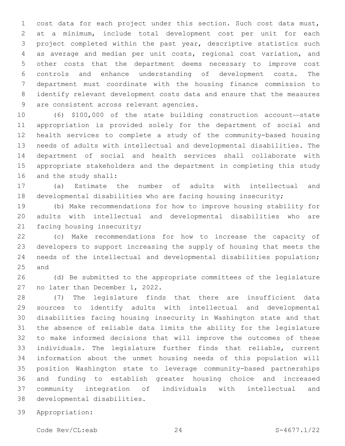cost data for each project under this section. Such cost data must, at a minimum, include total development cost per unit for each project completed within the past year, descriptive statistics such as average and median per unit costs, regional cost variation, and other costs that the department deems necessary to improve cost controls and enhance understanding of development costs. The department must coordinate with the housing finance commission to identify relevant development costs data and ensure that the measures 9 are consistent across relevant agencies.

 (6) \$100,000 of the state building construction account—state appropriation is provided solely for the department of social and health services to complete a study of the community-based housing needs of adults with intellectual and developmental disabilities. The department of social and health services shall collaborate with appropriate stakeholders and the department in completing this study 16 and the study shall:

 (a) Estimate the number of adults with intellectual and developmental disabilities who are facing housing insecurity;

 (b) Make recommendations for how to improve housing stability for adults with intellectual and developmental disabilities who are 21 facing housing insecurity;

 (c) Make recommendations for how to increase the capacity of developers to support increasing the supply of housing that meets the needs of the intellectual and developmental disabilities population; 25 and

 (d) Be submitted to the appropriate committees of the legislature 27 no later than December 1, 2022.

 (7) The legislature finds that there are insufficient data sources to identify adults with intellectual and developmental disabilities facing housing insecurity in Washington state and that the absence of reliable data limits the ability for the legislature to make informed decisions that will improve the outcomes of these individuals. The legislature further finds that reliable, current information about the unmet housing needs of this population will position Washington state to leverage community-based partnerships and funding to establish greater housing choice and increased community integration of individuals with intellectual and 38 developmental disabilities.

Appropriation:

Code Rev/CL:eab 24 S-4677.1/22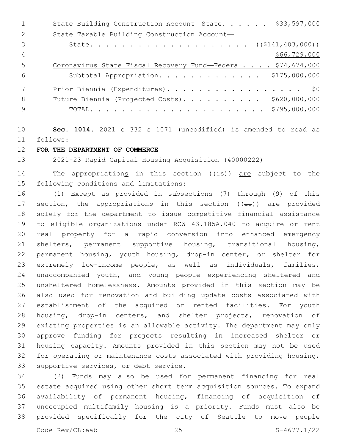|               | \$33,597,000<br>State Building Construction Account-State.   |
|---------------|--------------------------------------------------------------|
| $\mathcal{L}$ | State Taxable Building Construction Account-                 |
| 3             |                                                              |
| 4             | \$66,729,000                                                 |
| .5            | Coronavirus State Fiscal Recovery Fund-Federal. \$74,674,000 |
| 6             | Subtotal Appropriation. \$175,000,000                        |
|               | Prior Biennia (Expenditures). \$0                            |
| 8             | Future Biennia (Projected Costs). \$620,000,000              |
| 9             |                                                              |

 **Sec. 1014.** 2021 c 332 s 1071 (uncodified) is amended to read as follows: 11

**FOR THE DEPARTMENT OF COMMERCE**

2021-23 Rapid Capital Housing Acquisition (40000222)

14 The appropriations in this section  $((\pm s))$  are subject to the 15 following conditions and limitations:

 (1) Except as provided in subsections (7) through (9) of this 17 section, the appropriations in this section ((is)) are provided solely for the department to issue competitive financial assistance to eligible organizations under RCW 43.185A.040 to acquire or rent real property for a rapid conversion into enhanced emergency shelters, permanent supportive housing, transitional housing, permanent housing, youth housing, drop-in center, or shelter for extremely low-income people, as well as individuals, families, unaccompanied youth, and young people experiencing sheltered and unsheltered homelessness. Amounts provided in this section may be also used for renovation and building update costs associated with establishment of the acquired or rented facilities. For youth housing, drop-in centers, and shelter projects, renovation of existing properties is an allowable activity. The department may only approve funding for projects resulting in increased shelter or housing capacity. Amounts provided in this section may not be used for operating or maintenance costs associated with providing housing, 33 supportive services, or debt service.

 (2) Funds may also be used for permanent financing for real estate acquired using other short term acquisition sources. To expand availability of permanent housing, financing of acquisition of unoccupied multifamily housing is a priority. Funds must also be provided specifically for the city of Seattle to move people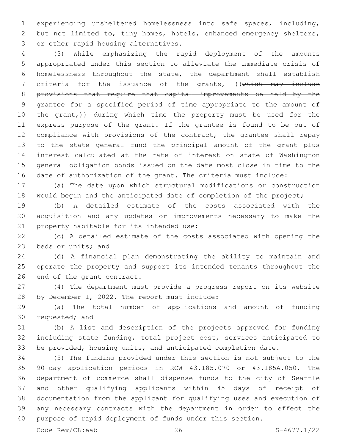experiencing unsheltered homelessness into safe spaces, including, but not limited to, tiny homes, hotels, enhanced emergency shelters, 3 or other rapid housing alternatives.

 (3) While emphasizing the rapid deployment of the amounts appropriated under this section to alleviate the immediate crisis of homelessness throughout the state, the department shall establish 7 criteria for the issuance of the grants, ((which may include provisions that require that capital improvements be held by the grantee for a specified period of time appropriate to the amount of  $the$   $q$ rant,)) during which time the property must be used for the express purpose of the grant. If the grantee is found to be out of compliance with provisions of the contract, the grantee shall repay to the state general fund the principal amount of the grant plus interest calculated at the rate of interest on state of Washington general obligation bonds issued on the date most close in time to the date of authorization of the grant. The criteria must include:

 (a) The date upon which structural modifications or construction 18 would begin and the anticipated date of completion of the project;

 (b) A detailed estimate of the costs associated with the acquisition and any updates or improvements necessary to make the 21 property habitable for its intended use;

 (c) A detailed estimate of the costs associated with opening the 23 beds or units; and

 (d) A financial plan demonstrating the ability to maintain and operate the property and support its intended tenants throughout the 26 end of the grant contract.

 (4) The department must provide a progress report on its website 28 by December 1, 2022. The report must include:

 (a) The total number of applications and amount of funding 30 requested; and

 (b) A list and description of the projects approved for funding including state funding, total project cost, services anticipated to be provided, housing units, and anticipated completion date.

 (5) The funding provided under this section is not subject to the 90-day application periods in RCW 43.185.070 or 43.185A.050. The department of commerce shall dispense funds to the city of Seattle and other qualifying applicants within 45 days of receipt of documentation from the applicant for qualifying uses and execution of any necessary contracts with the department in order to effect the purpose of rapid deployment of funds under this section.

Code Rev/CL:eab 26 S-4677.1/22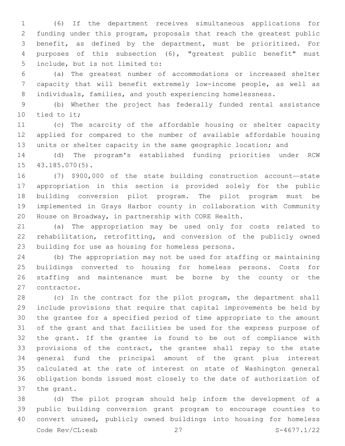(6) If the department receives simultaneous applications for funding under this program, proposals that reach the greatest public benefit, as defined by the department, must be prioritized. For purposes of this subsection (6), "greatest public benefit" must 5 include, but is not limited to:

 (a) The greatest number of accommodations or increased shelter capacity that will benefit extremely low-income people, as well as 8 individuals, families, and youth experiencing homelessness.

 (b) Whether the project has federally funded rental assistance 10 tied to it;

 (c) The scarcity of the affordable housing or shelter capacity applied for compared to the number of available affordable housing units or shelter capacity in the same geographic location; and

 (d) The program's established funding priorities under RCW 15 43.185.070(5).

 (7) \$900,000 of the state building construction account—state appropriation in this section is provided solely for the public building conversion pilot program. The pilot program must be implemented in Grays Harbor county in collaboration with Community House on Broadway, in partnership with CORE Health.

 (a) The appropriation may be used only for costs related to rehabilitation, retrofitting, and conversion of the publicly owned 23 building for use as housing for homeless persons.

 (b) The appropriation may not be used for staffing or maintaining buildings converted to housing for homeless persons. Costs for staffing and maintenance must be borne by the county or the 27 contractor.

 (c) In the contract for the pilot program, the department shall include provisions that require that capital improvements be held by the grantee for a specified period of time appropriate to the amount of the grant and that facilities be used for the express purpose of the grant. If the grantee is found to be out of compliance with provisions of the contract, the grantee shall repay to the state general fund the principal amount of the grant plus interest calculated at the rate of interest on state of Washington general obligation bonds issued most closely to the date of authorization of 37 the grant.

 (d) The pilot program should help inform the development of a public building conversion grant program to encourage counties to convert unused, publicly owned buildings into housing for homeless Code Rev/CL:eab 27 S-4677.1/22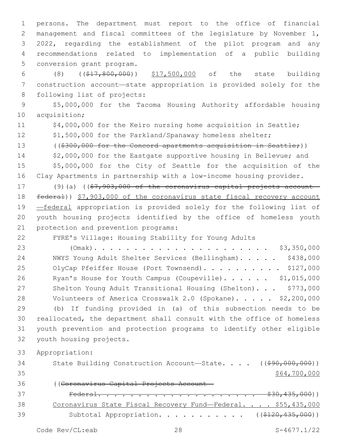persons. The department must report to the office of financial management and fiscal committees of the legislature by November 1, 2022, regarding the establishment of the pilot program and any recommendations related to implementation of a public building 5 conversion grant program.

6 (8) ((\$17,800,000)) \$17,500,000 of the state building 7 construction account—state appropriation is provided solely for the 8 following list of projects:

9 \$5,000,000 for the Tacoma Housing Authority affordable housing 10 acquisition;

11 \$4,000,000 for the Keiro nursing home acquisition in Seattle;

12 \$1,500,000 for the Parkland/Spanaway homeless shelter;

13 ((\$300,000 for the Concord apartments acquisition in Seattle;))

14 \$2,000,000 for the Eastgate supportive housing in Bellevue; and 15 \$5,000,000 for the City of Seattle for the acquisition of the 16 Clay Apartments in partnership with a low-income housing provider.

17 (9)(a) ((\$7,903,000 of the coronavirus capital projects account-18 federal)) \$7,903,000 of the coronavirus state fiscal recovery account 19 —federal appropriation is provided solely for the following list of 20 youth housing projects identified by the office of homeless youth 21 protection and prevention programs:

22 FYRE's Village: Housing Stability for Young Adults

23 (Omak). . . . . . . . . . . . . . . . . . . . . . \$3,350,000 24 NWYS Young Adult Shelter Services (Bellingham). . . . . \$438,000 25 OlyCap Pfeiffer House (Port Townsend). . . . . . . . . \$127,000 26 Ryan's House for Youth Campus (Coupeville)...... \$1,015,000 27 Shelton Young Adult Transitional Housing (Shelton)... \$773,000 28 Volunteers of America Crosswalk 2.0 (Spokane). . . . . \$2,200,000 29 (b) If funding provided in (a) of this subsection needs to be 30 reallocated, the department shall consult with the office of homeless 31 youth prevention and protection programs to identify other eligible 32 vouth housing projects.

33 Appropriation:

34 State Building Construction Account—State. . . . ((\$90,000,000))  $35$  \$64,700,000 36 ((Coronavirus Capital Projects Account— 37 Federal. . . . . . . . . . . . . . . . . . . . \$30,435,000)) 38 Coronavirus State Fiscal Recovery Fund—Federal. . . . \$55,435,000 39 Subtotal Appropriation. . . . . . . . . . ((\$120,435,000))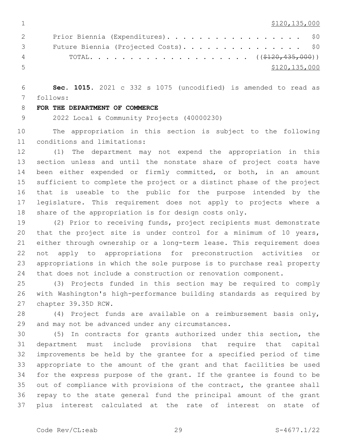$1 \quad$  \$120,135,000

| $\mathbf{2}$                    | Prior Biennia (Expenditures). \$0 |               |
|---------------------------------|-----------------------------------|---------------|
| $\mathcal{S}$ and $\mathcal{S}$ |                                   |               |
| $\sim$ 4                        |                                   |               |
| $\sim$                          |                                   | \$120,135,000 |

 **Sec. 1015.** 2021 c 332 s 1075 (uncodified) is amended to read as follows: 7

#### **FOR THE DEPARTMENT OF COMMERCE**

2022 Local & Community Projects (40000230)

 The appropriation in this section is subject to the following 11 conditions and limitations:

 (1) The department may not expend the appropriation in this section unless and until the nonstate share of project costs have been either expended or firmly committed, or both, in an amount sufficient to complete the project or a distinct phase of the project that is useable to the public for the purpose intended by the legislature. This requirement does not apply to projects where a share of the appropriation is for design costs only.

 (2) Prior to receiving funds, project recipients must demonstrate that the project site is under control for a minimum of 10 years, either through ownership or a long-term lease. This requirement does not apply to appropriations for preconstruction activities or appropriations in which the sole purpose is to purchase real property that does not include a construction or renovation component.

 (3) Projects funded in this section may be required to comply with Washington's high-performance building standards as required by 27 chapter 39.35D RCW.

 (4) Project funds are available on a reimbursement basis only, 29 and may not be advanced under any circumstances.

 (5) In contracts for grants authorized under this section, the department must include provisions that require that capital improvements be held by the grantee for a specified period of time appropriate to the amount of the grant and that facilities be used for the express purpose of the grant. If the grantee is found to be out of compliance with provisions of the contract, the grantee shall repay to the state general fund the principal amount of the grant plus interest calculated at the rate of interest on state of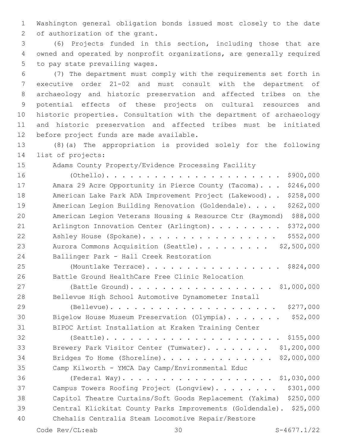Washington general obligation bonds issued most closely to the date 2 of authorization of the grant.

 (6) Projects funded in this section, including those that are owned and operated by nonprofit organizations, are generally required 5 to pay state prevailing wages.

 (7) The department must comply with the requirements set forth in executive order 21-02 and must consult with the department of archaeology and historic preservation and affected tribes on the potential effects of these projects on cultural resources and historic properties. Consultation with the department of archaeology and historic preservation and affected tribes must be initiated 12 before project funds are made available.

 (8)(a) The appropriation is provided solely for the following 14 list of projects:

Adams County Property/Evidence Processing Facility

| 16 | \$900,000                                                             |
|----|-----------------------------------------------------------------------|
| 17 | \$246,000<br>Amara 29 Acre Opportunity in Pierce County (Tacoma).     |
| 18 | American Lake Park ADA Improvement Project (Lakewood). .<br>\$258,000 |
| 19 | \$262,000<br>American Legion Building Renovation (Goldendale).        |
| 20 | \$88,000<br>American Legion Veterans Housing & Resource Ctr (Raymond) |
| 21 | \$372,000<br>Arlington Innovation Center (Arlington).                 |
| 22 | \$552,000<br>Ashley House (Spokane).                                  |
| 23 | \$2,500,000<br>Aurora Commons Acquisition (Seattle).                  |
| 24 | Ballinger Park - Hall Creek Restoration                               |
| 25 | (Mountlake Terrace). \$824,000                                        |
| 26 | Battle Ground HealthCare Free Clinic Relocation                       |
| 27 | (Battle Ground). \$1,000,000                                          |
| 28 | Bellevue High School Automotive Dynamometer Install                   |
| 29 | \$277,000                                                             |
| 30 | \$52,000<br>Bigelow House Museum Preservation (Olympia).              |
| 31 | BIPOC Artist Installation at Kraken Training Center                   |
| 32 |                                                                       |
| 33 | \$1,200,000<br>Brewery Park Visitor Center (Tumwater).                |
| 34 | Bridges To Home (Shoreline).<br>\$2,000,000                           |
| 35 | Camp Kilworth - YMCA Day Camp/Environmental Educ                      |
| 36 |                                                                       |
| 37 | \$301,000<br>Campus Towers Roofing Project (Longview).                |
| 38 | Capitol Theatre Curtains/Soft Goods Replacement (Yakima)<br>\$250,000 |
| 39 | Central Klickitat County Parks Improvements (Goldendale). \$25,000    |
| 40 | Chehalis Centralia Steam Locomotive Repair/Restore                    |
|    |                                                                       |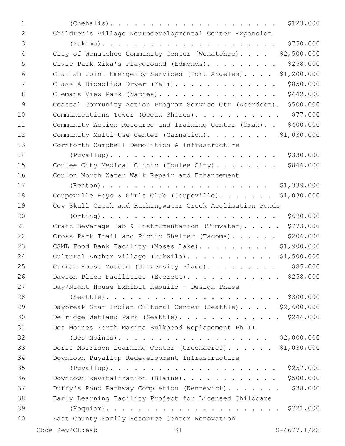(Chehalis). . . . . . . . . . . . . . . . . . . . . \$123,000 Children's Village Neurodevelopmental Center Expansion

 (Yakima). . . . . . . . . . . . . . . . . . . . . . \$750,000 City of Wenatchee Community Center (Wenatchee). . . . \$2,500,000 Civic Park Mika's Playground (Edmonds). . . . . . . . . \$258,000 Clallam Joint Emergency Services (Port Angeles). . . . \$1,200,000 Class A Biosolids Dryer (Yelm). . . . . . . . . . . . . \$850,000 8 Clemans View Park (Naches). . . . . . . . . . . . . . \$442,000 Coastal Community Action Program Service Ctr (Aberdeen). \$500,000 10 Communications Tower (Ocean Shores). . . . . . . . . . \$77,000 Community Action Resource and Training Center (Omak). . \$400,000 12 Community Multi-Use Center (Carnation). . . . . . . \$1,030,000 Cornforth Campbell Demolition & Infrastructure (Puyallup). . . . . . . . . . . . . . . . . . . . . \$330,000 15 Coulee City Medical Clinic (Coulee City). . . . . . . \$846,000 Coulon North Water Walk Repair and Enhancement (Renton). . . . . . . . . . . . . . . . . . . . . \$1,339,000 18 Coupeville Boys & Girls Club (Coupeville)....... \$1,030,000 Cow Skull Creek and Rushingwater Creek Acclimation Ponds (Orting). . . . . . . . . . . . . . . . . . . . . . \$690,000 21 Craft Beverage Lab & Instrumentation (Tumwater). . . . \$773,000 22 Cross Park Trail and Picnic Shelter (Tacoma). . . . . \$206,000 23 CSML Food Bank Facility (Moses Lake). . . . . . . . \$1,900,000 24 Cultural Anchor Village (Tukwila)............ \$1,500,000 25 Curran House Museum (University Place). . . . . . . . . \$85,000 26 Dawson Place Facilities (Everett). . . . . . . . . . . \$258,000 Day/Night House Exhibit Rebuild - Design Phase (Seattle). . . . . . . . . . . . . . . . . . . . . . \$300,000 Daybreak Star Indian Cultural Center (Seattle). . . . \$2,600,000 Delridge Wetland Park (Seattle). . . . . . . . . . . . . \$244,000 Des Moines North Marina Bulkhead Replacement Ph II (Des Moines). . . . . . . . . . . . . . . . . . . \$2,000,000 Doris Morrison Learning Center (Greenacres). . . . . . \$1,030,000 Downtown Puyallup Redevelopment Infrastructure (Puyallup). . . . . . . . . . . . . . . . . . . . . \$257,000 Downtown Revitalization (Blaine). . . . . . . . . . . . \$500,000 37 Duffy's Pond Pathway Completion (Kennewick). . . . . . \$38,000 Early Learning Facility Project for Licensed Childcare (Hoquiam). . . . . . . . . . . . . . . . . . . . . . \$721,000 East County Family Resource Center Renovation40 Code Rev/CL:eab 31 S-4677.1/22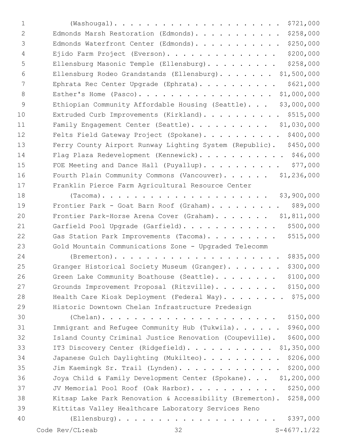| 1              | \$721,000                                                             |
|----------------|-----------------------------------------------------------------------|
| $\overline{2}$ | \$258,000<br>Edmonds Marsh Restoration (Edmonds).                     |
| 3              | \$250,000<br>Edmonds Waterfront Center (Edmonds).                     |
| 4              | \$200,000<br>Ejido Farm Project (Everson).                            |
| 5              | \$258,000<br>Ellensburg Masonic Temple (Ellensburg).                  |
| 6              | \$1,500,000<br>Ellensburg Rodeo Grandstands (Ellensburg).             |
| 7              | \$621,000<br>Ephrata Rec Center Upgrade (Ephrata).                    |
| 8              | \$1,000,000<br>Esther's Home (Pasco).                                 |
| $\overline{9}$ | \$3,000,000<br>Ethiopian Community Affordable Housing (Seattle).      |
| 10             | \$515,000<br>Extruded Curb Improvements (Kirkland).                   |
| 11             | Family Engagement Center (Seattle). \$1,030,000                       |
| 12             | \$400,000<br>Felts Field Gateway Project (Spokane).                   |
| 13             | \$450,000<br>Ferry County Airport Runway Lighting System (Republic).  |
| 14             | Flag Plaza Redevelopment (Kennewick). \$46,000                        |
| 15             | \$77,000<br>FOE Meeting and Dance Hall (Puyallup).                    |
| 16             | Fourth Plain Community Commons (Vancouver). \$1,236,000               |
| 17             | Franklin Pierce Farm Agricultural Resource Center                     |
| 18             | \$3,900,000                                                           |
| 19             | \$89,000<br>Frontier Park - Goat Barn Roof (Graham).                  |
| 20             | \$1,811,000<br>Frontier Park-Horse Arena Cover (Graham).              |
| 21             | \$500,000<br>Garfield Pool Upgrade (Garfield).                        |
| 22             | \$515,000<br>Gas Station Park Improvements (Tacoma).                  |
| 23             | Gold Mountain Communications Zone - Upgraded Telecomm                 |
| 24             | \$835,000                                                             |
| 25             | \$300,000<br>Granger Historical Society Museum (Granger).             |
| 26             | \$100,000<br>Green Lake Community Boathouse (Seattle).                |
| 27             | \$150,000<br>Grounds Improvement Proposal (Ritzville).                |
| 28             | Health Care Kiosk Deployment (Federal Way). \$75,000                  |
| 29             | Historic Downtown Chelan Infrastructure Predesign                     |
| 30             | \$150,000                                                             |
| 31             | \$960,000<br>Immigrant and Refugee Community Hub (Tukwila).           |
| 32             | \$600,000<br>Island County Criminal Justice Renovation (Coupeville).  |
| 33             | \$1,350,000<br>IT3 Discovery Center (Ridgefield).                     |
| 34             | \$206,000<br>Japanese Gulch Daylighting (Mukilteo).                   |
| 35             | \$200,000<br>Jim Kaemingk Sr. Trail (Lynden).                         |
| 36             | Joya Child & Family Development Center (Spokane). \$1,200,000         |
| 37             | \$250,000<br>JV Memorial Pool Roof (Oak Harbor).                      |
| 38             | \$258,000<br>Kitsap Lake Park Renovation & Accessibility (Bremerton). |
| 39             | Kittitas Valley Healthcare Laboratory Services Reno                   |
| 40             | \$397,000                                                             |
|                | $S-4677.1/22$<br>Code Rev/CL:eab<br>32                                |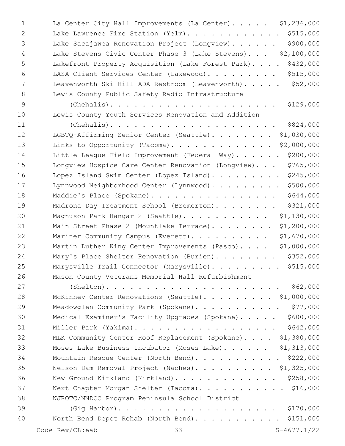| $\mathbf 1$ | La Center City Hall Improvements (La Center). \$1,236,000        |
|-------------|------------------------------------------------------------------|
| 2           | \$515,000<br>Lake Lawrence Fire Station (Yelm).                  |
| 3           | \$900,000<br>Lake Sacajawea Renovation Project (Longview).       |
| 4           | Lake Stevens Civic Center Phase 3 (Lake Stevens) \$2,100,000     |
| 5           | \$432,000<br>Lakefront Property Acquisition (Lake Forest Park).  |
| 6           | \$515,000<br>LASA Client Services Center (Lakewood).             |
| 7           | \$52,000<br>Leavenworth Ski Hill ADA Restroom (Leavenworth).     |
| 8           | Lewis County Public Safety Radio Infrastructure                  |
| 9           | \$129,000<br>$(Chehalis)$                                        |
| 10          | Lewis County Youth Services Renovation and Addition              |
| 11          | \$824,000<br>$(Chehalis)$                                        |
| 12          | \$1,030,000<br>LGBTQ-Affirming Senior Center (Seattle).          |
| 13          | \$2,000,000<br>Links to Opportunity (Tacoma).                    |
| 14          | \$200,000<br>Little League Field Improvement (Federal Way).      |
| 15          | \$765,000<br>Longview Hospice Care Center Renovation (Longview). |
| 16          | \$245,000<br>Lopez Island Swim Center (Lopez Island).            |
| 17          | \$500,000<br>Lynnwood Neighborhood Center (Lynnwood).            |
| 18          | \$644,000<br>Maddie's Place (Spokane).                           |
| 19          | \$321,000<br>Madrona Day Treatment School (Bremerton).           |
| 20          | \$1,130,000<br>Magnuson Park Hangar 2 (Seattle).                 |
| 21          | \$1,200,000<br>Main Street Phase 2 (Mountlake Terrace).          |
| 22          | \$1,670,000<br>Mariner Community Campus (Everett).               |
| 23          | \$1,000,000<br>Martin Luther King Center Improvements (Pasco).   |
| 24          | \$352,000<br>Mary's Place Shelter Renovation (Burien).           |
| 25          | Marysville Trail Connector (Marysville). \$515,000               |
| 26          | Mason County Veterans Memorial Hall Refurbishment                |
| 27          | \$62,000                                                         |
| 28          | McKinney Center Renovations (Seattle). \$1,000,000               |
| 29          | \$77,000<br>Meadowglen Community Park (Spokane).                 |
| 30          | \$600,000<br>Medical Examiner's Facility Upgrades (Spokane).     |
| 31          | \$642,000<br>Miller Park (Yakima).                               |
| 32          | MLK Community Center Roof Replacement (Spokane). \$1,380,000     |
| 33          | Moses Lake Business Incubator (Moses Lake). \$1,313,000          |
| 34          | Mountain Rescue Center (North Bend). \$222,000                   |
| 35          | Nelson Dam Removal Project (Naches). \$1,325,000                 |
| 36          | New Ground Kirkland (Kirkland). \$258,000                        |
| 37          | Next Chapter Morgan Shelter (Tacoma). \$16,000                   |
| 38          | NJROTC/NNDCC Program Peninsula School District                   |
| 39          |                                                                  |
| 40          | North Bend Depot Rehab (North Bend). \$151,000                   |
|             | Code Rev/CL:eab<br>$S-4677.1/22$<br>33                           |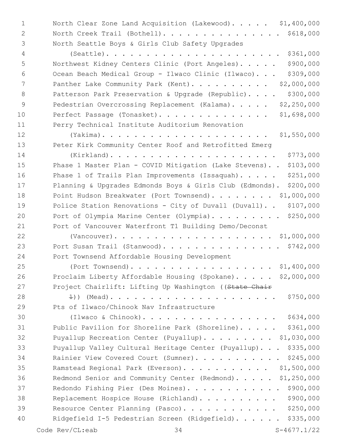1 North Clear Zone Land Acquisition (Lakewood). . . . . \$1,400,000 2 North Creek Trail (Bothell). . . . . . . . . . . . . . \$618,000 3 North Seattle Boys & Girls Club Safety Upgrades

4 (Seattle). . . . . . . . . . . . . . . . . . . . . . \$361,000 5 Northwest Kidney Centers Clinic (Port Angeles). . . . . \$900,000 6 Ocean Beach Medical Group - Ilwaco Clinic (Ilwaco). . . \$309,000 7 Panther Lake Community Park (Kent). . . . . . . . . \$2,000,000 8 Patterson Park Preservation & Upgrade (Republic).... \$300,000 9 Pedestrian Overcrossing Replacement (Kalama). . . . . \$2,250,000 10 Perfect Passage (Tonasket). . . . . . . . . . . . . . \$1,698,000 11 Perry Technical Institute Auditorium Renovation 12 (Yakima). . . . . . . . . . . . . . . . . . . . . \$1,550,000 13 Peter Kirk Community Center Roof and Retrofitted Emerg 14 (Kirkland). . . . . . . . . . . . . . . . . . . . . \$773,000 15 Phase 1 Master Plan - COVID Mitigation (Lake Stevens). . \$103,000 16 Phase 1 of Trails Plan Improvements (Issaquah)..... \$251,000 17 Planning & Upgrades Edmonds Boys & Girls Club (Edmonds). \$200,000 18 Point Hudson Breakwater (Port Townsend). . . . . . . \$1,000,000 19 Police Station Renovations - City of Duvall (Duvall). . \$107,000 20 Port of Olympia Marine Center (Olympia). . . . . . . . \$250,000 21 Port of Vancouver Waterfront T1 Building Demo/Deconst 22 (Vancouver). . . . . . . . . . . . . . . . . . . . \$1,000,000 23 Port Susan Trail (Stanwood). . . . . . . . . . . . . . . \$742,000 24 Port Townsend Affordable Housing Development 25 (Port Townsend). . . . . . . . . . . . . . . . . . \$1,400,000 26 Proclaim Liberty Affordable Housing (Spokane). . . . . \$2,000,000 27 Project Chairlift: Lifting Up Washington ((State Chair 28 1)) (Mead). . . . . . . . . . . . . . . . . . . . . \$750,000 29 Pts of Ilwaco/Chinook Nav Infrastructure 30 (Ilwaco & Chinook). . . . . . . . . . . . . . . . . \$634,000 31 Public Pavilion for Shoreline Park (Shoreline)..... \$361,000 32 Puyallup Recreation Center (Puyallup). . . . . . . . \$1,030,000 33 Puyallup Valley Cultural Heritage Center (Puyallup). . . \$335,000 34 Rainier View Covered Court (Sumner). . . . . . . . . . . \$245,000 35 Ramstead Regional Park (Everson). . . . . . . . . . \$1,500,000 36 Redmond Senior and Community Center (Redmond). . . . . \$1,250,000 37 Redondo Fishing Pier (Des Moines). . . . . . . . . . . \$900,000 38 Replacement Hospice House (Richland). . . . . . . . . \$900,000 39 Resource Center Planning (Pasco). . . . . . . . . . . \$250,000 40 Ridgefield I-5 Pedestrian Screen (Ridgefield). . . . . . \$335,000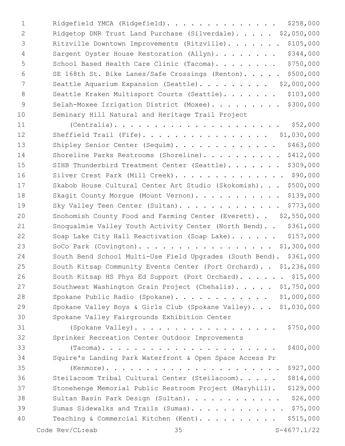| 1             | \$258,000<br>Ridgefield YMCA (Ridgefield).                           |
|---------------|----------------------------------------------------------------------|
| 2             | Ridgetop DNR Trust Land Purchase (Silverdale). \$2,050,000           |
| 3             | \$105,000<br>Ritzville Downtown Improvements (Ritzville).            |
| 4             | \$344,000<br>Sargent Oyster House Restoration (Allyn).               |
| 5             | \$750,000<br>School Based Health Care Clinic (Tacoma).               |
| 6             | \$500,000<br>SE 168th St. Bike Lanes/Safe Crossings (Renton).        |
| 7             | Seattle Aquarium Expansion (Seattle). \$2,000,000                    |
| 8             | \$103,000<br>Seattle Kraken Multisport Courts (Seattle).             |
| $\mathcal{G}$ | \$300,000<br>Selah-Moxee Irrigation District (Moxee).                |
| 10            | Seminary Hill Natural and Heritage Trail Project                     |
| 11            | \$52,000<br>$(Centralia)$                                            |
| 12            | Sheffield Trail (Fife). \$1,030,000                                  |
| 13            | \$463,000<br>Shipley Senior Center (Sequim).                         |
| 14            | \$412,000<br>Shoreline Parks Restrooms (Shoreline).                  |
| 15            | \$309,000<br>SIHB Thunderbird Treatment Center (Seattle).            |
| 16            | Silver Crest Park (Mill Creek). \$90,000                             |
| 17            | \$500,000<br>Skabob House Cultural Center Art Studio (Skokomish).    |
| 18            | \$139,000<br>Skagit County Morque (Mount Vernon).                    |
| 19            | \$773,000<br>Sky Valley Teen Center (Sultan).                        |
| 20            | Snohomish County Food and Farming Center (Everett). . \$2,550,000    |
| 21            | Snoqualmie Valley Youth Activity Center (North Bend). . \$361,000    |
| 22            | \$157,000<br>Soap Lake City Hall Reactivation (Soap Lake).           |
| 23            | SoCo Park (Covington). \$1,300,000                                   |
| 24            | South Bend School Multi-Use Field Upgrades (South Bend). \$361,000   |
| 25            | South Kitsap Community Events Center (Port Orchard). . \$1,236,000   |
| 26            | South Kitsap HS Phys Ed Support (Port Orchard). \$15,000             |
| 27            | Southwest Washington Grain Project (Chehalis). \$1,750,000           |
| 28            | Spokane Public Radio (Spokane). \$1,000,000                          |
| 29            | Spokane Valley Boys & Girls Club (Spokane Valley). \$1,030,000       |
| 30            | Spokane Valley Fairgrounds Exhibition Center                         |
| 31            | \$750,000<br>(Spokane Valley).                                       |
| 32            | Sprinker Recreation Center Outdoor Improvements                      |
| 33            | \$400,000<br>$(Tacoma)$                                              |
| 34            | Squire's Landing Park Waterfront & Open Space Access Pr              |
| 35            | \$927,000                                                            |
| 36            | \$814,000<br>Steilacoom Tribal Cultural Center (Steilacoom).         |
| 37            | Stonehenge Memorial Public Restroom Project (Maryhill).<br>\$129,000 |
| 38            | \$26,000<br>Sultan Basin Park Design (Sultan).                       |
| 39            | \$75,000<br>Sumas Sidewalks and Trails (Sumas).                      |
| 40            | Teaching & Commercial Kitchen (Kent)<br>\$515,000                    |
|               | $S-4677.1/22$<br>Code Rev/CL:eab<br>35                               |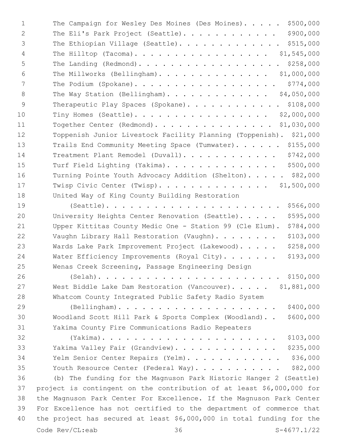|              | Code Rev/CL:eab<br>$S-4677.1/22$<br>36                                                                    |
|--------------|-----------------------------------------------------------------------------------------------------------|
| 40           | the project has secured at least $$6,000,000$ in total funding for the                                    |
| 39           | For Excellence has not certified to the department of commerce that                                       |
| 38           | the Magnuson Park Center For Excellence. If the Magnuson Park Center                                      |
| 37           | project is contingent on the contribution of at least \$6,000,000 for                                     |
| 36           | Youth Resource Center (Federal Way).<br>(b) The funding for the Magnuson Park Historic Hanger 2 (Seattle) |
| 34<br>35     | \$36,000<br>Yelm Senior Center Repairs (Yelm).<br>\$82,000                                                |
| 33           | Yakima Valley Fair (Grandview).<br>\$235,000                                                              |
| 32           | \$103,000                                                                                                 |
| 31           | Yakima County Fire Communications Radio Repeaters                                                         |
| 30           | \$600,000<br>Woodland Scott Hill Park & Sports Complex (Woodland)                                         |
| 29           | \$400,000<br>$(Belllingham)$                                                                              |
| 28           | Whatcom County Integrated Public Safety Radio System                                                      |
| 27           | West Biddle Lake Dam Restoration (Vancouver). \$1,881,000                                                 |
| 26           |                                                                                                           |
| 25           | Wenas Creek Screening, Passage Engineering Design                                                         |
| 24           | \$193,000<br>Water Efficiency Improvements (Royal City).                                                  |
| 23           | \$258,000<br>Wards Lake Park Improvement Project (Lakewood).                                              |
| 22           | \$103,000<br>Vaughn Library Hall Restoration (Vaughn).                                                    |
| 21           | \$784,000<br>Upper Kittitas County Medic One - Station 99 (Cle Elum).                                     |
| 20           | \$595,000<br>University Heights Center Renovation (Seattle).                                              |
| 19           | \$566,000<br>$(Seattle)$                                                                                  |
| 18           | United Way of King County Building Restoration                                                            |
| 17           | Twisp Civic Center (Twisp). \$1,500,000                                                                   |
| 16           | Turning Pointe Youth Advocacy Addition (Shelton). \$82,000                                                |
| 15           | Turf Field Lighting (Yakima). \$500,000                                                                   |
| 14           | Treatment Plant Remodel (Duvall). \$742,000                                                               |
| 13           | Trails End Community Meeting Space (Tumwater). \$155,000                                                  |
| 12           | Toppenish Junior Livestock Facility Planning (Toppenish). \$21,000                                        |
| 11           | Together Center (Redmond). \$1,030,000                                                                    |
| 10           | Tiny Homes (Seattle). \$2,000,000                                                                         |
| 9            | Therapeutic Play Spaces (Spokane). \$108,000                                                              |
| 8            | The Way Station (Bellingham). \$4,050,000                                                                 |
| 7            | The Podium (Spokane). \$774,000                                                                           |
| 6            | The Millworks (Bellingham). \$1,000,000                                                                   |
| 5            | The Landing (Redmond). \$258,000                                                                          |
| 4            | The Hilltop (Tacoma). \$1,545,000                                                                         |
| 3            | The Ethiopian Village (Seattle). \$515,000                                                                |
| 2            | The Eli's Park Project (Seattle). \$900,000                                                               |
| $\mathbf{1}$ | The Campaign for Wesley Des Moines (Des Moines). \$500,000                                                |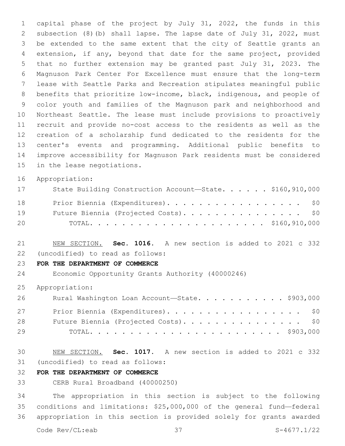capital phase of the project by July 31, 2022, the funds in this subsection (8)(b) shall lapse. The lapse date of July 31, 2022, must be extended to the same extent that the city of Seattle grants an extension, if any, beyond that date for the same project, provided that no further extension may be granted past July 31, 2023. The Magnuson Park Center For Excellence must ensure that the long-term lease with Seattle Parks and Recreation stipulates meaningful public benefits that prioritize low-income, black, indigenous, and people of color youth and families of the Magnuson park and neighborhood and Northeast Seattle. The lease must include provisions to proactively recruit and provide no-cost access to the residents as well as the creation of a scholarship fund dedicated to the residents for the center's events and programming. Additional public benefits to improve accessibility for Magnuson Park residents must be considered 15 in the lease negotiations.

Appropriation:

| 17 | State Building Construction Account-State. \$160,910,000 |
|----|----------------------------------------------------------|
| 18 | Prior Biennia (Expenditures). \$0                        |
| 19 | Future Biennia (Projected Costs). \$0                    |
| 20 |                                                          |

 NEW SECTION. **Sec. 1016.** A new section is added to 2021 c 332 (uncodified) to read as follows: 22

### **FOR THE DEPARTMENT OF COMMERCE**

Economic Opportunity Grants Authority (40000246)

Appropriation:

| 26 | Rural Washington Loan Account-State. \$903,000 |
|----|------------------------------------------------|
| 27 | Prior Biennia (Expenditures). \$0              |
| 28 | Future Biennia (Projected Costs). \$0          |
| 29 |                                                |

 NEW SECTION. **Sec. 1017.** A new section is added to 2021 c 332 (uncodified) to read as follows: 31

# **FOR THE DEPARTMENT OF COMMERCE**

CERB Rural Broadband (40000250)

 The appropriation in this section is subject to the following conditions and limitations: \$25,000,000 of the general fund—federal appropriation in this section is provided solely for grants awarded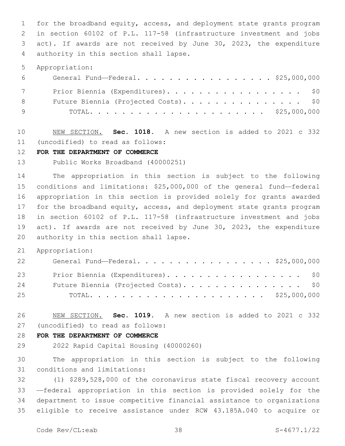for the broadband equity, access, and deployment state grants program in section 60102 of P.L. 117-58 (infrastructure investment and jobs act). If awards are not received by June 30, 2023, the expenditure 4 authority in this section shall lapse.

Appropriation:

| $6 \overline{}$ | General Fund—Federal. \$25,000,000    |
|-----------------|---------------------------------------|
| 7               | Prior Biennia (Expenditures). \$0     |
| 8               | Future Biennia (Projected Costs). \$0 |
| 9               |                                       |

 NEW SECTION. **Sec. 1018.** A new section is added to 2021 c 332 (uncodified) to read as follows: 11

#### **FOR THE DEPARTMENT OF COMMERCE**

Public Works Broadband (40000251)

 The appropriation in this section is subject to the following conditions and limitations: \$25,000,000 of the general fund—federal appropriation in this section is provided solely for grants awarded for the broadband equity, access, and deployment state grants program in section 60102 of P.L. 117-58 (infrastructure investment and jobs act). If awards are not received by June 30, 2023, the expenditure 20 authority in this section shall lapse.

Appropriation:

| 22 | General Fund—Federal. \$25,000,000    |
|----|---------------------------------------|
| 23 | Prior Biennia (Expenditures). \$0     |
| 24 | Future Biennia (Projected Costs). \$0 |
| 25 |                                       |

 NEW SECTION. **Sec. 1019.** A new section is added to 2021 c 332 (uncodified) to read as follows: 27

#### **FOR THE DEPARTMENT OF COMMERCE**

2022 Rapid Capital Housing (40000260)

 The appropriation in this section is subject to the following 31 conditions and limitations:

 (1) \$289,528,000 of the coronavirus state fiscal recovery account —federal appropriation in this section is provided solely for the department to issue competitive financial assistance to organizations eligible to receive assistance under RCW 43.185A.040 to acquire or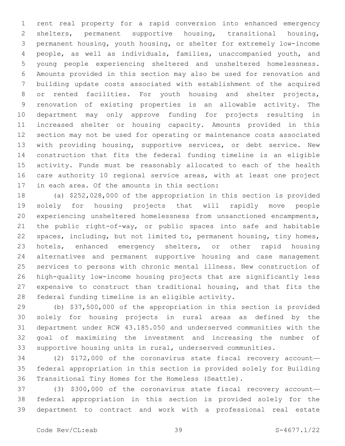rent real property for a rapid conversion into enhanced emergency shelters, permanent supportive housing, transitional housing, permanent housing, youth housing, or shelter for extremely low-income people, as well as individuals, families, unaccompanied youth, and young people experiencing sheltered and unsheltered homelessness. Amounts provided in this section may also be used for renovation and building update costs associated with establishment of the acquired or rented facilities. For youth housing and shelter projects, renovation of existing properties is an allowable activity. The department may only approve funding for projects resulting in increased shelter or housing capacity. Amounts provided in this section may not be used for operating or maintenance costs associated with providing housing, supportive services, or debt service. New construction that fits the federal funding timeline is an eligible activity. Funds must be reasonably allocated to each of the health care authority 10 regional service areas, with at least one project 17 in each area. Of the amounts in this section:

 (a) \$252,028,000 of the appropriation in this section is provided solely for housing projects that will rapidly move people experiencing unsheltered homelessness from unsanctioned encampments, the public right-of-way, or public spaces into safe and habitable spaces, including, but not limited to, permanent housing, tiny homes, hotels, enhanced emergency shelters, or other rapid housing alternatives and permanent supportive housing and case management services to persons with chronic mental illness. New construction of high-quality low-income housing projects that are significantly less expensive to construct than traditional housing, and that fits the 28 federal funding timeline is an eligible activity.

 (b) \$37,500,000 of the appropriation in this section is provided solely for housing projects in rural areas as defined by the department under RCW 43.185.050 and underserved communities with the goal of maximizing the investment and increasing the number of supportive housing units in rural, underserved communities.

 (2) \$172,000 of the coronavirus state fiscal recovery account— federal appropriation in this section is provided solely for Building Transitional Tiny Homes for the Homeless (Seattle).

 (3) \$300,000 of the coronavirus state fiscal recovery account— federal appropriation in this section is provided solely for the department to contract and work with a professional real estate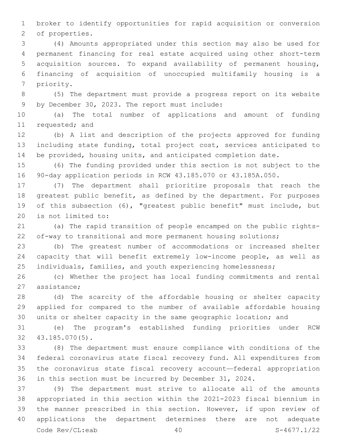broker to identify opportunities for rapid acquisition or conversion 2 of properties.

 (4) Amounts appropriated under this section may also be used for permanent financing for real estate acquired using other short-term acquisition sources. To expand availability of permanent housing, financing of acquisition of unoccupied multifamily housing is a 7 priority.

 (5) The department must provide a progress report on its website 9 by December 30, 2023. The report must include:

 (a) The total number of applications and amount of funding 11 requested; and

 (b) A list and description of the projects approved for funding including state funding, total project cost, services anticipated to be provided, housing units, and anticipated completion date.

 (6) The funding provided under this section is not subject to the 90-day application periods in RCW 43.185.070 or 43.185A.050.

 (7) The department shall prioritize proposals that reach the 18 greatest public benefit, as defined by the department. For purposes of this subsection (6), "greatest public benefit" must include, but 20 is not limited to:

 (a) The rapid transition of people encamped on the public rights-of-way to transitional and more permanent housing solutions;

 (b) The greatest number of accommodations or increased shelter capacity that will benefit extremely low-income people, as well as 25 individuals, families, and youth experiencing homelessness;

 (c) Whether the project has local funding commitments and rental 27 assistance:

 (d) The scarcity of the affordable housing or shelter capacity applied for compared to the number of available affordable housing units or shelter capacity in the same geographic location; and

 (e) The program's established funding priorities under RCW 43.185.070(5).32

 (8) The department must ensure compliance with conditions of the federal coronavirus state fiscal recovery fund. All expenditures from the coronavirus state fiscal recovery account—federal appropriation in this section must be incurred by December 31, 2024.

 (9) The department must strive to allocate all of the amounts appropriated in this section within the 2021-2023 fiscal biennium in the manner prescribed in this section. However, if upon review of applications the department determines there are not adequate Code Rev/CL:eab 40 S-4677.1/22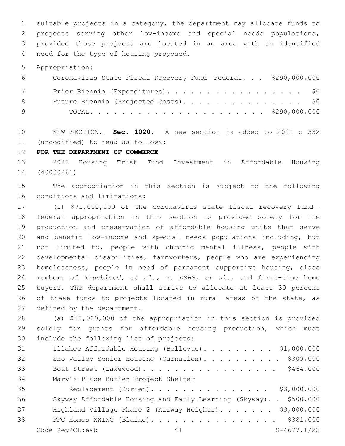suitable projects in a category, the department may allocate funds to projects serving other low-income and special needs populations, provided those projects are located in an area with an identified 4 need for the type of housing proposed.

Appropriation:

| 6 —          | Coronavirus State Fiscal Recovery Fund-Federal. \$290,000,000 |
|--------------|---------------------------------------------------------------|
| 7            | Prior Biennia (Expenditures). \$0                             |
| 8            | Future Biennia (Projected Costs). \$0                         |
| <sub>9</sub> |                                                               |

 NEW SECTION. **Sec. 1020.** A new section is added to 2021 c 332 (uncodified) to read as follows: 11

**FOR THE DEPARTMENT OF COMMERCE**

 2022 Housing Trust Fund Investment in Affordable Housing (40000261)

 The appropriation in this section is subject to the following 16 conditions and limitations:

 (1) \$71,000,000 of the coronavirus state fiscal recovery fund— federal appropriation in this section is provided solely for the production and preservation of affordable housing units that serve and benefit low-income and special needs populations including, but not limited to, people with chronic mental illness, people with developmental disabilities, farmworkers, people who are experiencing homelessness, people in need of permanent supportive housing, class members of *Trueblood, et al., v. DSHS, et al.*, and first-time home buyers. The department shall strive to allocate at least 30 percent 26 of these funds to projects located in rural areas of the state, as 27 defined by the department.

 (a) \$50,000,000 of the appropriation in this section is provided solely for grants for affordable housing production, which must 30 include the following list of projects:

| 31 | Illahee Affordable Housing (Bellevue) \$1,000,000 |
|----|---------------------------------------------------|
| 32 | Sno Valley Senior Housing (Carnation). \$309,000  |
| 33 | Boat Street (Lakewood). \$464,000                 |
| 34 | Mary's Place Burien Project Shelter               |

 Replacement (Burien). . . . . . . . . . . . . . . \$3,000,000 Skyway Affordable Housing and Early Learning (Skyway). . \$500,000 37 Highland Village Phase 2 (Airway Heights). . . . . . \$3,000,000 FFC Homes XXINC (Blaine). . . . . . . . . . . . . . . . \$381,000 Code Rev/CL:eab 41 S-4677.1/22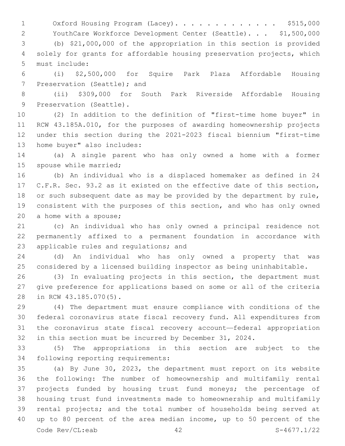1 Oxford Housing Program (Lacey).............. \$515,000

YouthCare Workforce Development Center (Seattle). . . \$1,500,000

 (b) \$21,000,000 of the appropriation in this section is provided solely for grants for affordable housing preservation projects, which 5 must include:

 (i) \$2,500,000 for Squire Park Plaza Affordable Housing 7 Preservation (Seattle); and

 (ii) \$309,000 for South Park Riverside Affordable Housing 9 Preservation (Seattle).

 (2) In addition to the definition of "first-time home buyer" in RCW 43.185A.010, for the purposes of awarding homeownership projects under this section during the 2021-2023 fiscal biennium "first-time 13 home buyer" also includes:

 (a) A single parent who has only owned a home with a former 15 spouse while married;

 (b) An individual who is a displaced homemaker as defined in 24 C.F.R. Sec. 93.2 as it existed on the effective date of this section, 18 or such subsequent date as may be provided by the department by rule, consistent with the purposes of this section, and who has only owned 20 a home with a spouse;

 (c) An individual who has only owned a principal residence not permanently affixed to a permanent foundation in accordance with 23 applicable rules and regulations; and

 (d) An individual who has only owned a property that was considered by a licensed building inspector as being uninhabitable.

 (3) In evaluating projects in this section, the department must give preference for applications based on some or all of the criteria 28 in RCW 43.185.070(5).

 (4) The department must ensure compliance with conditions of the federal coronavirus state fiscal recovery fund. All expenditures from the coronavirus state fiscal recovery account—federal appropriation in this section must be incurred by December 31, 2024.

 (5) The appropriations in this section are subject to the 34 following reporting requirements:

 (a) By June 30, 2023, the department must report on its website the following: The number of homeownership and multifamily rental projects funded by housing trust fund moneys; the percentage of housing trust fund investments made to homeownership and multifamily rental projects; and the total number of households being served at up to 80 percent of the area median income, up to 50 percent of the Code Rev/CL:eab 42 S-4677.1/22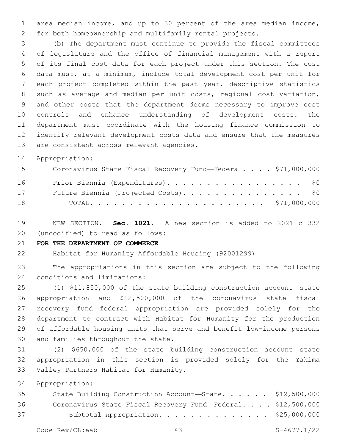area median income, and up to 30 percent of the area median income, for both homeownership and multifamily rental projects.

 (b) The department must continue to provide the fiscal committees of legislature and the office of financial management with a report of its final cost data for each project under this section. The cost data must, at a minimum, include total development cost per unit for each project completed within the past year, descriptive statistics such as average and median per unit costs, regional cost variation, and other costs that the department deems necessary to improve cost controls and enhance understanding of development costs. The department must coordinate with the housing finance commission to identify relevant development costs data and ensure that the measures 13 are consistent across relevant agencies.

Appropriation:

| 15 | Coronavirus State Fiscal Recovery Fund-Federal. \$71,000,000 |
|----|--------------------------------------------------------------|
| 16 | Prior Biennia (Expenditures). \$0                            |
| 17 | Future Biennia (Projected Costs). \$0                        |
| 18 |                                                              |

 NEW SECTION. **Sec. 1021.** A new section is added to 2021 c 332 (uncodified) to read as follows: 20

### **FOR THE DEPARTMENT OF COMMERCE**

Habitat for Humanity Affordable Housing (92001299)

 The appropriations in this section are subject to the following 24 conditions and limitations:

 (1) \$11,850,000 of the state building construction account—state appropriation and \$12,500,000 of the coronavirus state fiscal recovery fund—federal appropriation are provided solely for the department to contract with Habitat for Humanity for the production of affordable housing units that serve and benefit low-income persons 30 and families throughout the state.

 (2) \$650,000 of the state building construction account—state appropriation in this section is provided solely for the Yakima 33 Valley Partners Habitat for Humanity.

Appropriation:

| 35 | State Building Construction Account-State. \$12,500,000      |  |
|----|--------------------------------------------------------------|--|
| 36 | Coronavirus State Fiscal Recovery Fund-Federal. \$12,500,000 |  |
| 37 | Subtotal Appropriation. \$25,000,000                         |  |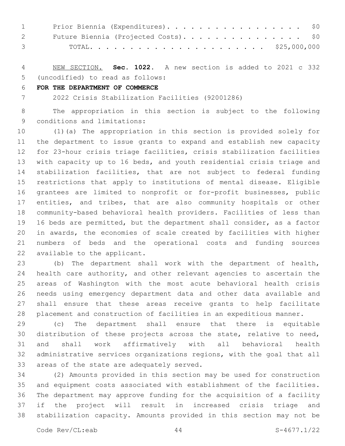| $1 \qquad \qquad$ | Prior Biennia (Expenditures). \$0                                                     |
|-------------------|---------------------------------------------------------------------------------------|
|                   | 2 Future Biennia (Projected Costs). \$0                                               |
|                   | 3 TOTAL $\ldots$ , $\ldots$ , $\ldots$ , $\ldots$ , $\ldots$ , $\frac{25,000,000}{2}$ |

 NEW SECTION. **Sec. 1022.** A new section is added to 2021 c 332 (uncodified) to read as follows: 5

# **FOR THE DEPARTMENT OF COMMERCE**

2022 Crisis Stabilization Facilities (92001286)

 The appropriation in this section is subject to the following 9 conditions and limitations:

 (1)(a) The appropriation in this section is provided solely for the department to issue grants to expand and establish new capacity for 23-hour crisis triage facilities, crisis stabilization facilities with capacity up to 16 beds, and youth residential crisis triage and stabilization facilities, that are not subject to federal funding restrictions that apply to institutions of mental disease. Eligible grantees are limited to nonprofit or for-profit businesses, public entities, and tribes, that are also community hospitals or other community-based behavioral health providers. Facilities of less than 16 beds are permitted, but the department shall consider, as a factor in awards, the economies of scale created by facilities with higher numbers of beds and the operational costs and funding sources 22 available to the applicant.

 (b) The department shall work with the department of health, health care authority, and other relevant agencies to ascertain the areas of Washington with the most acute behavioral health crisis needs using emergency department data and other data available and shall ensure that these areas receive grants to help facilitate placement and construction of facilities in an expeditious manner.

 (c) The department shall ensure that there is equitable distribution of these projects across the state, relative to need, and shall work affirmatively with all behavioral health administrative services organizations regions, with the goal that all 33 areas of the state are adequately served.

 (2) Amounts provided in this section may be used for construction and equipment costs associated with establishment of the facilities. The department may approve funding for the acquisition of a facility if the project will result in increased crisis triage and stabilization capacity. Amounts provided in this section may not be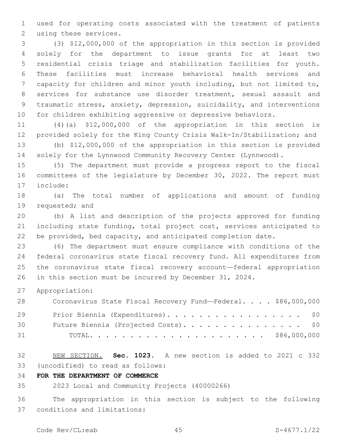used for operating costs associated with the treatment of patients 2 using these services.

 (3) \$12,000,000 of the appropriation in this section is provided solely for the department to issue grants for at least two residential crisis triage and stabilization facilities for youth. These facilities must increase behavioral health services and capacity for children and minor youth including, but not limited to, services for substance use disorder treatment, sexual assault and traumatic stress, anxiety, depression, suicidality, and interventions for children exhibiting aggressive or depressive behaviors.

 (4)(a) \$12,000,000 of the appropriation in this section is provided solely for the King County Crisis Walk-In/Stabilization; and

 (b) \$12,000,000 of the appropriation in this section is provided solely for the Lynnwood Community Recovery Center (Lynnwood).

 (5) The department must provide a progress report to the fiscal committees of the legislature by December 30, 2022. The report must 17 include:

 (a) The total number of applications and amount of funding 19 requested; and

 (b) A list and description of the projects approved for funding including state funding, total project cost, services anticipated to be provided, bed capacity, and anticipated completion date.

 (6) The department must ensure compliance with conditions of the federal coronavirus state fiscal recovery fund. All expenditures from the coronavirus state fiscal recovery account—federal appropriation in this section must be incurred by December 31, 2024.

Appropriation:

| 28 | Coronavirus State Fiscal Recovery Fund-Federal. \$86,000,000 |
|----|--------------------------------------------------------------|
| 29 | Prior Biennia (Expenditures). \$0                            |
| 30 | Future Biennia (Projected Costs). \$0                        |
| 31 |                                                              |

 NEW SECTION. **Sec. 1023.** A new section is added to 2021 c 332 (uncodified) to read as follows: 33

**FOR THE DEPARTMENT OF COMMERCE**

2023 Local and Community Projects (40000266)

 The appropriation in this section is subject to the following conditions and limitations:37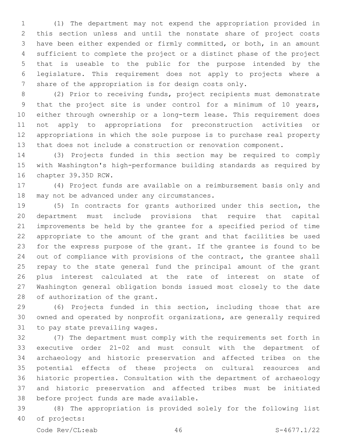(1) The department may not expend the appropriation provided in this section unless and until the nonstate share of project costs have been either expended or firmly committed, or both, in an amount sufficient to complete the project or a distinct phase of the project that is useable to the public for the purpose intended by the legislature. This requirement does not apply to projects where a share of the appropriation is for design costs only.

 (2) Prior to receiving funds, project recipients must demonstrate that the project site is under control for a minimum of 10 years, either through ownership or a long-term lease. This requirement does not apply to appropriations for preconstruction activities or appropriations in which the sole purpose is to purchase real property that does not include a construction or renovation component.

 (3) Projects funded in this section may be required to comply with Washington's high-performance building standards as required by 16 chapter 39.35D RCW.

 (4) Project funds are available on a reimbursement basis only and 18 may not be advanced under any circumstances.

 (5) In contracts for grants authorized under this section, the department must include provisions that require that capital improvements be held by the grantee for a specified period of time appropriate to the amount of the grant and that facilities be used for the express purpose of the grant. If the grantee is found to be out of compliance with provisions of the contract, the grantee shall repay to the state general fund the principal amount of the grant plus interest calculated at the rate of interest on state of Washington general obligation bonds issued most closely to the date 28 of authorization of the grant.

 (6) Projects funded in this section, including those that are owned and operated by nonprofit organizations, are generally required 31 to pay state prevailing wages.

 (7) The department must comply with the requirements set forth in executive order 21-02 and must consult with the department of archaeology and historic preservation and affected tribes on the potential effects of these projects on cultural resources and historic properties. Consultation with the department of archaeology and historic preservation and affected tribes must be initiated 38 before project funds are made available.

 (8) The appropriation is provided solely for the following list 40 of projects:

Code Rev/CL:eab 46 S-4677.1/22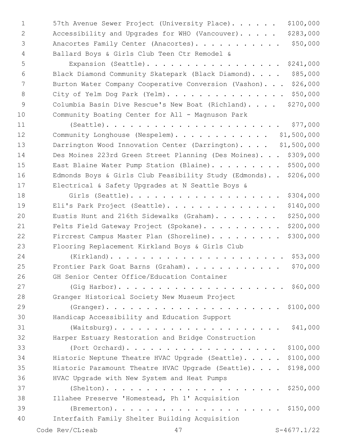1 57th Avenue Sewer Project (University Place). . . . . \$100,000 2 Accessibility and Upgrades for WHO (Vancouver)...... \$283,000 3 Anacortes Family Center (Anacortes). . . . . . . . . . \$50,000 Ballard Boys & Girls Club Teen Ctr Remodel &4 Expansion (Seattle). . . . . . . . . . . . . . . . . \$241,000

 Black Diamond Community Skatepark (Black Diamond). . . . \$85,000 Burton Water Company Cooperative Conversion (Vashon). . . \$26,000 8 City of Yelm Dog Park (Yelm). . . . . . . . . . . . . . \$50,000 Columbia Basin Dive Rescue's New Boat (Richland). . . . \$270,000 Community Boating Center for All - Magnuson Park

 (Seattle). . . . . . . . . . . . . . . . . . . . . . \$77,000 12 Community Longhouse (Nespelem). . . . . . . . . . . \$1,500,000 13 Darrington Wood Innovation Center (Darrington).... \$1,500,000 Des Moines 223rd Green Street Planning (Des Moines). . . \$309,000 15 East Blaine Water Pump Station (Blaine). . . . . . . . \$500,000 Edmonds Boys & Girls Club Feasibility Study (Edmonds). . \$206,000 Electrical & Safety Upgrades at N Seattle Boys &

 Girls (Seattle). . . . . . . . . . . . . . . . . . . \$304,000 Eli's Park Project (Seattle). . . . . . . . . . . . . . \$140,000 20 Eustis Hunt and 216th Sidewalks (Graham). . . . . . . \$250,000 21 Felts Field Gateway Project (Spokane). . . . . . . . . \$200,000 22 Fircrest Campus Master Plan (Shoreline). . . . . . . . \$300,000 Flooring Replacement Kirkland Boys & Girls Club (Kirkland). . . . . . . . . . . . . . . . . . . . . . \$53,000 Frontier Park Goat Barns (Graham). . . . . . . . . . . . \$70,000 26 GH Senior Center Office/Education Container (Gig Harbor). . . . . . . . . . . . . . . . . . . . . \$60,000 28 Granger Historical Society New Museum Project (Granger). . . . . . . . . . . . . . . . . . . . . . \$100,000 Handicap Accessibility and Education Support30 (Waitsburg). . . . . . . . . . . . . . . . . . . . . \$41,000 Harper Estuary Restoration and Bridge Construction (Port Orchard). . . . . . . . . . . . . . . . . . . \$100,000 Historic Neptune Theatre HVAC Upgrade (Seattle). . . . . \$100,000 Historic Paramount Theatre HVAC Upgrade (Seattle). . . . \$198,000 36 HVAC Upgrade with New System and Heat Pumps

 (Shelton). . . . . . . . . . . . . . . . . . . . . . \$250,000 Illahee Preserve 'Homestead, Ph 1' Acquisition (Bremerton). . . . . . . . . . . . . . . . . . . . . \$150,000 Interfaith Family Shelter Building Acquisition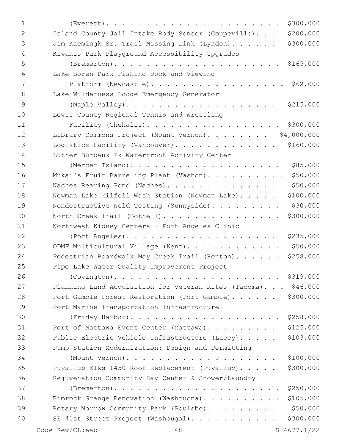| $\mathbf{1}$ | \$300,000                                                         |
|--------------|-------------------------------------------------------------------|
| 2            | \$200,000<br>Island County Jail Intake Body Sensor (Coupeville).  |
| 3            | \$300,000<br>Jim Kaemingk Sr. Trail Missing Link (Lynden).        |
| 4            | Kiwanis Park Playground Accessibility Upgrades                    |
| 5            |                                                                   |
| 6            | Lake Boren Park Fishing Dock and Viewing                          |
| 7            | Platform (Newcastle). \$62,000                                    |
| 8            | Lake Wilderness Lodge Emergency Generator                         |
| 9            | (Maple Valley).<br>\$215,000                                      |
| 10           | Lewis County Regional Tennis and Wrestling                        |
| 11           | Facility (Chehalis).<br>\$300,000                                 |
| 12           | Library Commons Project (Mount Vernon). \$4,000,000               |
| 13           | \$160,000<br>Logistics Facility (Vancouver).                      |
| 14           | Luther Burbank Pk Waterfront Activity Center                      |
| 15           | \$85,000<br>(Mercer Island).                                      |
| 16           | \$50,000<br>Mukai's Fruit Barreling Plant (Vashon).               |
| 17           | \$50,000<br>Naches Rearing Pond (Naches).                         |
| 18           | \$100,000<br>Newman Lake Milfoil Wash Station (Newman Lake).      |
| 19           | \$30,000<br>Nondestructive Weld Testing (Sunnyside).              |
| 20           | \$300,000<br>North Creek Trail (Bothell).                         |
| 21           | Northwest Kidney Centers - Port Angeles Clinic                    |
| 22           | (Port Angeles).<br>\$235,000                                      |
| 23           | \$50,000<br>ODMF Multicultural Village (Kent).                    |
| 24           | \$258,000<br>Pedestrian Boardwalk May Creek Trail (Renton).       |
| 25           | Pipe Lake Water Quality Improvement Project                       |
| 26           | \$319,000                                                         |
| 27           | Planning Land Acquisition for Veteran Rites (Tacoma).<br>\$46,000 |
| 28           | \$300,000<br>Port Gamble Forest Restoration (Port Gamble).        |
| 29           | Port Marine Transportation Infrastructure                         |
| 30           | \$258,000<br>(Friday Harbor).                                     |
| 31           | \$125,000<br>Port of Mattawa Event Center (Mattawa).              |
| 32           | \$103,000<br>Public Electric Vehicle Infrastructure (Lacey).      |
| 33           | Pump Station Modernization: Design and Permitting                 |
| 34           | \$100,000<br>(Mount Vernon).                                      |
| 35           | \$300,000<br>Puyallup Elks 1450 Roof Replacement (Puyallup).      |
| 36           | Rejuvenation Community Day Center & Shower/Laundry                |
| 37           | \$250,000                                                         |
| 38           | \$105,000<br>Rimrock Grange Renovation (Washtucna).               |
| 39           | \$50,000<br>Rotary Morrow Community Park (Poulsbo)                |
| 40           | \$300,000<br>SE 41st Street Project (Washougal).                  |
|              | Code Rev/CL:eab<br>$S-4677.1/22$<br>48                            |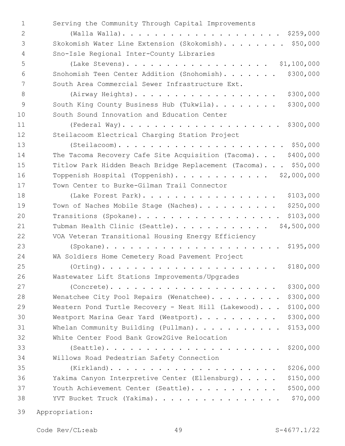| $\mathbf{1}$ | Serving the Community Through Capital Improvements                |
|--------------|-------------------------------------------------------------------|
| 2            |                                                                   |
| 3            | Skokomish Water Line Extension (Skokomish). \$50,000              |
| 4            | Sno-Isle Regional Inter-County Libraries                          |
| 5            | (Lake Stevens). \$1,100,000                                       |
| 6            | \$300,000<br>Snohomish Teen Center Addition (Snohomish).          |
| 7            | South Area Commercial Sewer Infrastructure Ext.                   |
| 8            | \$300,000<br>(Airway Heights).                                    |
| 9            | \$300,000<br>South King County Business Hub (Tukwila).            |
| 10           | South Sound Innovation and Education Center                       |
| 11           |                                                                   |
| 12           | Steilacoom Electrical Charging Station Project                    |
| 13           |                                                                   |
| 14           | The Tacoma Recovery Cafe Site Acquisition (Tacoma). \$400,000     |
| 15           | Titlow Park Hidden Beach Bridge Replacement (Tacoma). \$50,000    |
| 16           | Toppenish Hospital (Toppenish). \$2,000,000                       |
| 17           | Town Center to Burke-Gilman Trail Connector                       |
| 18           | \$103,000<br>(Lake Forest Park).                                  |
| 19           | \$250,000<br>Town of Naches Mobile Stage (Naches).                |
| 20           | \$103,000<br>Transitions (Spokane).                               |
| 21           | \$4,500,000<br>Tubman Health Clinic (Seattle).                    |
| 22           | VOA Veteran Transitional Housing Energy Efficiency                |
| 23           |                                                                   |
| 24           | WA Soldiers Home Cemetery Road Pavement Project                   |
| 25           | \$180,000<br>$(Orthing)$                                          |
| 26           | Wastewater Lift Stations Improvements/Upgrades                    |
| 27           | \$300,000<br>$(Concrete)$                                         |
| 28           | \$300,000<br>Wenatchee City Pool Repairs (Wenatchee).             |
| 29           | \$100,000<br>Western Pond Turtle Recovery - Nest Hill (Lakewood). |
| 30           | \$300,000<br>Westport Marina Gear Yard (Westport).                |
| 31           | \$153,000<br>Whelan Community Building (Pullman).                 |
| 32           | White Center Food Bank Grow2Give Relocation                       |
| 33           | \$200,000                                                         |
| 34           | Willows Road Pedestrian Safety Connection                         |
| 35           | \$206,000                                                         |
| 36           | \$150,000<br>Yakima Canyon Interpretive Center (Ellensburg).      |
| 37           | \$500,000<br>Youth Achievement Center (Seattle).                  |
| 38           | \$70,000<br>YVT Bucket Truck (Yakima).                            |
| $\cap$       |                                                                   |

Appropriation: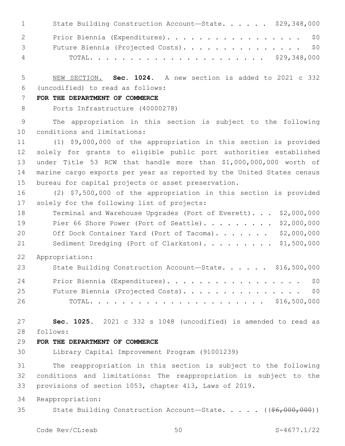| $1 \qquad \qquad$                 | State Building Construction Account-State. \$29,348,000 |
|-----------------------------------|---------------------------------------------------------|
| $\overline{2}$ and $\overline{2}$ | Prior Biennia (Expenditures). \$0                       |
| $\mathcal{S}$ and $\mathcal{S}$   | Future Biennia (Projected Costs). \$0                   |
| $\overline{4}$                    |                                                         |

 NEW SECTION. **Sec. 1024.** A new section is added to 2021 c 332 (uncodified) to read as follows: 6

#### **FOR THE DEPARTMENT OF COMMERCE**

Ports Infrastructure (40000278)

 The appropriation in this section is subject to the following 10 conditions and limitations:

 (1) \$9,000,000 of the appropriation in this section is provided solely for grants to eligible public port authorities established under Title 53 RCW that handle more than \$1,000,000,000 worth of marine cargo exports per year as reported by the United States census bureau for capital projects or asset preservation.

 (2) \$7,500,000 of the appropriation in this section is provided 17 solely for the following list of projects:

- 18 Terminal and Warehouse Upgrades (Port of Everett). . . \$2,000,000 19 Pier 66 Shore Power (Port of Seattle). . . . . . . . \$2,000,000 20 Off Dock Container Yard (Port of Tacoma)....... \$2,000,000 21 Sediment Dredging (Port of Clarkston). . . . . . . . \$1,500,000
- Appropriation:

| 23 | State Building Construction Account-State. \$16,500,000 |  |
|----|---------------------------------------------------------|--|
| 24 | Prior Biennia (Expenditures). \$0                       |  |
| 25 | Future Biennia (Projected Costs). \$0                   |  |
| 26 |                                                         |  |

 **Sec. 1025.** 2021 c 332 s 1048 (uncodified) is amended to read as follows: 28

#### **FOR THE DEPARTMENT OF COMMERCE**

Library Capital Improvement Program (91001239)

 The reappropriation in this section is subject to the following conditions and limitations: The reappropriation is subject to the provisions of section 1053, chapter 413, Laws of 2019.

Reappropriation:

35 State Building Construction Account—State. . . . . ((\$6,000,000))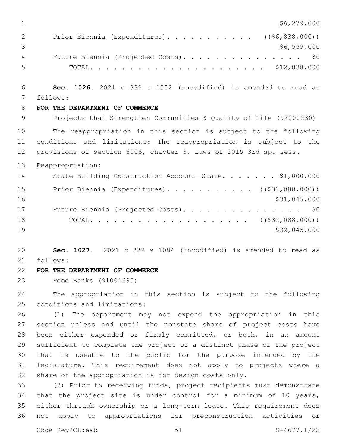| 1  | \$6, 279, 000                                                         |
|----|-----------------------------------------------------------------------|
| 2  | Prior Biennia (Expenditures).<br>$((\$6,838,000))$                    |
| 3  | \$6,559,000                                                           |
| 4  | Future Biennia (Projected Costs).<br>\$0                              |
| 5  |                                                                       |
| 6  | Sec. 1026. 2021 c 332 s 1052 (uncodified) is amended to read as       |
| 7  | follows:                                                              |
| 8  | FOR THE DEPARTMENT OF COMMERCE                                        |
| 9  | Projects that Strengthen Communities & Quality of Life (92000230)     |
| 10 | The reappropriation in this section is subject to the following       |
| 11 | conditions and limitations: The reappropriation is subject to the     |
| 12 | provisions of section 6006, chapter 3, Laws of 2015 3rd sp. sess.     |
| 13 | Reappropriation:                                                      |
| 14 | State Building Construction Account-State. \$1,000,000                |
| 15 | Prior Biennia (Expenditures). ( $(\frac{231}{1000}, 0.00)$ )          |
| 16 | \$31,045,000                                                          |
| 17 | Future Biennia (Projected Costs).<br>\$0                              |
| 18 |                                                                       |
| 19 | \$32,045,000                                                          |
| 20 | Sec. 1027. 2021 c 332 s 1084 (uncodified) is amended to read as       |
| 21 | follows:                                                              |
| 22 | FOR THE DEPARTMENT OF COMMERCE                                        |
| 23 | Food Banks (91001690)                                                 |
| 24 | The appropriation in this section is subject to the following         |
| 25 | conditions and limitations:                                           |
| 26 | (1) The department may not expend the appropriation in this           |
| 27 | section unless and until the nonstate share of project costs have     |
| 28 | been either expended or firmly committed, or both, in an amount       |
| 29 | sufficient to complete the project or a distinct phase of the project |
| 30 | that is useable to the public for the purpose intended by the         |
| 31 | legislature. This requirement does not apply to projects where a      |
| 32 | share of the appropriation is for design costs only.                  |
| 33 | (2) Prior to receiving funds, project recipients must demonstrate     |
| 34 | that the project site is under control for a minimum of 10 years,     |

 that the project site is under control for a minimum of 10 years, either through ownership or a long-term lease. This requirement does not apply to appropriations for preconstruction activities or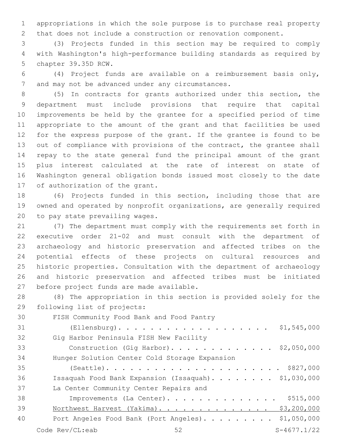appropriations in which the sole purpose is to purchase real property that does not include a construction or renovation component.

 (3) Projects funded in this section may be required to comply with Washington's high-performance building standards as required by 5 chapter 39.35D RCW.

 (4) Project funds are available on a reimbursement basis only, 7 and may not be advanced under any circumstances.

 (5) In contracts for grants authorized under this section, the department must include provisions that require that capital improvements be held by the grantee for a specified period of time appropriate to the amount of the grant and that facilities be used for the express purpose of the grant. If the grantee is found to be out of compliance with provisions of the contract, the grantee shall repay to the state general fund the principal amount of the grant plus interest calculated at the rate of interest on state of Washington general obligation bonds issued most closely to the date 17 of authorization of the grant.

 (6) Projects funded in this section, including those that are owned and operated by nonprofit organizations, are generally required 20 to pay state prevailing wages.

 (7) The department must comply with the requirements set forth in executive order 21-02 and must consult with the department of archaeology and historic preservation and affected tribes on the potential effects of these projects on cultural resources and historic properties. Consultation with the department of archaeology and historic preservation and affected tribes must be initiated 27 before project funds are made available.

 (8) The appropriation in this section is provided solely for the 29 following list of projects:

30 FISH Community Food Bank and Food Pantry

| 31 | \$1,545,000<br>$(Ellensburg)$                        |
|----|------------------------------------------------------|
| 32 | Gig Harbor Peninsula FISH New Facility               |
| 33 | Construction (Gig Harbor). \$2,050,000               |
| 34 | Hunger Solution Center Cold Storage Expansion        |
| 35 |                                                      |
| 36 | Issaquah Food Bank Expansion (Issaquah). \$1,030,000 |
| 37 | La Center Community Center Repairs and               |
| 38 | \$515,000<br>Improvements (La Center).               |
| 39 | Northwest Harvest (Yakima). \$3,200,000              |
| 40 | Port Angeles Food Bank (Port Angeles). \$1,050,000   |
|    | $S-4677.1/22$<br>Code Rev/CL:eab<br>52               |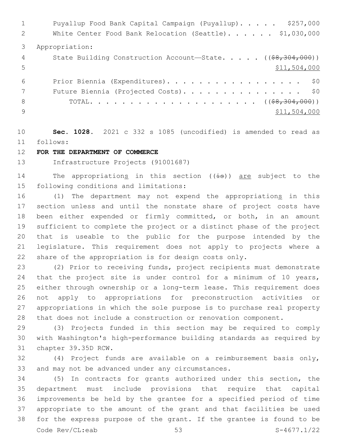1 Puyallup Food Bank Capital Campaign (Puyallup)...... \$257,000 2 White Center Food Bank Relocation (Seattle). . . . . \$1,030,000 Appropriation: 4 State Building Construction Account—State. . . . . ((\$8,304,000))  $5 - 5$   $5 - 1,504,000$  Prior Biennia (Expenditures). . . . . . . . . . . . . . . . . \$0 7 Future Biennia (Projected Costs). . . . . . . . . . . . . . \$0 TOTAL. . . . . . . . . . . . . . . . . . . . . ((\$8,304,000)) \$11,504,000

 **Sec. 1028.** 2021 c 332 s 1085 (uncodified) is amended to read as follows: 11

# **FOR THE DEPARTMENT OF COMMERCE**

Infrastructure Projects (91001687)

14 The appropriations in this section ((is)) are subject to the 15 following conditions and limitations:

 (1) The department may not expend the appropriations in this section unless and until the nonstate share of project costs have been either expended or firmly committed, or both, in an amount sufficient to complete the project or a distinct phase of the project that is useable to the public for the purpose intended by the legislature. This requirement does not apply to projects where a share of the appropriation is for design costs only.

 (2) Prior to receiving funds, project recipients must demonstrate that the project site is under control for a minimum of 10 years, either through ownership or a long-term lease. This requirement does not apply to appropriations for preconstruction activities or appropriations in which the sole purpose is to purchase real property that does not include a construction or renovation component.

 (3) Projects funded in this section may be required to comply with Washington's high-performance building standards as required by 31 chapter 39.35D RCW.

 (4) Project funds are available on a reimbursement basis only, 33 and may not be advanced under any circumstances.

 (5) In contracts for grants authorized under this section, the department must include provisions that require that capital improvements be held by the grantee for a specified period of time appropriate to the amount of the grant and that facilities be used for the express purpose of the grant. If the grantee is found to be Code Rev/CL:eab 53 S-4677.1/22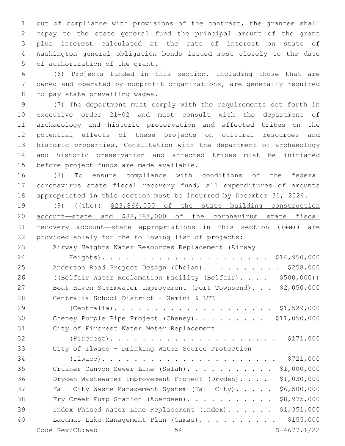out of compliance with provisions of the contract, the grantee shall repay to the state general fund the principal amount of the grant plus interest calculated at the rate of interest on state of Washington general obligation bonds issued most closely to the date 5 of authorization of the grant.

 (6) Projects funded in this section, including those that are owned and operated by nonprofit organizations, are generally required 8 to pay state prevailing wages.

 (7) The department must comply with the requirements set forth in executive order 21-02 and must consult with the department of archaeology and historic preservation and affected tribes on the potential effects of these projects on cultural resources and historic properties. Consultation with the department of archaeology and historic preservation and affected tribes must be initiated 15 before project funds are made available.

 (8) To ensure compliance with conditions of the federal coronavirus state fiscal recovery fund, all expenditures of amounts appropriated in this section must be incurred by December 31, 2024.

 (9) ((The)) \$23,866,000 of the state building construction account—state and \$88,384,000 of the coronavirus state fiscal 21 recovery account—state appropriations in this section  $((\frac{1}{18}))$  are provided solely for the following list of projects:

Airway Heights Water Resources Replacement (Airway

 Heights). . . . . . . . . . . . . . . . . . . . . \$14,950,000 25 Anderson Road Project Design (Chelan). . . . . . . . . \$258,000 26 ((Belfair Water Reclamation Facility (Belfair).... \$500,000)) Boat Haven Stormwater Improvement (Port Townsend). . . \$2,050,000 Centralia School District - Gemini & LTE28

 (Centralia). . . . . . . . . . . . . . . . . . . . \$1,529,000 30 Cheney Purple Pipe Project (Cheney). . . . . . . . \$11,050,000 31 City of Fircrest Water Meter Replacement

 (Fircrest). . . . . . . . . . . . . . . . . . . . . \$171,000 City of Ilwaco – Drinking Water Source Protection (Ilwaco). . . . . . . . . . . . . . . . . . . . . . \$721,000 35 Crusher Canyon Sewer Line (Selah). . . . . . . . . . \$1,000,000 Dryden Wastewater Improvement Project (Dryden). . . . \$1,030,000 Fall City Waste Management System (Fall City). . . . . \$6,500,000 38 Fry Creek Pump Station (Aberdeen). . . . . . . . . . \$8,975,000 Index Phased Water Line Replacement (Index). . . . . . \$1,351,000 40 Lacamas Lake Management Plan (Camas). . . . . . . . . . \$155,000 Code Rev/CL:eab 54 S-4677.1/22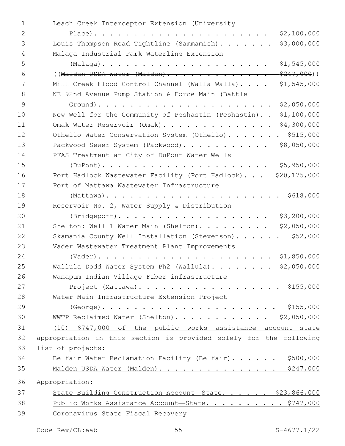| $\mathbf 1$    | Leach Creek Interceptor Extension (University                      |
|----------------|--------------------------------------------------------------------|
| $\mathbf{2}$   | \$2,100,000                                                        |
| 3              | Louis Thompson Road Tightline (Sammamish).<br>\$3,000,000          |
| $\overline{4}$ | Malaga Industrial Park Waterline Extension                         |
| 5              | \$1,545,000                                                        |
| 6              | ((Malden USDA Water (Malden).<br><del>\$247,000</del> ))           |
| 7              | \$1,545,000<br>Mill Creek Flood Control Channel (Walla Walla).     |
| 8              | NE 92nd Avenue Pump Station & Force Main (Battle                   |
| $\mathcal{G}$  | \$2,050,000                                                        |
| 10             | New Well for the Community of Peshastin (Peshastin)<br>\$1,100,000 |
| 11             | Omak Water Reservoir (Omak). \$4,300,000                           |
| 12             | Othello Water Conservation System (Othello). \$515,000             |
| 13             | Packwood Sewer System (Packwood).<br>\$8,050,000                   |
| 14             | PFAS Treatment at City of DuPont Water Wells                       |
| 15             | \$5,950,000                                                        |
| 16             | Port Hadlock Wastewater Facility (Port Hadlock) \$20,175,000       |
| 17             | Port of Mattawa Wastewater Infrastructure                          |
| 18             |                                                                    |
| 19             | Reservoir No. 2, Water Supply & Distribution                       |
| 20             | (Bridgeport).<br>\$3,200,000                                       |
| 21             | \$2,050,000<br>Shelton: Well 1 Water Main (Shelton).               |
| 22             | Skamania County Well Installation (Stevenson).<br>\$52,000         |
| 23             | Vader Wastewater Treatment Plant Improvements                      |
| 24             |                                                                    |
| 25             | Wallula Dodd Water System Ph2 (Wallula). \$2,050,000               |
| 26             | Wanapum Indian Village Fiber infrastructure                        |
| 27             | Project (Mattawa). \$155,000                                       |
| 28             | Water Main Infrastructure Extension Project                        |
| 29             |                                                                    |
| 30             | WWTP Reclaimed Water (Shelton). \$2,050,000                        |
| 31             | (10) \$747,000 of the public works assistance account-state        |
| 32             | appropriation in this section is provided solely for the following |
| 33             | list of projects:                                                  |
| 34             | Belfair Water Reclamation Facility (Belfair). \$500,000            |
| 35             | Malden USDA Water (Malden). \$247,000                              |
| 36             | Appropriation:                                                     |
| 37             | State Building Construction Account-State. \$23,866,000            |
| 38             | Public Works Assistance Account-State. \$747,000                   |
| 39             | Coronavirus State Fiscal Recovery                                  |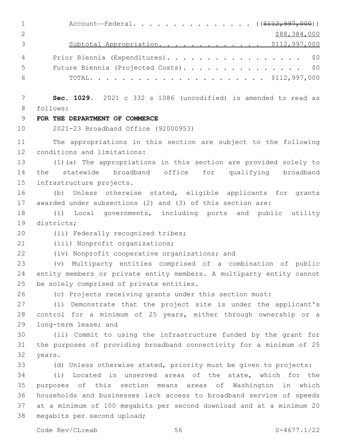| 1              | Account-Federal. ( $(\frac{112,997,000}{$ )                                   |
|----------------|-------------------------------------------------------------------------------|
| $\overline{2}$ | \$88,384,000                                                                  |
| 3              | Subtotal Appropriation. \$112,997,000                                         |
| 4              | \$0<br>Prior Biennia (Expenditures).                                          |
| 5              | Future Biennia (Projected Costs). \$0                                         |
| 6              |                                                                               |
| 7              | Sec. 1029. 2021 c 332 s 1086 (uncodified) is amended to read as               |
| $8\,$          | follows:                                                                      |
| 9              | FOR THE DEPARTMENT OF COMMERCE                                                |
| 10             | 2021-23 Broadband Office (92000953)                                           |
| 11             | The appropriations in this section are subject to the following               |
| 12             | conditions and limitations:                                                   |
| 13             | (1) (a) The appropriations in this section are provided solely to             |
| 14             | statewide broadband office for qualifying broadband<br>the                    |
| 15             | infrastructure projects.                                                      |
| 16             | Unless otherwise stated, eligible applicants for grants<br>(b)                |
| 17             | awarded under subsections (2) and (3) of this section are:                    |
| 18             | (i)<br>Local governments, including ports and public utility                  |
| 19             | districts;                                                                    |
| 20             | (ii) Federally recognized tribes;                                             |
| 21             | (iii) Nonprofit organizations;                                                |
| 22             | (iv) Nonprofit cooperative organizations; and                                 |
| 23             | Multiparty entities comprised of a combination of public<br>$(\triangledown)$ |
| 24             | entity members or private entity members. A multiparty entity cannot          |
| 25             | be solely comprised of private entities.                                      |
| 26             | (c) Projects receiving grants under this section must:                        |
| 27             | (i) Demonstrate that the project site is under the applicant's                |
| 28             | control for a minimum of 25 years, either through ownership or a              |
| 29             | long-term lease; and                                                          |
| 30             | (ii) Commit to using the infrastructure funded by the grant for               |
| 31             | the purposes of providing broadband connectivity for a minimum of 25          |
| 32             | years.                                                                        |
| 33             | (d) Unless otherwise stated, priority must be given to projects:              |
| 34             | Located in unserved areas of the state, which for the<br>(i)                  |
| 35             | purposes of this section means areas of Washington in which                   |
| 36             | households and businesses lack access to broadband service of speeds          |
| 37             | at a minimum of 100 megabits per second download and at a minimum 20          |
| 38             | megabits per second upload;                                                   |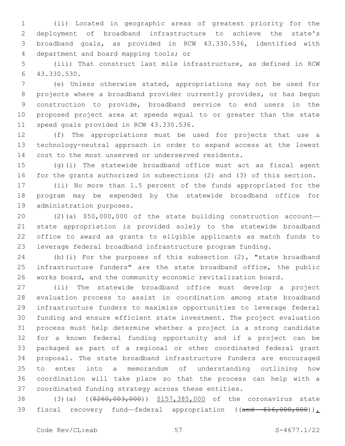(ii) Located in geographic areas of greatest priority for the deployment of broadband infrastructure to achieve the state's broadband goals, as provided in RCW 43.330.536, identified with 4 department and board mapping tools; or

 (iii) That construct last mile infrastructure, as defined in RCW 43.330.530.6

 (e) Unless otherwise stated, appropriations may not be used for projects where a broadband provider currently provides, or has begun construction to provide, broadband service to end users in the proposed project area at speeds equal to or greater than the state 11 speed goals provided in RCW 43.330.536.

 (f) The appropriations must be used for projects that use a technology-neutral approach in order to expand access at the lowest cost to the most unserved or underserved residents.

 (g)(i) The statewide broadband office must act as fiscal agent for the grants authorized in subsections (2) and (3) of this section.

 (ii) No more than 1.5 percent of the funds appropriated for the program may be expended by the statewide broadband office for 19 administration purposes.

 (2)(a) \$50,000,000 of the state building construction account— state appropriation is provided solely to the statewide broadband office to award as grants to eligible applicants as match funds to leverage federal broadband infrastructure program funding.

 (b)(i) For the purposes of this subsection (2), "state broadband infrastructure funders" are the state broadband office, the public works board, and the community economic revitalization board.

 (ii) The statewide broadband office must develop a project evaluation process to assist in coordination among state broadband infrastructure funders to maximize opportunities to leverage federal funding and ensure efficient state investment. The project evaluation process must help determine whether a project is a strong candidate for a known federal funding opportunity and if a project can be packaged as part of a regional or other coordinated federal grant proposal. The state broadband infrastructure funders are encouraged to enter into a memorandum of understanding outlining how coordination will take place so that the process can help with a coordinated funding strategy across these entities.

38 (3)(a) ((\$260,003,000)) \$157,385,000 of the coronavirus state 39 fiscal recovery fund—federal appropriation ((and \$16,000,000)),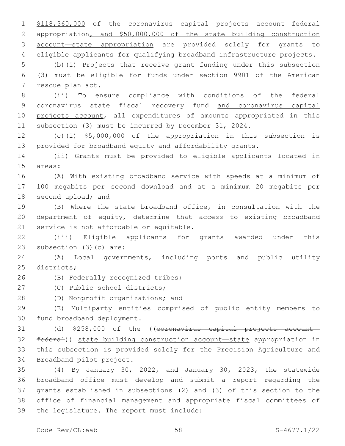\$118,360,000 of the coronavirus capital projects account—federal appropriation, and \$50,000,000 of the state building construction account—state appropriation are provided solely for grants to eligible applicants for qualifying broadband infrastructure projects.

 (b)(i) Projects that receive grant funding under this subsection (3) must be eligible for funds under section 9901 of the American 7 rescue plan act.

 (ii) To ensure compliance with conditions of the federal coronavirus state fiscal recovery fund and coronavirus capital projects account, all expenditures of amounts appropriated in this subsection (3) must be incurred by December 31, 2024.

 (c)(i) \$5,000,000 of the appropriation in this subsection is provided for broadband equity and affordability grants.

 (ii) Grants must be provided to eligible applicants located in 15 areas:

 (A) With existing broadband service with speeds at a minimum of 100 megabits per second download and at a minimum 20 megabits per 18 second upload; and

 (B) Where the state broadband office, in consultation with the department of equity, determine that access to existing broadband 21 service is not affordable or equitable.

 (iii) Eligible applicants for grants awarded under this 23 subsection (3)(c) are:

 (A) Local governments, including ports and public utility 25 districts:

(B) Federally recognized tribes;26

27 (C) Public school districts;

28 (D) Nonprofit organizations; and

 (E) Multiparty entities comprised of public entity members to 30 fund broadband deployment.

 (d) \$258,000 of the ((coronavirus capital projects account— federal)) state building construction account—state appropriation in this subsection is provided solely for the Precision Agriculture and 34 Broadband pilot project.

 (4) By January 30, 2022, and January 30, 2023, the statewide broadband office must develop and submit a report regarding the grants established in subsections (2) and (3) of this section to the office of financial management and appropriate fiscal committees of 39 the legislature. The report must include: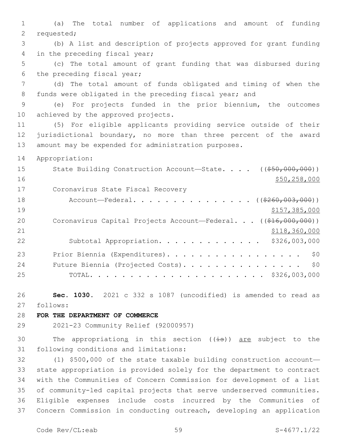1 (a) The total number of applications and amount of funding 2 requested; 3 (b) A list and description of projects approved for grant funding 4 in the preceding fiscal year; 5 (c) The total amount of grant funding that was disbursed during 6 the preceding fiscal year; 7 (d) The total amount of funds obligated and timing of when the 8 funds were obligated in the preceding fiscal year; and 9 (e) For projects funded in the prior biennium, the outcomes 10 achieved by the approved projects. 11 (5) For eligible applicants providing service outside of their 12 jurisdictional boundary, no more than three percent of the award 13 amount may be expended for administration purposes. 14 Appropriation: 15 State Building Construction Account—State. . . . ((\$50,000,000))  $16$  \$50,258,000 17 Coronavirus State Fiscal Recovery 18 Account—Federal. . . . . . . . . . . . . ((\$260,003,000)) 19 \$157,385,000 20 Coronavirus Capital Projects Account—Federal... ((\$16,000,000)) 21 **\$118,360,000** \$118,360,000 22 Subtotal Appropriation. . . . . . . . . . . . . \$326,003,000 23 Prior Biennia (Expenditures). . . . . . . . . . . . . . . . \$0 24 Future Biennia (Projected Costs). . . . . . . . . . . . . . \$0 25 TOTAL. . . . . . . . . . . . . . . . . . . . . . \$326,003,000 26 **Sec. 1030.** 2021 c 332 s 1087 (uncodified) is amended to read as follows: 27 28 **FOR THE DEPARTMENT OF COMMERCE** 29 2021-23 Community Relief (92000957)

30 The appropriations in this section  $((\frac{1}{18}))$  are subject to the 31 following conditions and limitations:

 (1) \$500,000 of the state taxable building construction account— state appropriation is provided solely for the department to contract with the Communities of Concern Commission for development of a list of community-led capital projects that serve underserved communities. Eligible expenses include costs incurred by the Communities of Concern Commission in conducting outreach, developing an application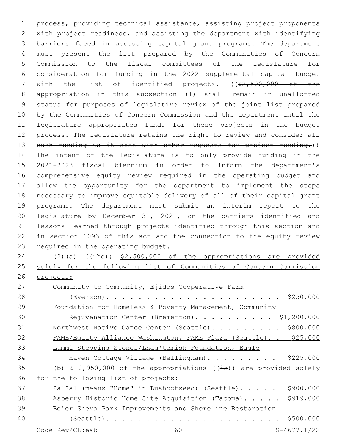process, providing technical assistance, assisting project proponents with project readiness, and assisting the department with identifying barriers faced in accessing capital grant programs. The department must present the list prepared by the Communities of Concern Commission to the fiscal committees of the legislature for consideration for funding in the 2022 supplemental capital budget 7 with the list of identified projects. ((\$2,500,000 of the appropriation in this subsection (1) shall remain in unallotted status for purposes of legislative review of the joint list prepared 10 by the Communities of Concern Commission and the department until the legislature appropriates funds for these projects in the budget 12 process. The legislature retains the right to review and consider all 13 such funding as it does with other requests for project funding.)) The intent of the legislature is to only provide funding in the 2021-2023 fiscal biennium in order to inform the department's comprehensive equity review required in the operating budget and allow the opportunity for the department to implement the steps necessary to improve equitable delivery of all of their capital grant programs. The department must submit an interim report to the legislature by December 31, 2021, on the barriers identified and lessons learned through projects identified through this section and in section 1093 of this act and the connection to the equity review 23 required in the operating budget. 24 (2)(a) ((The)) \$2,500,000 of the appropriations are provided solely for the following list of Communities of Concern Commission projects: Community to Community, Ejidos Cooperative Farm (Everson). . . . . . . . . . . . . . . . . . . . . . \$250,000 Foundation for Homeless & Poverty Management, Community

30 Rejuvenation Center (Bremerton). . . . . . . . . \$1,200,000 31 Northwest Native Canoe Center (Seattle). . . . . . . . \$800,000 32 FAME/Equity Alliance Washington, FAME Plaza (Seattle). . \$25,000 Lummi Stepping Stones/Lhaq'temish Foundation, Eagle

 Haven Cottage Village (Bellingham). . . . . . . . . \$225,000 35 (b) \$10,950,000 of the appropriations ((is)) are provided solely 36 for the following list of projects:

37 31?al (means "Home" in Lushootseed) (Seattle). . . . . \$900,000 Asberry Historic Home Site Acquisition (Tacoma). . . . . \$919,000 Be'er Sheva Park Improvements and Shoreline Restoration

(Seattle). . . . . . . . . . . . . . . . . . . . . . \$500,000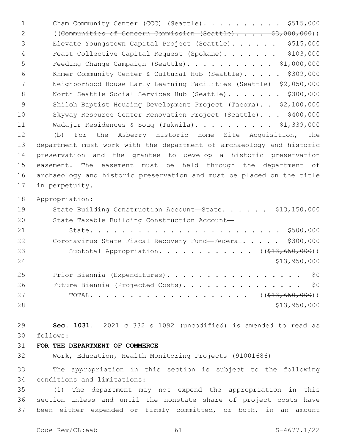| $\mathbf{1}$ | Cham Community Center (CCC) (Seattle). \$515,000                      |
|--------------|-----------------------------------------------------------------------|
| 2            | $((\text{Communities of Concern Commission (Scattle})$ \$3,000,000))  |
| 3            | \$515,000<br>Elevate Youngstown Capital Project (Seattle).            |
| 4            | \$103,000<br>Feast Collective Capital Request (Spokane).              |
| 5            | Feeding Change Campaign (Seattle). \$1,000,000                        |
| 6            | Khmer Community Center & Cultural Hub (Seattle). \$309,000            |
| 7            | Neighborhood House Early Learning Facilities (Seattle) \$2,050,000    |
| 8            | North Seattle Social Services Hub (Seattle). \$300,000                |
| 9            | Shiloh Baptist Housing Development Project (Tacoma). . \$2,100,000    |
| 10           | Skyway Resource Center Renovation Project (Seattle). \$400,000        |
| 11           | Wadajir Residences & Soug (Tukwila). \$1,339,000                      |
| 12           | Asberry Historic Home Site Acquisition, the<br>For the<br>(b)         |
| 13           | department must work with the department of archaeology and historic  |
| 14           | preservation and the grantee to develop a historic preservation       |
| 15           | easement. The easement must be held through the department of         |
| 16           | archaeology and historic preservation and must be placed on the title |
| 17           | in perpetuity.                                                        |
| 18           | Appropriation:                                                        |
|              |                                                                       |
| 19           | State Building Construction Account-State. \$13,150,000               |
| 20           | State Taxable Building Construction Account-                          |
| 21           |                                                                       |
| 22           | Coronavirus State Fiscal Recovery Fund-Federal. \$300,000             |
| 23           | Subtotal Appropriation. ( $(\frac{13}{613}, 650, 000)$ )              |
| 24           | \$13,950,000                                                          |
| 25           | Prior Biennia (Expenditures).<br>\$0                                  |
| 26           | Future Biennia (Projected Costs).<br>\$0                              |
| 27           |                                                                       |
| 28           | \$13,950,000                                                          |
|              |                                                                       |
| 29           | Sec. 1031. 2021 c 332 s 1092 (uncodified) is amended to read as       |
| 30           | follows:                                                              |
| 31           | FOR THE DEPARTMENT OF COMMERCE                                        |
| 32           | Work, Education, Health Monitoring Projects (91001686)                |
| 33           | The appropriation in this section is subject to the following         |

 (1) The department may not expend the appropriation in this section unless and until the nonstate share of project costs have been either expended or firmly committed, or both, in an amount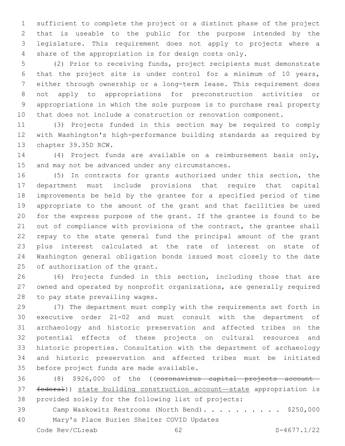sufficient to complete the project or a distinct phase of the project that is useable to the public for the purpose intended by the legislature. This requirement does not apply to projects where a share of the appropriation is for design costs only.

 (2) Prior to receiving funds, project recipients must demonstrate that the project site is under control for a minimum of 10 years, either through ownership or a long-term lease. This requirement does not apply to appropriations for preconstruction activities or appropriations in which the sole purpose is to purchase real property that does not include a construction or renovation component.

 (3) Projects funded in this section may be required to comply with Washington's high-performance building standards as required by 13 chapter 39.35D RCW.

 (4) Project funds are available on a reimbursement basis only, 15 and may not be advanced under any circumstances.

 (5) In contracts for grants authorized under this section, the department must include provisions that require that capital improvements be held by the grantee for a specified period of time appropriate to the amount of the grant and that facilities be used for the express purpose of the grant. If the grantee is found to be 21 out of compliance with provisions of the contract, the grantee shall repay to the state general fund the principal amount of the grant plus interest calculated at the rate of interest on state of Washington general obligation bonds issued most closely to the date 25 of authorization of the grant.

 (6) Projects funded in this section, including those that are owned and operated by nonprofit organizations, are generally required 28 to pay state prevailing wages.

 (7) The department must comply with the requirements set forth in executive order 21-02 and must consult with the department of archaeology and historic preservation and affected tribes on the potential effects of these projects on cultural resources and historic properties. Consultation with the department of archaeology and historic preservation and affected tribes must be initiated 35 before project funds are made available.

 (8) \$926,000 of the ((coronavirus capital projects account— federal)) state building construction account—state appropriation is provided solely for the following list of projects:

39 Camp Waskowitz Restrooms (North Bend). . . . . . . . . \$250,000 40 Mary's Place Burien Shelter COVID Updates

Code Rev/CL:eab 62 S-4677.1/22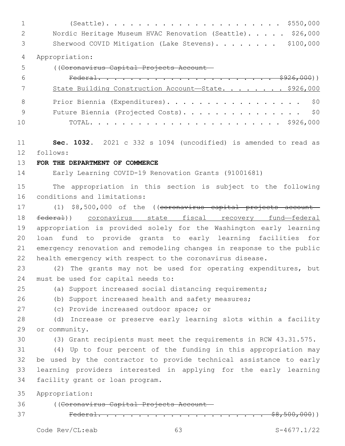(Seattle). . . . . . . . . . . . . . . . . . . . . . \$550,000 2 Nordic Heritage Museum HVAC Renovation (Seattle). . . . . \$26,000 3 Sherwood COVID Mitigation (Lake Stevens). . . . . . . \$100,000 Appropriation: ((Coronavirus Capital Projects Account— Federal. . . . . . . . . . . . . . . . . . . . . . \$926,000)) 7 State Building Construction Account-State. . . . . . . \$926,000 8 Prior Biennia (Expenditures). . . . . . . . . . . . . . . . \$0 Future Biennia (Projected Costs). . . . . . . . . . . . . . . \$0 TOTAL. . . . . . . . . . . . . . . . . . . . . . . . \$926,000 **Sec. 1032.** 2021 c 332 s 1094 (uncodified) is amended to read as follows: 12 **FOR THE DEPARTMENT OF COMMERCE** Early Learning COVID-19 Renovation Grants (91001681) The appropriation in this section is subject to the following 16 conditions and limitations: 17 (1) \$8,500,000 of the ((coronavirus capital projects account— federal)) coronavirus state fiscal recovery fund—federal appropriation is provided solely for the Washington early learning loan fund to provide grants to early learning facilities for emergency renovation and remodeling changes in response to the public health emergency with respect to the coronavirus disease. (2) The grants may not be used for operating expenditures, but 24 must be used for capital needs to: (a) Support increased social distancing requirements; (b) Support increased health and safety measures; 27 (c) Provide increased outdoor space; or (d) Increase or preserve early learning slots within a facility 29 or community. (3) Grant recipients must meet the requirements in RCW 43.31.575. (4) Up to four percent of the funding in this appropriation may be used by the contractor to provide technical assistance to early learning providers interested in applying for the early learning 34 facility grant or loan program. Appropriation: ((Coronavirus Capital Projects Account— Federal. . . . . . . . . . . . . . . . . . . . . \$8,500,000))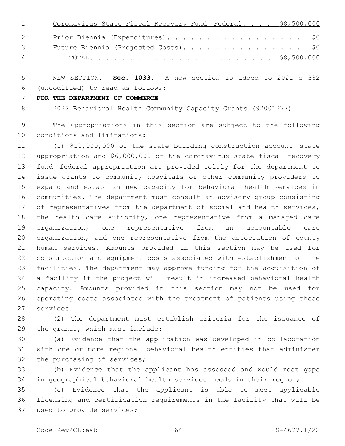| $1 \qquad \qquad$               | Coronavirus State Fiscal Recovery Fund-Federal. \$8,500,000 |
|---------------------------------|-------------------------------------------------------------|
| $\mathbf{2}$                    | Prior Biennia (Expenditures). \$0                           |
| $\mathcal{S}$ and $\mathcal{S}$ | Future Biennia (Projected Costs). \$0                       |
| 4                               |                                                             |

 NEW SECTION. **Sec. 1033.** A new section is added to 2021 c 332 (uncodified) to read as follows: 6

**FOR THE DEPARTMENT OF COMMERCE**

2022 Behavioral Health Community Capacity Grants (92001277)

 The appropriations in this section are subject to the following 10 conditions and limitations:

 (1) \$10,000,000 of the state building construction account—state appropriation and \$6,000,000 of the coronavirus state fiscal recovery fund—federal appropriation are provided solely for the department to issue grants to community hospitals or other community providers to expand and establish new capacity for behavioral health services in communities. The department must consult an advisory group consisting 17 of representatives from the department of social and health services, the health care authority, one representative from a managed care organization, one representative from an accountable care organization, and one representative from the association of county human services. Amounts provided in this section may be used for construction and equipment costs associated with establishment of the facilities. The department may approve funding for the acquisition of a facility if the project will result in increased behavioral health capacity. Amounts provided in this section may not be used for operating costs associated with the treatment of patients using these 27 services.

 (2) The department must establish criteria for the issuance of 29 the grants, which must include:

 (a) Evidence that the application was developed in collaboration with one or more regional behavioral health entities that administer 32 the purchasing of services;

 (b) Evidence that the applicant has assessed and would meet gaps in geographical behavioral health services needs in their region;

 (c) Evidence that the applicant is able to meet applicable licensing and certification requirements in the facility that will be 37 used to provide services;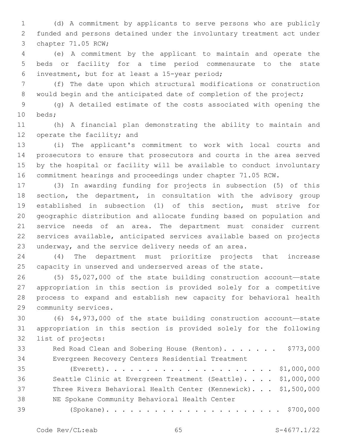(d) A commitment by applicants to serve persons who are publicly funded and persons detained under the involuntary treatment act under 3 chapter 71.05 RCW;

 (e) A commitment by the applicant to maintain and operate the beds or facility for a time period commensurate to the state investment, but for at least a 15-year period;6

 (f) The date upon which structural modifications or construction 8 would begin and the anticipated date of completion of the project;

 (g) A detailed estimate of the costs associated with opening the 10 beds;

 (h) A financial plan demonstrating the ability to maintain and 12 operate the facility; and

 (i) The applicant's commitment to work with local courts and prosecutors to ensure that prosecutors and courts in the area served by the hospital or facility will be available to conduct involuntary commitment hearings and proceedings under chapter 71.05 RCW.

 (3) In awarding funding for projects in subsection (5) of this 18 section, the department, in consultation with the advisory group established in subsection (1) of this section, must strive for geographic distribution and allocate funding based on population and service needs of an area. The department must consider current services available, anticipated services available based on projects underway, and the service delivery needs of an area.

 (4) The department must prioritize projects that increase capacity in unserved and underserved areas of the state.

 (5) \$5,027,000 of the state building construction account—state appropriation in this section is provided solely for a competitive process to expand and establish new capacity for behavioral health 29 community services.

 (6) \$4,973,000 of the state building construction account—state appropriation in this section is provided solely for the following 32 list of projects:

| 33 | Red Road Clean and Sobering House (Renton). \$773,000 |
|----|-------------------------------------------------------|
| 34 | Evergreen Recovery Centers Residential Treatment      |

 (Everett). . . . . . . . . . . . . . . . . . . . . \$1,000,000 Seattle Clinic at Evergreen Treatment (Seattle). . . . \$1,000,000 Three Rivers Behavioral Health Center (Kennewick). . . \$1,500,000 38 NE Spokane Community Behavioral Health Center (Spokane). . . . . . . . . . . . . . . . . . . . . . \$700,000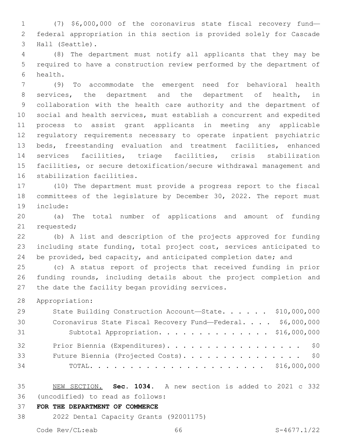(7) \$6,000,000 of the coronavirus state fiscal recovery fund— federal appropriation in this section is provided solely for Cascade 3 Hall (Seattle).

 (8) The department must notify all applicants that they may be required to have a construction review performed by the department of 6 health.

 (9) To accommodate the emergent need for behavioral health services, the department and the department of health, in collaboration with the health care authority and the department of social and health services, must establish a concurrent and expedited process to assist grant applicants in meeting any applicable regulatory requirements necessary to operate inpatient psychiatric beds, freestanding evaluation and treatment facilities, enhanced services facilities, triage facilities, crisis stabilization facilities, or secure detoxification/secure withdrawal management and 16 stabilization facilities.

 (10) The department must provide a progress report to the fiscal committees of the legislature by December 30, 2022. The report must 19 include:

 (a) The total number of applications and amount of funding 21 requested;

 (b) A list and description of the projects approved for funding including state funding, total project cost, services anticipated to 24 be provided, bed capacity, and anticipated completion date; and

 (c) A status report of projects that received funding in prior funding rounds, including details about the project completion and 27 the date the facility began providing services.

Appropriation:

| 29 | State Building Construction Account-State. \$10,000,000     |  |
|----|-------------------------------------------------------------|--|
| 30 | Coronavirus State Fiscal Recovery Fund-Federal. \$6,000,000 |  |
| 31 | Subtotal Appropriation. \$16,000,000                        |  |
| 32 | Prior Biennia (Expenditures). \$0                           |  |
| 33 | Future Biennia (Projected Costs). \$0                       |  |
| 34 |                                                             |  |

 NEW SECTION. **Sec. 1034.** A new section is added to 2021 c 332 (uncodified) to read as follows: 36

**FOR THE DEPARTMENT OF COMMERCE**

2022 Dental Capacity Grants (92001175)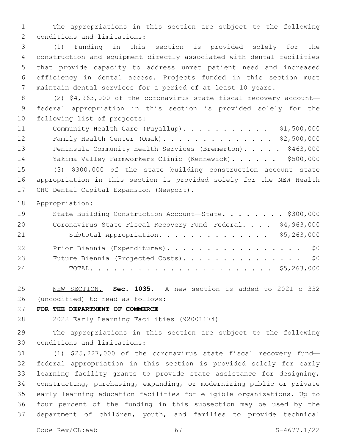The appropriations in this section are subject to the following 2 conditions and limitations:

 (1) Funding in this section is provided solely for the construction and equipment directly associated with dental facilities that provide capacity to address unmet patient need and increased efficiency in dental access. Projects funded in this section must maintain dental services for a period of at least 10 years.

 (2) \$4,963,000 of the coronavirus state fiscal recovery account— federal appropriation in this section is provided solely for the 10 following list of projects:

11 Community Health Care (Puyallup). . . . . . . . . . \$1,500,000 Family Health Center (Omak). . . . . . . . . . . . . . \$2,500,000 13 Peninsula Community Health Services (Bremerton). . . . . \$463,000 14 Yakima Valley Farmworkers Clinic (Kennewick)...... \$500,000 (3) \$300,000 of the state building construction account—state appropriation in this section is provided solely for the NEW Health 17 CHC Dental Capital Expansion (Newport).

Appropriation:

| 19 | State Building Construction Account-State. \$300,000        |  |
|----|-------------------------------------------------------------|--|
| 20 | Coronavirus State Fiscal Recovery Fund-Federal. \$4,963,000 |  |
| 21 | Subtotal Appropriation. \$5,263,000                         |  |
| 22 | Prior Biennia (Expenditures). \$0                           |  |
| 23 | Future Biennia (Projected Costs). \$0                       |  |
| 24 |                                                             |  |

 NEW SECTION. **Sec. 1035.** A new section is added to 2021 c 332 (uncodified) to read as follows: 26

## **FOR THE DEPARTMENT OF COMMERCE**

2022 Early Learning Facilities (92001174)

 The appropriations in this section are subject to the following 30 conditions and limitations:

 (1) \$25,227,000 of the coronavirus state fiscal recovery fund— federal appropriation in this section is provided solely for early learning facility grants to provide state assistance for designing, constructing, purchasing, expanding, or modernizing public or private early learning education facilities for eligible organizations. Up to four percent of the funding in this subsection may be used by the department of children, youth, and families to provide technical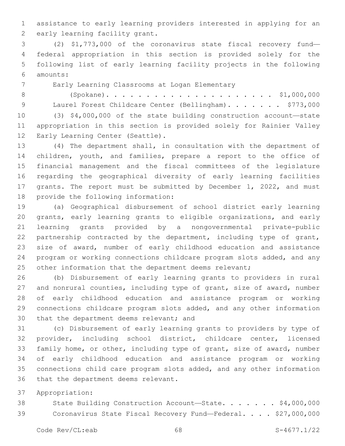assistance to early learning providers interested in applying for an 2 early learning facility grant.

 (2) \$1,773,000 of the coronavirus state fiscal recovery fund— federal appropriation in this section is provided solely for the following list of early learning facility projects in the following amounts:6

7 Early Learning Classrooms at Logan Elementary

 (Spokane). . . . . . . . . . . . . . . . . . . . . \$1,000,000 9 Laurel Forest Childcare Center (Bellingham). . . . . . \$773,000 (3) \$4,000,000 of the state building construction account—state appropriation in this section is provided solely for Rainier Valley 12 Early Learning Center (Seattle).

 (4) The department shall, in consultation with the department of children, youth, and families, prepare a report to the office of financial management and the fiscal committees of the legislature regarding the geographical diversity of early learning facilities grants. The report must be submitted by December 1, 2022, and must 18 provide the following information:

 (a) Geographical disbursement of school district early learning grants, early learning grants to eligible organizations, and early learning grants provided by a nongovernmental private-public 22 partnership contracted by the department, including type of grant, size of award, number of early childhood education and assistance program or working connections childcare program slots added, and any 25 other information that the department deems relevant;

 (b) Disbursement of early learning grants to providers in rural and nonrural counties, including type of grant, size of award, number of early childhood education and assistance program or working connections childcare program slots added, and any other information 30 that the department deems relevant; and

 (c) Disbursement of early learning grants to providers by type of provider, including school district, childcare center, licensed family home, or other, including type of grant, size of award, number of early childhood education and assistance program or working connections child care program slots added, and any other information 36 that the department deems relevant.

Appropriation:

38 State Building Construction Account-State. . . . . . \$4,000,000 Coronavirus State Fiscal Recovery Fund—Federal. . . . \$27,000,000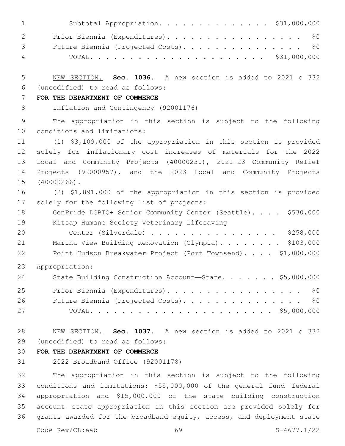|                                   | Subtotal Appropriation. \$31,000,000<br>$1 \qquad \qquad$ |
|-----------------------------------|-----------------------------------------------------------|
| $\overline{2}$ and $\overline{2}$ | Prior Biennia (Expenditures). \$0                         |
| $\mathcal{S}$ and $\mathcal{S}$   | Future Biennia (Projected Costs). \$0                     |
|                                   | $\overline{4}$                                            |

 NEW SECTION. **Sec. 1036.** A new section is added to 2021 c 332 (uncodified) to read as follows: 6

### **FOR THE DEPARTMENT OF COMMERCE**

Inflation and Contingency (92001176)

 The appropriation in this section is subject to the following 10 conditions and limitations:

 (1) \$3,109,000 of the appropriation in this section is provided solely for inflationary cost increases of materials for the 2022 Local and Community Projects (40000230), 2021-23 Community Relief Projects (92000957), and the 2023 Local and Community Projects 15 (40000266).

 (2) \$1,891,000 of the appropriation in this section is provided 17 solely for the following list of projects:

- 18 GenPride LGBTQ+ Senior Community Center (Seattle). . . . \$530,000 19 Kitsap Humane Society Veterinary Lifesaving
- Center (Silverdale) . . . . . . . . . . . . . . . . \$258,000 21 Marina View Building Renovation (Olympia). . . . . . . \$103,000 Point Hudson Breakwater Project (Port Townsend). . . . \$1,000,000
- Appropriation:

| 24 | State Building Construction Account-State. \$5,000,000 |
|----|--------------------------------------------------------|
| 25 | Prior Biennia (Expenditures). \$0                      |
| 26 | Future Biennia (Projected Costs). \$0                  |
| 27 |                                                        |

 NEW SECTION. **Sec. 1037.** A new section is added to 2021 c 332 (uncodified) to read as follows: 29

# **FOR THE DEPARTMENT OF COMMERCE**

2022 Broadband Office (92001178)

 The appropriation in this section is subject to the following conditions and limitations: \$55,000,000 of the general fund—federal appropriation and \$15,000,000 of the state building construction account—state appropriation in this section are provided solely for grants awarded for the broadband equity, access, and deployment state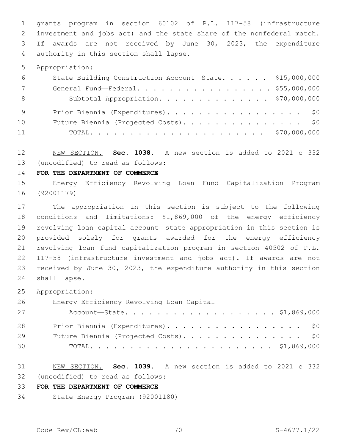grants program in section 60102 of P.L. 117-58 (infrastructure investment and jobs act) and the state share of the nonfederal match. If awards are not received by June 30, 2023, the expenditure 4 authority in this section shall lapse.

Appropriation:

| 6               | State Building Construction Account-State. \$15,000,000 |  |
|-----------------|---------------------------------------------------------|--|
| $7\overline{ }$ | General Fund—Federal. \$55,000,000                      |  |
| - 8             | Subtotal Appropriation. \$70,000,000                    |  |
| - 9             | Prior Biennia (Expenditures). \$0                       |  |
| 10              | Future Biennia (Projected Costs). \$0                   |  |
| 11              |                                                         |  |

 NEW SECTION. **Sec. 1038.** A new section is added to 2021 c 332 (uncodified) to read as follows: 13

**FOR THE DEPARTMENT OF COMMERCE**

 Energy Efficiency Revolving Loan Fund Capitalization Program (92001179)

 The appropriation in this section is subject to the following conditions and limitations: \$1,869,000 of the energy efficiency revolving loan capital account—state appropriation in this section is provided solely for grants awarded for the energy efficiency revolving loan fund capitalization program in section 40502 of P.L. 117-58 (infrastructure investment and jobs act). If awards are not received by June 30, 2023, the expenditure authority in this section 24 shall lapse.

Appropriation:

Energy Efficiency Revolving Loan Capital26

| 27 | Account-State. \$1,869,000            |
|----|---------------------------------------|
| 28 | Prior Biennia (Expenditures). \$0     |
| 29 | Future Biennia (Projected Costs). \$0 |
| 30 |                                       |

 NEW SECTION. **Sec. 1039.** A new section is added to 2021 c 332 (uncodified) to read as follows: 32

### **FOR THE DEPARTMENT OF COMMERCE**

State Energy Program (92001180)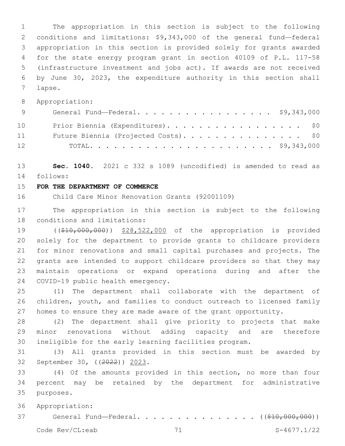The appropriation in this section is subject to the following conditions and limitations: \$9,343,000 of the general fund—federal appropriation in this section is provided solely for grants awarded for the state energy program grant in section 40109 of P.L. 117-58 (infrastructure investment and jobs act). If awards are not received by June 30, 2023, the expenditure authority in this section shall 7 lapse.

Appropriation:

| 9               | General Fund-Federal. \$9,343,000     |
|-----------------|---------------------------------------|
| 10              | Prior Biennia (Expenditures). \$0     |
| 11              | Future Biennia (Projected Costs). \$0 |
| 12 <sup>°</sup> |                                       |

 **Sec. 1040.** 2021 c 332 s 1089 (uncodified) is amended to read as follows: 14

# **FOR THE DEPARTMENT OF COMMERCE**

Child Care Minor Renovation Grants (92001109)

 The appropriation in this section is subject to the following 18 conditions and limitations:

 ((\$10,000,000)) \$28,522,000 of the appropriation is provided solely for the department to provide grants to childcare providers for minor renovations and small capital purchases and projects. The grants are intended to support childcare providers so that they may maintain operations or expand operations during and after the 24 COVID-19 public health emergency.

 (1) The department shall collaborate with the department of children, youth, and families to conduct outreach to licensed family homes to ensure they are made aware of the grant opportunity.

 (2) The department shall give priority to projects that make minor renovations without adding capacity and are therefore ineligible for the early learning facilities program.

 (3) All grants provided in this section must be awarded by 32 September 30, ((2022)) 2023.

 (4) Of the amounts provided in this section, no more than four percent may be retained by the department for administrative 35 purposes.

Appropriation:

37 General Fund—Federal. . . . . . . . . . . . . . ((\$10,000,000))

Code Rev/CL:eab 71 S-4677.1/22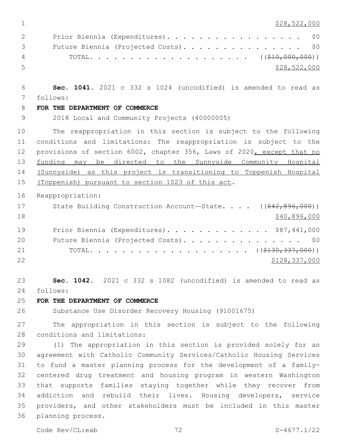\$28,522,000

| $\overline{2}$                                                                                                                                                                                                                                                                                                                     | Prior Biennia (Expenditures). \$0     |              |
|------------------------------------------------------------------------------------------------------------------------------------------------------------------------------------------------------------------------------------------------------------------------------------------------------------------------------------|---------------------------------------|--------------|
| $\mathcal{B}$ and $\mathcal{B}$                                                                                                                                                                                                                                                                                                    | Future Biennia (Projected Costs). \$0 |              |
| $\overline{4}$ and $\overline{4}$ and $\overline{4}$ and $\overline{4}$ and $\overline{4}$ and $\overline{4}$ and $\overline{4}$ and $\overline{4}$ and $\overline{4}$ and $\overline{4}$ and $\overline{4}$ and $\overline{4}$ and $\overline{4}$ and $\overline{4}$ and $\overline{4}$ and $\overline{4}$ and $\overline{4}$ and |                                       |              |
| - 5 -                                                                                                                                                                                                                                                                                                                              |                                       | \$28,522,000 |

 **Sec. 1041.** 2021 c 332 s 1024 (uncodified) is amended to read as follows: 7

# **FOR THE DEPARTMENT OF COMMERCE**

2018 Local and Community Projects (40000005)

 The reappropriation in this section is subject to the following conditions and limitations: The reappropriation is subject to the 12 provisions of section 6002, chapter 356, Laws of 2020, except that no funding may be directed to the Sunnyside Community Hospital (Sunnyside) as this project is transitioning to Toppenish Hospital 15 (Toppenish) pursuant to section 1023 of this act.

Reappropriation:

| 17 | State Building Construction Account-State. $($ $($ $\frac{42}{7}$ $\frac{896}{100})$ |
|----|--------------------------------------------------------------------------------------|
| 18 | \$40,896,000                                                                         |
| 19 | Prior Biennia (Expenditures). \$87,441,000                                           |
| 20 | Future Biennia (Projected Costs). \$0                                                |
| 21 |                                                                                      |
| 22 | \$128,337,000                                                                        |

 **Sec. 1042.** 2021 c 332 s 1082 (uncodified) is amended to read as follows: 24

# **FOR THE DEPARTMENT OF COMMERCE**

Substance Use Disorder Recovery Housing (91001675)

 The appropriation in this section is subject to the following 28 conditions and limitations:

 (1) The appropriation in this section is provided solely for an agreement with Catholic Community Services/Catholic Housing Services to fund a master planning process for the development of a family- centered drug treatment and housing program in western Washington that supports families staying together while they recover from addiction and rebuild their lives. Housing developers, service providers, and other stakeholders must be included in this master 36 planning process.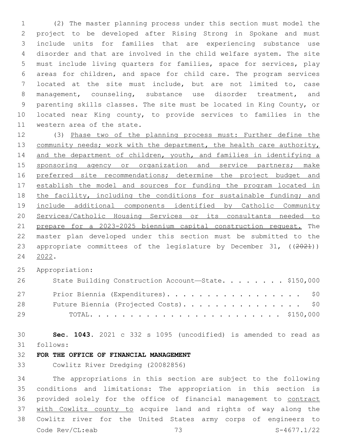(2) The master planning process under this section must model the project to be developed after Rising Strong in Spokane and must include units for families that are experiencing substance use disorder and that are involved in the child welfare system. The site must include living quarters for families, space for services, play areas for children, and space for child care. The program services located at the site must include, but are not limited to, case management, counseling, substance use disorder treatment, and parenting skills classes. The site must be located in King County, or located near King county, to provide services to families in the 11 western area of the state.

 (3) Phase two of the planning process must: Further define the 13 community needs; work with the department, the health care authority, 14 and the department of children, youth, and families in identifying a 15 sponsoring agency or organization and service partners; make 16 preferred site recommendations; determine the project budget and establish the model and sources for funding the program located in 18 the facility, including the conditions for sustainable funding; and include additional components identified by Catholic Community Services/Catholic Housing Services or its consultants needed to prepare for a 2023-2025 biennium capital construction request. The master plan developed under this section must be submitted to the 23 appropriate committees of the legislature by December 31, ((2021)) 2022.

Appropriation:

| 26 | State Building Construction Account-State. \$150,000 |
|----|------------------------------------------------------|
| 27 | Prior Biennia (Expenditures). \$0                    |
| 28 | Future Biennia (Projected Costs). \$0                |
| 29 |                                                      |

 **Sec. 1043.** 2021 c 332 s 1095 (uncodified) is amended to read as follows: 31

# **FOR THE OFFICE OF FINANCIAL MANAGEMENT**

Cowlitz River Dredging (20082856)

 The appropriations in this section are subject to the following conditions and limitations: The appropriation in this section is provided solely for the office of financial management to contract with Cowlitz county to acquire land and rights of way along the Cowlitz river for the United States army corps of engineers to Code Rev/CL:eab 73 S-4677.1/22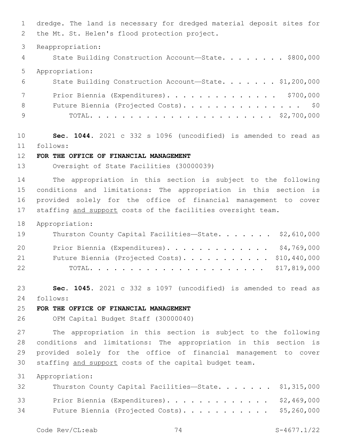dredge. The land is necessary for dredged material deposit sites for 2 the Mt. St. Helen's flood protection project.

Reappropriation:

4 State Building Construction Account-State. . . . . . . \$800,000 Appropriation: State Building Construction Account—State. . . . . . . \$1,200,000 7 Prior Biennia (Expenditures). . . . . . . . . . . . . . \$700,000 8 Future Biennia (Projected Costs). . . . . . . . . . . . . . \$0

TOTAL. . . . . . . . . . . . . . . . . . . . . . . \$2,700,000

 **Sec. 1044.** 2021 c 332 s 1096 (uncodified) is amended to read as follows: 11

# **FOR THE OFFICE OF FINANCIAL MANAGEMENT**

Oversight of State Facilities (30000039)

 The appropriation in this section is subject to the following conditions and limitations: The appropriation in this section is provided solely for the office of financial management to cover staffing and support costs of the facilities oversight team.

Appropriation:

| 19 | Thurston County Capital Facilities-State. \$2,610,000 |  |
|----|-------------------------------------------------------|--|
| 20 | Prior Biennia (Expenditures). \$4,769,000             |  |
| 21 | Future Biennia (Projected Costs). \$10,440,000        |  |
| 22 |                                                       |  |

 **Sec. 1045.** 2021 c 332 s 1097 (uncodified) is amended to read as follows: 24

## **FOR THE OFFICE OF FINANCIAL MANAGEMENT**

OFM Capital Budget Staff (30000040)

 The appropriation in this section is subject to the following conditions and limitations: The appropriation in this section is provided solely for the office of financial management to cover staffing and support costs of the capital budget team.

Appropriation:

| 32 | Thurston County Capital Facilities-State. \$1,315,000 |  |
|----|-------------------------------------------------------|--|
| 33 | Prior Biennia (Expenditures). \$2,469,000             |  |
| 34 | Future Biennia (Projected Costs). \$5,260,000         |  |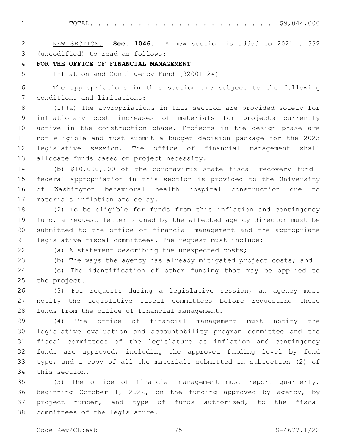TOTAL. . . . . . . . . . . . . . . . . . . . . . . \$9,044,000

 NEW SECTION. **Sec. 1046.** A new section is added to 2021 c 332 (uncodified) to read as follows: 3

**FOR THE OFFICE OF FINANCIAL MANAGEMENT**

Inflation and Contingency Fund (92001124)

 The appropriations in this section are subject to the following 7 conditions and limitations:

 (1)(a) The appropriations in this section are provided solely for inflationary cost increases of materials for projects currently active in the construction phase. Projects in the design phase are not eligible and must submit a budget decision package for the 2023 legislative session. The office of financial management shall 13 allocate funds based on project necessity.

 (b) \$10,000,000 of the coronavirus state fiscal recovery fund— federal appropriation in this section is provided to the University of Washington behavioral health hospital construction due to 17 materials inflation and delay.

 (2) To be eligible for funds from this inflation and contingency fund, a request letter signed by the affected agency director must be submitted to the office of financial management and the appropriate legislative fiscal committees. The request must include:

(a) A statement describing the unexpected costs;

 (b) The ways the agency has already mitigated project costs; and (c) The identification of other funding that may be applied to

25 the project.

 (3) For requests during a legislative session, an agency must notify the legislative fiscal committees before requesting these 28 funds from the office of financial management.

 (4) The office of financial management must notify the legislative evaluation and accountability program committee and the fiscal committees of the legislature as inflation and contingency funds are approved, including the approved funding level by fund type, and a copy of all the materials submitted in subsection (2) of 34 this section.

 (5) The office of financial management must report quarterly, beginning October 1, 2022, on the funding approved by agency, by project number, and type of funds authorized, to the fiscal 38 committees of the legislature.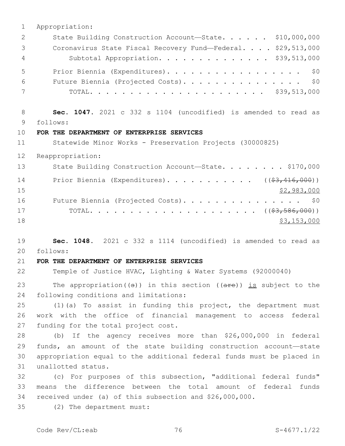Appropriation: 2 State Building Construction Account-State. . . . . \$10,000,000 Coronavirus State Fiscal Recovery Fund—Federal. . . . \$29,513,000 Subtotal Appropriation. . . . . . . . . . . . . . \$39,513,000 5 Prior Biennia (Expenditures). . . . . . . . . . . . . . . . \$0 Future Biennia (Projected Costs). . . . . . . . . . . . . . . \$0 TOTAL. . . . . . . . . . . . . . . . . . . . . . \$39,513,000 **Sec. 1047.** 2021 c 332 s 1104 (uncodified) is amended to read as follows: 9 **FOR THE DEPARTMENT OF ENTERPRISE SERVICES** Statewide Minor Works - Preservation Projects (30000825) Reappropriation: 13 State Building Construction Account—State. . . . . . . \$170,000 14 Prior Biennia (Expenditures). . . . . . . . . . ((\$3,416,000)) \$2,983,000 16 Future Biennia (Projected Costs). . . . . . . . . . . . . . \$0 TOTAL. . . . . . . . . . . . . . . . . . . . . ((\$3,586,000)) \$3,153,000 **Sec. 1048.** 2021 c 332 s 1114 (uncodified) is amended to read as follows: 20 **FOR THE DEPARTMENT OF ENTERPRISE SERVICES** Temple of Justice HVAC, Lighting & Water Systems (92000040) 23 The appropriation( $(\theta)$ ) in this section ( $(\theta + \epsilon)$ ) is subject to the 24 following conditions and limitations: (1)(a) To assist in funding this project, the department must work with the office of financial management to access federal 27 funding for the total project cost. (b) If the agency receives more than \$26,000,000 in federal funds, an amount of the state building construction account—state appropriation equal to the additional federal funds must be placed in 31 unallotted status. (c) For purposes of this subsection, "additional federal funds" means the difference between the total amount of federal funds received under (a) of this subsection and \$26,000,000. (2) The department must:35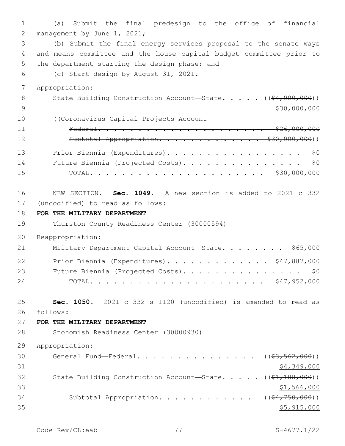1 (a) Submit the final predesign to the office of financial 2 management by June 1, 2021; 3 (b) Submit the final energy services proposal to the senate ways 4 and means committee and the house capital budget committee prior to 5 the department starting the design phase; and 6 (c) Start design by August 31, 2021. 7 Appropriation: 8 State Building Construction Account—State. . . . . ((\$4,000,000)) 9 \$30,000,000 \$30,000,000 10 ((Coronavirus Capital Projects Account— 11 Federal. . . . . . . . . . . . . . . . . . . . . \$26,000,000 12 Subtotal Appropriation. . . . . . . . . . . . \$30,000,000)) 13 Prior Biennia (Expenditures). . . . . . . . . . . . . . . . \$0 14 Future Biennia (Projected Costs). . . . . . . . . . . . . . . \$0 15 TOTAL. . . . . . . . . . . . . . . . . . . . . . \$30,000,000 16 NEW SECTION. **Sec. 1049.** A new section is added to 2021 c 332 (uncodified) to read as follows: 17 18 **FOR THE MILITARY DEPARTMENT** 19 Thurston County Readiness Center (30000594) 20 Reappropriation: 21 Military Department Capital Account-State. . . . . . . \$65,000 22 Prior Biennia (Expenditures). . . . . . . . . . . . \$47,887,000 23 Future Biennia (Projected Costs). . . . . . . . . . . . . . \$0 24 TOTAL. . . . . . . . . . . . . . . . . . . . . . \$47,952,000 25 **Sec. 1050.** 2021 c 332 s 1120 (uncodified) is amended to read as follows: 26 27 **FOR THE MILITARY DEPARTMENT** 28 Snohomish Readiness Center (30000930) 29 Appropriation: 30 General Fund—Federal. . . . . . . . . . . . . . ((\$3,562,000))  $31$  \$4,349,000 32 State Building Construction Account—State. . . . . ((\$1,188,000))  $33$   $\frac{$1,566,000}{9}$ 34 Subtotal Appropriation. . . . . . . . . . .  $($  $($ \$4,750,000))  $35$   $\frac{15}{25}$ ,  $915$ ,  $000$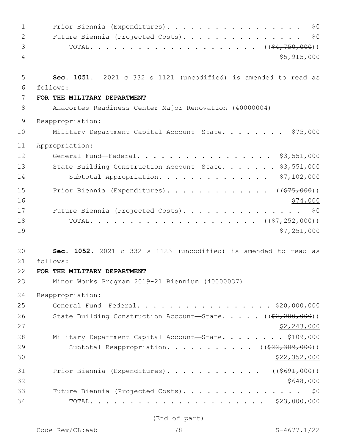| $\mathbf{1}$   | Prior Biennia (Expenditures).<br>\$0                                                  |
|----------------|---------------------------------------------------------------------------------------|
| $\overline{2}$ | Future Biennia (Projected Costs).<br>\$0                                              |
| 3              |                                                                                       |
| 4              | \$5,915,000                                                                           |
| 5              | Sec. 1051. 2021 c 332 s 1121 (uncodified) is amended to read as                       |
| 6              | follows:                                                                              |
| 7<br>8         | FOR THE MILITARY DEPARTMENT<br>Anacortes Readiness Center Major Renovation (40000004) |
|                |                                                                                       |
| $\overline{9}$ | Reappropriation:                                                                      |
| 10             | Military Department Capital Account-State. \$75,000                                   |
| 11             | Appropriation:                                                                        |
| 12             | General Fund-Federal. \$3,551,000                                                     |
| 13             | State Building Construction Account-State. \$3,551,000                                |
| 14             | \$7,102,000<br>Subtotal Appropriation.                                                |
| 15             | Prior Biennia (Expenditures). ( $(\frac{275}{100})$ )                                 |
| 16             | \$74,000                                                                              |
| 17             | Future Biennia (Projected Costs). \$0                                                 |
| 18             |                                                                                       |
| 19             | \$7,251,000                                                                           |
| 20             | Sec. 1052. 2021 c 332 s 1123 (uncodified) is amended to read as                       |
| 21             | follows:                                                                              |
| 22             | FOR THE MILITARY DEPARTMENT                                                           |
| 23             | Minor Works Program 2019-21 Biennium (40000037)                                       |
| 24             | Reappropriation:                                                                      |
| 25             | General Fund-Federal. \$20,000,000                                                    |
| 26             | State Building Construction Account-State. $($ $($ $\frac{2}{2}, 200, 000)$ $)$       |
| 27             | <u>\$2,243,000</u>                                                                    |
| 28             | Military Department Capital Account-State. \$109,000                                  |
| 29             | Subtotal Reappropriation. ( $(\frac{222,309,000}{2})$ )                               |
| 30             | <u>\$22,352,000</u>                                                                   |
| 31             | Prior Biennia (Expenditures). ( $(\frac{\$691,000}{\$})$                              |
| 32             | \$648,000                                                                             |
| 33             | Future Biennia (Projected Costs). \$0                                                 |
| 34             |                                                                                       |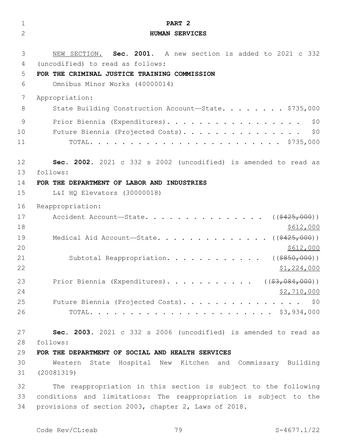| $\mathbf 1$    | PART <sub>2</sub>                                                 |
|----------------|-------------------------------------------------------------------|
| $\overline{2}$ | <b>HUMAN SERVICES</b>                                             |
| 3              | NEW SECTION. Sec. 2001. A new section is added to 2021 c 332      |
| 4              | (uncodified) to read as follows:                                  |
| 5              | FOR THE CRIMINAL JUSTICE TRAINING COMMISSION                      |
| 6              | Omnibus Minor Works (40000014)                                    |
| 7              | Appropriation:                                                    |
| 8              | State Building Construction Account-State. \$735,000              |
| 9              | Prior Biennia (Expenditures).<br>\$0                              |
| 10             | \$0<br>Future Biennia (Projected Costs).                          |
| 11             |                                                                   |
| 12             | Sec. 2002. 2021 c 332 s 2002 (uncodified) is amended to read as   |
| 13             | follows:                                                          |
| 14             | FOR THE DEPARTMENT OF LABOR AND INDUSTRIES                        |
| 15             | L&I HQ Elevators (30000018)                                       |
| 16             | Reappropriation:                                                  |
| 17             | Accident Account-State.<br>( ( \$425,000) )                       |
| 18             | \$612,000                                                         |
| 19             | Medical Aid Account-State. ( $(\frac{2425,000}{1})$               |
| 20             | \$612,000                                                         |
| 21             | Subtotal Reappropriation.<br>( ( \$850,000) )                     |
| 22             | \$1,224,000                                                       |
| 23             | Prior Biennia (Expenditures). ( $(\frac{27.084}{100})$ )          |
| 24             | \$2,710,000                                                       |
| 25             | Future Biennia (Projected Costs). \$0                             |
| 26             |                                                                   |
| 27             | Sec. 2003. 2021 c 332 s 2006 (uncodified) is amended to read as   |
| 28             | follows:                                                          |
| 29             | FOR THE DEPARTMENT OF SOCIAL AND HEALTH SERVICES                  |
| 30             | Western State Hospital New Kitchen and Commissary Building        |
| 31             | (20081319)                                                        |
| 32             | The reappropriation in this section is subject to the following   |
| 33             | conditions and limitations: The reappropriation is subject to the |
| 34             | provisions of section 2003, chapter 2, Laws of 2018.              |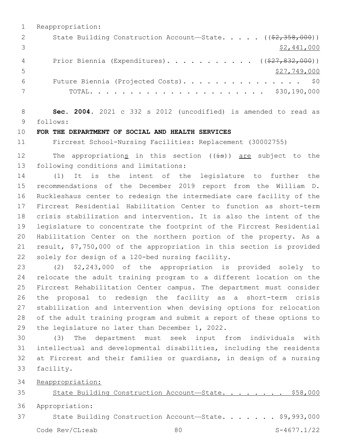Reappropriation: 2 State Building Construction Account—State. . . . . ((\$2,358,000))  $\frac{1}{2}$  \$2,441,000 4 Prior Biennia (Expenditures)............. ((\$27,832,000)) \$27,749,000 Future Biennia (Projected Costs). . . . . . . . . . . . . . . \$0 TOTAL. . . . . . . . . . . . . . . . . . . . . . \$30,190,000

 **Sec. 2004.** 2021 c 332 s 2012 (uncodified) is amended to read as follows: 9

#### **FOR THE DEPARTMENT OF SOCIAL AND HEALTH SERVICES**

Fircrest School-Nursing Facilities: Replacement (30002755)

12 The appropriations in this section  $((\pm s))$  are subject to the 13 following conditions and limitations:

 (1) It is the intent of the legislature to further the recommendations of the December 2019 report from the William D. Ruckleshaus center to redesign the intermediate care facility of the Fircrest Residential Habilitation Center to function as short-term crisis stabilization and intervention. It is also the intent of the legislature to concentrate the footprint of the Fircrest Residential Habilitation Center on the northern portion of the property. As a result, \$7,750,000 of the appropriation in this section is provided 22 solely for design of a 120-bed nursing facility.

 (2) \$2,243,000 of the appropriation is provided solely to relocate the adult training program to a different location on the Fircrest Rehabilitation Center campus. The department must consider the proposal to redesign the facility as a short-term crisis stabilization and intervention when devising options for relocation of the adult training program and submit a report of these options to 29 the legislature no later than December  $1, 2022$ .

 (3) The department must seek input from individuals with intellectual and developmental disabilities, including the residents at Fircrest and their families or guardians, in design of a nursing 33 facility.

Reappropriation:

State Building Construction Account—State. . . . . . . . \$58,000

Appropriation:

State Building Construction Account—State. . . . . . . \$9,993,000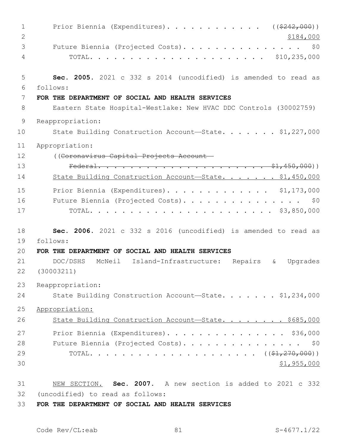| $\mathbf{1}$   | Prior Biennia (Expenditures). ( $(\frac{2242,000}{s})$                       |
|----------------|------------------------------------------------------------------------------|
| $\mathbf{2}$   | \$184,000                                                                    |
| 3              | Future Biennia (Projected Costs).<br>\$0                                     |
| 4              |                                                                              |
| 5              | Sec. 2005. 2021 c 332 s 2014 (uncodified) is amended to read as              |
| 6              | follows:                                                                     |
| 7              | FOR THE DEPARTMENT OF SOCIAL AND HEALTH SERVICES                             |
| 8              | Eastern State Hospital-Westlake: New HVAC DDC Controls (30002759)            |
| $\overline{9}$ | Reappropriation:                                                             |
| 10             | State Building Construction Account-State. \$1,227,000                       |
| 11             | Appropriation:                                                               |
| 12             | ((Coronavirus Capital Projects Account-                                      |
| 13             |                                                                              |
| 14             | State Building Construction Account-State. \$1,450,000                       |
| 15             | Prior Biennia (Expenditures). \$1,173,000                                    |
| 16             | Future Biennia (Projected Costs). \$0                                        |
| 17             |                                                                              |
| 18             | Sec. 2006. 2021 c 332 s 2016 (uncodified) is amended to read as              |
| 19             | follows:                                                                     |
| 20             | FOR THE DEPARTMENT OF SOCIAL AND HEALTH SERVICES                             |
| 21             | DOC/DSHS<br>McNeil Island-Infrastructure:<br>Repairs<br>Upgrades<br>$\delta$ |
| 22             | (30003211)                                                                   |
| 23             | Reappropriation:                                                             |
| 24             | State Building Construction Account-State. \$1,234,000                       |
| 25             | Appropriation:                                                               |
| 26             | State Building Construction Account-State. \$685,000                         |
| 27             | Prior Biennia (Expenditures). \$36,000                                       |
| 28             | Future Biennia (Projected Costs). \$0                                        |
| 29             |                                                                              |
| 30             | \$1,955,000                                                                  |
| 31             | NEW SECTION. Sec. 2007. A new section is added to 2021 c 332                 |
| 32             | (uncodified) to read as follows:                                             |
| $\cap$         | <b>DIRMUTUM AT AAATIT JUR UTJIMU ATRUIATA</b>                                |

**FOR THE DEPARTMENT OF SOCIAL AND HEALTH SERVICES**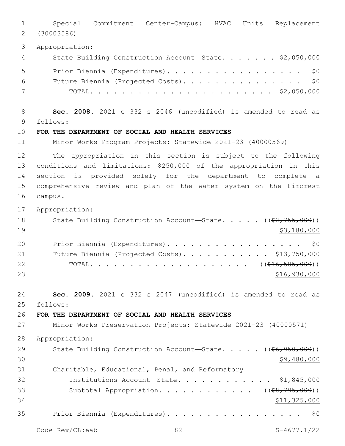Special Commitment Center-Campus: HVAC Units Replacement (30003586) Appropriation: 4 State Building Construction Account—State. . . . . . \$2,050,000 5 Prior Biennia (Expenditures). . . . . . . . . . . . . . . . \$0 Future Biennia (Projected Costs). . . . . . . . . . . . . . . \$0 TOTAL. . . . . . . . . . . . . . . . . . . . . . . \$2,050,000 **Sec. 2008.** 2021 c 332 s 2046 (uncodified) is amended to read as follows: 9 **FOR THE DEPARTMENT OF SOCIAL AND HEALTH SERVICES** Minor Works Program Projects: Statewide 2021-23 (40000569) The appropriation in this section is subject to the following conditions and limitations: \$250,000 of the appropriation in this section is provided solely for the department to complete a comprehensive review and plan of the water system on the Fircrest 16 campus. Appropriation: 18 State Building Construction Account—State. . . . ((\$2,755,000)) \$3,180,000 20 Prior Biennia (Expenditures). . . . . . . . . . . . . . . . \$0 21 Future Biennia (Projected Costs). . . . . . . . . . \$13,750,000 22 TOTAL. . . . . . . . . . . . . . . . . . ((<del>\$16,505,000</del>)) \$16,930,000 **Sec. 2009.** 2021 c 332 s 2047 (uncodified) is amended to read as follows: 25 **FOR THE DEPARTMENT OF SOCIAL AND HEALTH SERVICES** Minor Works Preservation Projects: Statewide 2021-23 (40000571) Appropriation: 29 State Building Construction Account—State. . . . . ((<del>\$6,950,000</del>))  $30 \times 9,480,000$  Charitable, Educational, Penal, and Reformatory Institutions Account—State. . . . . . . . . . . . \$1,845,000 33 Subtotal Appropriation. . . . . . . . . . . ((\$8,795,000)) \$11,325,000 Prior Biennia (Expenditures). . . . . . . . . . . . . . . . . \$0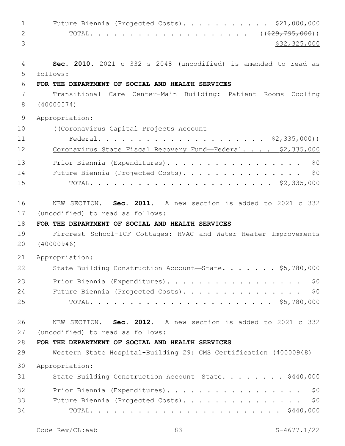1 Future Biennia (Projected Costs). . . . . . . . . . \$21,000,000 2 TOTAL. . . . . . . . . . . . . . . . . . ((<del>\$29,795,000</del>)) \$32,325,000 **Sec. 2010.** 2021 c 332 s 2048 (uncodified) is amended to read as follows: 5 **FOR THE DEPARTMENT OF SOCIAL AND HEALTH SERVICES** Transitional Care Center-Main Building: Patient Rooms Cooling (40000574) Appropriation: ((Coronavirus Capital Projects Account— Federal. . . . . . . . . . . . . . . . . . . . . \$2,335,000)) 12 Coronavirus State Fiscal Recovery Fund-Federal. . . . \$2,335,000 13 Prior Biennia (Expenditures). . . . . . . . . . . . . . . . \$0 Future Biennia (Projected Costs). . . . . . . . . . . . . . . \$0 TOTAL. . . . . . . . . . . . . . . . . . . . . . . \$2,335,000 NEW SECTION. **Sec. 2011.** A new section is added to 2021 c 332 17 (uncodified) to read as follows: **FOR THE DEPARTMENT OF SOCIAL AND HEALTH SERVICES** Fircrest School-ICF Cottages: HVAC and Water Heater Improvements (40000946) Appropriation: 22 State Building Construction Account-State. . . . . . \$5,780,000 23 Prior Biennia (Expenditures). . . . . . . . . . . . . . . . \$0 24 Future Biennia (Projected Costs). . . . . . . . . . . . . . \$0 TOTAL. . . . . . . . . . . . . . . . . . . . . . . \$5,780,000 NEW SECTION. **Sec. 2012.** A new section is added to 2021 c 332 27 (uncodified) to read as follows: **FOR THE DEPARTMENT OF SOCIAL AND HEALTH SERVICES** Western State Hospital-Building 29: CMS Certification (40000948) Appropriation: 31 State Building Construction Account—State. . . . . . . \$440,000 32 Prior Biennia (Expenditures). . . . . . . . . . . . . . . . \$0 33 Future Biennia (Projected Costs). . . . . . . . . . . . . . \$0 TOTAL. . . . . . . . . . . . . . . . . . . . . . . . \$440,000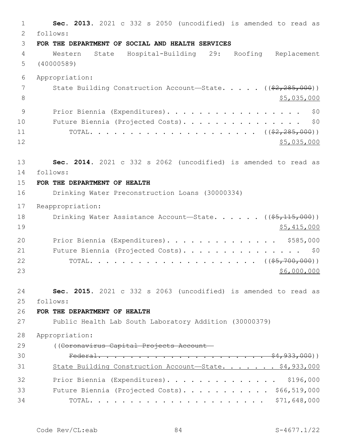**Sec. 2013.** 2021 c 332 s 2050 (uncodified) is amended to read as 2 follows: **FOR THE DEPARTMENT OF SOCIAL AND HEALTH SERVICES** Western State Hospital-Building 29: Roofing Replacement (40000589) Appropriation: 7 State Building Construction Account—State. . . . . ((\$2,285,000))  $\frac{1}{5}$ ,035,000 9 Prior Biennia (Expenditures). . . . . . . . . . . . . . . . \$0 10 Future Biennia (Projected Costs). . . . . . . . . . . . . . \$0 TOTAL. . . . . . . . . . . . . . . . . . . . . ((\$2,285,000))  $12 \hspace{2.5cm}$  \$5,035,000 **Sec. 2014.** 2021 c 332 s 2062 (uncodified) is amended to read as follows: 14 **FOR THE DEPARTMENT OF HEALTH** Drinking Water Preconstruction Loans (30000334) Reappropriation: 18 Drinking Water Assistance Account—State. . . . . ((\$5,115,000)) \$5,415,000 20 Prior Biennia (Expenditures). . . . . . . . . . . . . \$585,000 21 Future Biennia (Projected Costs). . . . . . . . . . . . . . \$0 TOTAL. . . . . . . . . . . . . . . . . . . . . ((\$5,700,000))  $$6,000,000$  **Sec. 2015.** 2021 c 332 s 2063 (uncodified) is amended to read as follows: 25 **FOR THE DEPARTMENT OF HEALTH** Public Health Lab South Laboratory Addition (30000379) Appropriation: ((Coronavirus Capital Projects Account— Federal. . . . . . . . . . . . . . . . . . . . . \$4,933,000)) 31 State Building Construction Account—State. . . . . . \$4,933,000 Prior Biennia (Expenditures). . . . . . . . . . . . . . \$196,000 33 Future Biennia (Projected Costs). . . . . . . . . . \$66,519,000 TOTAL. . . . . . . . . . . . . . . . . . . . . . \$71,648,000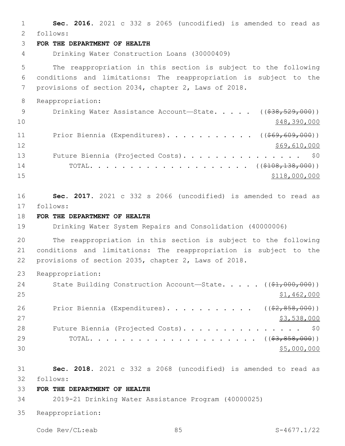**Sec. 2016.** 2021 c 332 s 2065 (uncodified) is amended to read as follows: 2 **FOR THE DEPARTMENT OF HEALTH** Drinking Water Construction Loans (30000409) The reappropriation in this section is subject to the following conditions and limitations: The reappropriation is subject to the provisions of section 2034, chapter 2, Laws of 2018. Reappropriation: 9 Drinking Water Assistance Account—State. . . . . ((\$38,529,000))  $\frac{10}{248,390,000}$ 11 Prior Biennia (Expenditures)........... ((\$69,609,000)) 12 \$69,610,000 13 Future Biennia (Projected Costs). . . . . . . . . . . . . . \$0 14 TOTAL. . . . . . . . . . . . . . . . . . ((\$108,138,000))  $$118,000,000$  **Sec. 2017.** 2021 c 332 s 2066 (uncodified) is amended to read as follows: 17 **FOR THE DEPARTMENT OF HEALTH** Drinking Water System Repairs and Consolidation (40000006) The reappropriation in this section is subject to the following conditions and limitations: The reappropriation is subject to the provisions of section 2035, chapter 2, Laws of 2018. Reappropriation: 24 State Building Construction Account—State. . . . ((\$1,000,000)) \$1,462,000 26 Prior Biennia (Expenditures). . . . . . . . . . ((\$2,858,000)) \$3,538,000 28 Future Biennia (Projected Costs). . . . . . . . . . . . . . \$0 TOTAL. . . . . . . . . . . . . . . . . . . . . ((\$3,858,000)) \$5,000,000 **Sec. 2018.** 2021 c 332 s 2068 (uncodified) is amended to read as follows: 32 **FOR THE DEPARTMENT OF HEALTH** 2019-21 Drinking Water Assistance Program (40000025) Reappropriation:

Code Rev/CL:eab 85 85 S-4677.1/22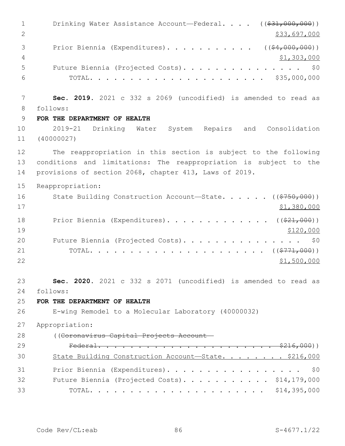1 Drinking Water Assistance Account—Federal. . . . ((\$31,000,000)) 2 \$33,697,000 3 Prior Biennia (Expenditures). . . . . . . . . . . ((\$4,000,000))  $\frac{4}{71,303,000}$  Future Biennia (Projected Costs). . . . . . . . . . . . . . . \$0 TOTAL. . . . . . . . . . . . . . . . . . . . . . \$35,000,000 **Sec. 2019.** 2021 c 332 s 2069 (uncodified) is amended to read as follows: 8 **FOR THE DEPARTMENT OF HEALTH** 2019-21 Drinking Water System Repairs and Consolidation (40000027) The reappropriation in this section is subject to the following conditions and limitations: The reappropriation is subject to the provisions of section 2068, chapter 413, Laws of 2019. Reappropriation: 16 State Building Construction Account—State. . . . . . ((\$750,000)) \$1,380,000 18 Prior Biennia (Expenditures). . . . . . . . . . . . ((\$21,000)) 19 \$120,000 20 Future Biennia (Projected Costs). . . . . . . . . . . . . . \$0 TOTAL. . . . . . . . . . . . . . . . . . . . . . ((\$771,000))  $$1,500,000$  **Sec. 2020.** 2021 c 332 s 2071 (uncodified) is amended to read as follows: 24 **FOR THE DEPARTMENT OF HEALTH** E-wing Remodel to a Molecular Laboratory (40000032) Appropriation: ((Coronavirus Capital Projects Account— Federal. . . . . . . . . . . . . . . . . . . . . . \$216,000)) State Building Construction Account—State. . . . . . . . \$216,000 31 Prior Biennia (Expenditures). . . . . . . . . . . . . . . . \$0 32 Future Biennia (Projected Costs). . . . . . . . . . \$14,179,000 TOTAL. . . . . . . . . . . . . . . . . . . . . . \$14,395,000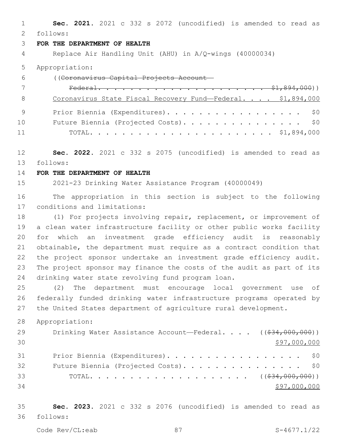**Sec. 2021.** 2021 c 332 s 2072 (uncodified) is amended to read as follows: 2

## **FOR THE DEPARTMENT OF HEALTH**

Replace Air Handling Unit (AHU) in A/Q-wings (40000034)

Appropriation:

| 6  | ((Coronavirus Capital Projects Account-                     |
|----|-------------------------------------------------------------|
|    |                                                             |
| -8 | Coronavirus State Fiscal Recovery Fund-Federal. \$1,894,000 |
|    | Prior Biennia (Expenditures). \$0                           |
| 10 | Future Biennia (Projected Costs). \$0                       |
| 11 |                                                             |

 **Sec. 2022.** 2021 c 332 s 2075 (uncodified) is amended to read as follows: 13

### **FOR THE DEPARTMENT OF HEALTH**

2021-23 Drinking Water Assistance Program (40000049)

 The appropriation in this section is subject to the following 17 conditions and limitations:

 (1) For projects involving repair, replacement, or improvement of a clean water infrastructure facility or other public works facility for which an investment grade efficiency audit is reasonably obtainable, the department must require as a contract condition that the project sponsor undertake an investment grade efficiency audit. The project sponsor may finance the costs of the audit as part of its 24 drinking water state revolving fund program loan.

 (2) The department must encourage local government use of federally funded drinking water infrastructure programs operated by the United States department of agriculture rural development.

Appropriation:

| 29 | Drinking Water Assistance Account—Federal. $($ $($ $\frac{24}{634}$ , 000, 000)) |
|----|----------------------------------------------------------------------------------|
| 30 | \$97,000,000                                                                     |
| 31 | Prior Biennia (Expenditures). \$0                                                |
| 32 | Future Biennia (Projected Costs). \$0                                            |
| 33 |                                                                                  |
| 34 | \$97,000,000                                                                     |

 **Sec. 2023.** 2021 c 332 s 2076 (uncodified) is amended to read as follows: 36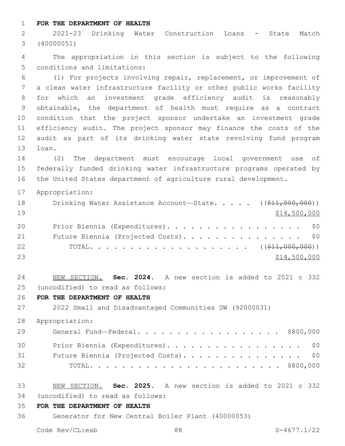**FOR THE DEPARTMENT OF HEALTH**

 2021-23 Drinking Water Construction Loans - State Match (40000051)

 The appropriation in this section is subject to the following 5 conditions and limitations:

 (1) For projects involving repair, replacement, or improvement of a clean water infrastructure facility or other public works facility for which an investment grade efficiency audit is reasonably obtainable, the department of health must require as a contract condition that the project sponsor undertake an investment grade efficiency audit. The project sponsor may finance the costs of the audit as part of its drinking water state revolving fund program 13 loan.

 (2) The department must encourage local government use of federally funded drinking water infrastructure programs operated by the United States department of agriculture rural development.

Appropriation:

| 18 | Drinking Water Assistance Account-State. $($ $($ \$11,000,000)) |  |
|----|-----------------------------------------------------------------|--|
| 19 | \$14,500,000                                                    |  |
| 20 | Prior Biennia (Expenditures). \$0                               |  |
| 21 | Future Biennia (Projected Costs). \$0                           |  |
| 22 |                                                                 |  |
| 23 | \$14,500,000                                                    |  |

 NEW SECTION. **Sec. 2024.** A new section is added to 2021 c 332 (uncodified) to read as follows: 25

**FOR THE DEPARTMENT OF HEALTH**

2022 Small and Disadvantaged Communities DW (92000031)

Appropriation:

| 29 | General Fund—Federal. \$800,000       |
|----|---------------------------------------|
| 30 | Prior Biennia (Expenditures). \$0     |
| 31 | Future Biennia (Projected Costs). \$0 |
| 32 |                                       |

- NEW SECTION. **Sec. 2025.** A new section is added to 2021 c 332 (uncodified) to read as follows: 34
- **FOR THE DEPARTMENT OF HEALTH**
- Generator for New Central Boiler Plant (40000053)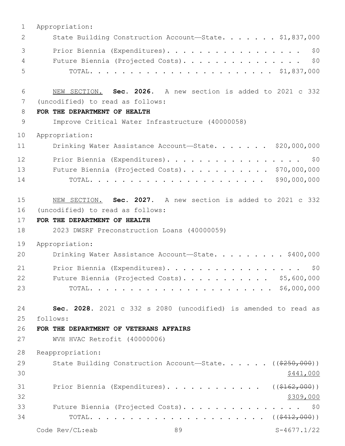| 1  | Appropriation:                                                        |
|----|-----------------------------------------------------------------------|
| 2  | State Building Construction Account-State. \$1,837,000                |
| 3  | Prior Biennia (Expenditures).<br>\$0                                  |
| 4  | Future Biennia (Projected Costs).<br>\$0                              |
| 5  |                                                                       |
| 6  | NEW SECTION. Sec. 2026. A new section is added to 2021 c 332          |
| 7  | (uncodified) to read as follows:                                      |
| 8  | FOR THE DEPARTMENT OF HEALTH                                          |
| 9  | Improve Critical Water Infrastructure (40000058)                      |
| 10 | Appropriation:                                                        |
| 11 | Drinking Water Assistance Account-State. \$20,000,000                 |
| 12 | Prior Biennia (Expenditures).<br>\$0                                  |
| 13 | Future Biennia (Projected Costs). \$70,000,000                        |
| 14 | \$90,000,000                                                          |
|    |                                                                       |
| 15 | NEW SECTION. Sec. 2027. A new section is added to 2021 c 332          |
| 16 | (uncodified) to read as follows:                                      |
| 17 | FOR THE DEPARTMENT OF HEALTH                                          |
| 18 | 2023 DWSRF Preconstruction Loans (40000059)                           |
| 19 | Appropriation:                                                        |
| 20 | Drinking Water Assistance Account-State. \$400,000                    |
| 21 | Prior Biennia (Expenditures).<br>\$0                                  |
| 22 | Future Biennia (Projected Costs). \$5,600,000                         |
| 23 |                                                                       |
| 24 | Sec. 2028. 2021 c 332 s 2080 (uncodified) is amended to read as       |
| 25 | follows:                                                              |
| 26 | FOR THE DEPARTMENT OF VETERANS AFFAIRS                                |
| 27 | WVH HVAC Retrofit (40000006)                                          |
| 28 | Reappropriation:                                                      |
| 29 | State Building Construction Account-State. $($ $($ $\frac{250}{100})$ |
| 30 | \$441,000                                                             |
| 31 | Prior Biennia (Expenditures).<br>( ( \$162, 000) )                    |
| 32 | \$309,000                                                             |
| 33 | Future Biennia (Projected Costs).<br>\$0                              |
| 34 |                                                                       |
|    | Code Rev/CL:eab<br>89<br>$S-4677.1/22$                                |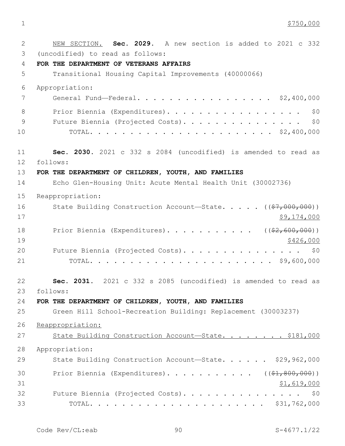1 \$750,000

| $\mathbf{2}$ | NEW SECTION. Sec. 2029. A new section is added to 2021 c 332          |
|--------------|-----------------------------------------------------------------------|
| 3            | (uncodified) to read as follows:                                      |
| 4            | FOR THE DEPARTMENT OF VETERANS AFFAIRS                                |
| 5            | Transitional Housing Capital Improvements (40000066)                  |
| 6            | Appropriation:                                                        |
| 7            | General Fund-Federal. \$2,400,000                                     |
| 8            | Prior Biennia (Expenditures).<br>\$0                                  |
| $\mathsf 9$  | Future Biennia (Projected Costs). \$0                                 |
| 10           |                                                                       |
| 11           | Sec. 2030. 2021 c 332 s 2084 (uncodified) is amended to read as       |
| 12           | follows:                                                              |
| 13           | FOR THE DEPARTMENT OF CHILDREN, YOUTH, AND FAMILIES                   |
| 14           | Echo Glen-Housing Unit: Acute Mental Health Unit (30002736)           |
| 15           | Reappropriation:                                                      |
| 16           | State Building Construction Account-State. $($ $(*7,000,000) )$       |
| 17           | \$9,174,000                                                           |
| 18           | Prior Biennia (Expenditures). ( $(\frac{2}{62}, 600, 000)$ )          |
| 19           | \$426,000                                                             |
| 20           | Future Biennia (Projected Costs). \$0                                 |
| 21           |                                                                       |
| 22           | Sec. 2031. 2021 c 332 s 2085 (uncodified) is amended to read as       |
| 23           | follows:                                                              |
| 24           | FOR THE DEPARTMENT OF CHILDREN, YOUTH, AND FAMILIES                   |
| 25           | Green Hill School-Recreation Building: Replacement (30003237)         |
| 26           | Reappropriation:                                                      |
| 27           | State Building Construction Account-State. \$181,000                  |
| 28           | Appropriation:                                                        |
| 29           | State Building Construction Account-State. \$29,962,000               |
| 30           | Prior Biennia (Expenditures). ( $(\frac{1}{2}, \frac{1}{200}, 000)$ ) |
| 31           | \$1,619,000                                                           |
| 32           | Future Biennia (Projected Costs). \$0                                 |
| 33           |                                                                       |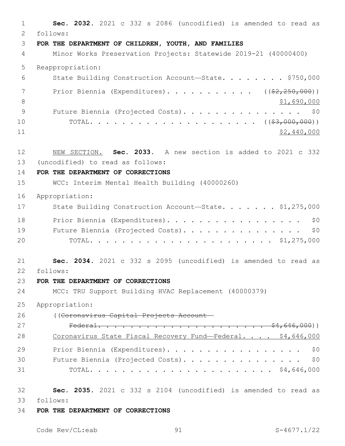**Sec. 2032.** 2021 c 332 s 2086 (uncodified) is amended to read as follows: 2 **FOR THE DEPARTMENT OF CHILDREN, YOUTH, AND FAMILIES** Minor Works Preservation Projects: Statewide 2019-21 (40000400) Reappropriation: State Building Construction Account—State. . . . . . . . \$750,000 7 Prior Biennia (Expenditures). . . . . . . . . . ((\$2,250,000))  $\frac{1}{2}$ ,690,000 9 Future Biennia (Projected Costs). . . . . . . . . . . . . . \$0 TOTAL. . . . . . . . . . . . . . . . . . . . . ((\$3,000,000)) \$2,440,000 NEW SECTION. **Sec. 2033.** A new section is added to 2021 c 332 13 (uncodified) to read as follows: **FOR THE DEPARTMENT OF CORRECTIONS** WCC: Interim Mental Health Building (40000260) Appropriation: 17 State Building Construction Account-State. . . . . . \$1,275,000 18 Prior Biennia (Expenditures). . . . . . . . . . . . . . . . \$0 19 Future Biennia (Projected Costs). . . . . . . . . . . . . . \$0 TOTAL. . . . . . . . . . . . . . . . . . . . . . . \$1,275,000 **Sec. 2034.** 2021 c 332 s 2095 (uncodified) is amended to read as follows: 22 **FOR THE DEPARTMENT OF CORRECTIONS** MCC: TRU Support Building HVAC Replacement (40000379) Appropriation: ((Coronavirus Capital Projects Account— Federal. . . . . . . . . . . . . . . . . . . . . \$4,646,000)) 28 Coronavirus State Fiscal Recovery Fund—Federal. . . . \$4,646,000 29 Prior Biennia (Expenditures). . . . . . . . . . . . . . . . \$0 30 Future Biennia (Projected Costs). . . . . . . . . . . . . . \$0 TOTAL. . . . . . . . . . . . . . . . . . . . . . . \$4,646,000 **Sec. 2035.** 2021 c 332 s 2104 (uncodified) is amended to read as follows: 33 **FOR THE DEPARTMENT OF CORRECTIONS**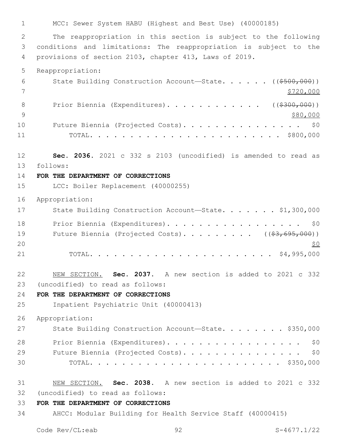1 MCC: Sewer System HABU (Highest and Best Use) (40000185) 2 The reappropriation in this section is subject to the following 3 conditions and limitations: The reappropriation is subject to the 4 provisions of section 2103, chapter 413, Laws of 2019. 5 Reappropriation: 6 State Building Construction Account—State. . . . . ((\$500,000)) 7 \$720,000 8 Prior Biennia (Expenditures). . . . . . . . . . . ((\$300,000))  $9 \times 80,000$ 10 Future Biennia (Projected Costs). . . . . . . . . . . . . . \$0 11 TOTAL. . . . . . . . . . . . . . . . . . . . . . . . \$800,000 12 **Sec. 2036.** 2021 c 332 s 2103 (uncodified) is amended to read as follows: 13 14 **FOR THE DEPARTMENT OF CORRECTIONS** 15 LCC: Boiler Replacement (40000255) 16 Appropriation: 17 State Building Construction Account-State. . . . . . \$1,300,000 18 Prior Biennia (Expenditures). . . . . . . . . . . . . . . . \$0 19 Future Biennia (Projected Costs). . . . . . . . ((\$3,695,000))  $20 \times 50$ 21 TOTAL. . . . . . . . . . . . . . . . . . . . . . . \$4,995,000 22 NEW SECTION. **Sec. 2037.** A new section is added to 2021 c 332 (uncodified) to read as follows: 23 24 **FOR THE DEPARTMENT OF CORRECTIONS** 25 Inpatient Psychiatric Unit (40000413) 26 Appropriation: 27 State Building Construction Account-State. . . . . . . \$350,000 28 Prior Biennia (Expenditures). . . . . . . . . . . . . . . . \$0 29 Future Biennia (Projected Costs). . . . . . . . . . . . . . \$0 30 TOTAL. . . . . . . . . . . . . . . . . . . . . . . . \$350,000 31 NEW SECTION. **Sec. 2038.** A new section is added to 2021 c 332 (uncodified) to read as follows: 32 33 **FOR THE DEPARTMENT OF CORRECTIONS** 34 AHCC: Modular Building for Health Service Staff (40000415)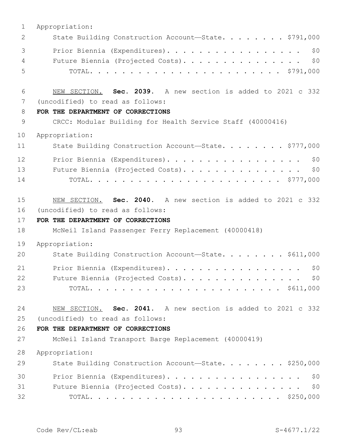| $\mathbf 1$  | Appropriation:                                               |
|--------------|--------------------------------------------------------------|
| $\mathbf{2}$ | State Building Construction Account-State. \$791,000         |
| 3            | Prior Biennia (Expenditures).<br>\$0                         |
| 4            | \$0<br>Future Biennia (Projected Costs).                     |
| 5            |                                                              |
| 6            | NEW SECTION. Sec. 2039. A new section is added to 2021 c 332 |
| 7            | (uncodified) to read as follows:                             |
| 8            | FOR THE DEPARTMENT OF CORRECTIONS                            |
| 9            | CRCC: Modular Building for Health Service Staff (40000416)   |
| 10           | Appropriation:                                               |
| 11           | State Building Construction Account-State. \$777,000         |
| 12           | Prior Biennia (Expenditures).<br>\$0                         |
| 13           | \$0<br>Future Biennia (Projected Costs).                     |
| 14           |                                                              |
| 15           | NEW SECTION. Sec. 2040. A new section is added to 2021 c 332 |
|              |                                                              |
| 16           | (uncodified) to read as follows:                             |
| 17           | FOR THE DEPARTMENT OF CORRECTIONS                            |
| 18           | McNeil Island Passenger Ferry Replacement (40000418)         |
| 19           | Appropriation:                                               |
| 20           | State Building Construction Account-State. \$611,000         |
| 21           | Prior Biennia (Expenditures).<br>\$0                         |
| 22           | Future Biennia (Projected Costs).<br>\$0                     |
| 23           |                                                              |
| 24           | NEW SECTION. Sec. 2041. A new section is added to 2021 c 332 |
| 25           | (uncodified) to read as follows:                             |
| 26           | FOR THE DEPARTMENT OF CORRECTIONS                            |
| 27           | McNeil Island Transport Barge Replacement (40000419)         |
| 28           | Appropriation:                                               |
| 29           | State Building Construction Account-State. \$250,000         |
| 30           | Prior Biennia (Expenditures).<br>\$0                         |
| 31           | Future Biennia (Projected Costs).<br>\$0                     |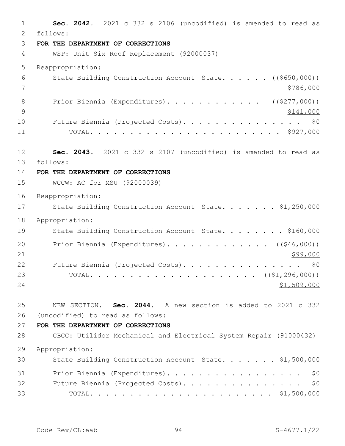1 **Sec. 2042.** 2021 c 332 s 2106 (uncodified) is amended to read as follows: 2 3 **FOR THE DEPARTMENT OF CORRECTIONS** 4 WSP: Unit Six Roof Replacement (92000037) 5 Reappropriation: 6 State Building Construction Account—State. . . . . ((\$650,000)) 7 \$786,000 8 Prior Biennia (Expenditures)............. ((\$277,000)) 9 \$141,000 10 Future Biennia (Projected Costs). . . . . . . . . . . . . . \$0 11 TOTAL. . . . . . . . . . . . . . . . . . . . . . . . \$927,000 12 **Sec. 2043.** 2021 c 332 s 2107 (uncodified) is amended to read as follows: 13 14 **FOR THE DEPARTMENT OF CORRECTIONS** 15 WCCW: AC for MSU (92000039) 16 Reappropriation: 17 State Building Construction Account-State. . . . . . \$1,250,000 18 Appropriation: 19 State Building Construction Account—State. . . . . . . \$160,000 20 Prior Biennia (Expenditures).............. ((\$46,000))  $21$   $\frac{$99,000}{ }$ 22 Future Biennia (Projected Costs). . . . . . . . . . . . . . \$0 23 TOTAL. . . . . . . . . . . . . . . . . . . . . ((\$1,296,000))  $24$  \$1,509,000 25 NEW SECTION. **Sec. 2044.** A new section is added to 2021 c 332 (uncodified) to read as follows: 26 27 **FOR THE DEPARTMENT OF CORRECTIONS** 28 CBCC: Utilidor Mechanical and Electrical System Repair (91000432) 29 Appropriation: 30 State Building Construction Account-State. . . . . . \$1,500,000 31 Prior Biennia (Expenditures). . . . . . . . . . . . . . . . . \$0 32 Future Biennia (Projected Costs). . . . . . . . . . . . . . \$0 33 TOTAL. . . . . . . . . . . . . . . . . . . . . . . \$1,500,000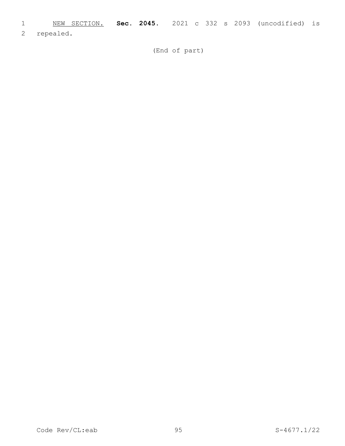- 1 NEW SECTION. **Sec. 2045.** 2021 c 332 s 2093 (uncodified) is
- 2 repealed.

(End of part)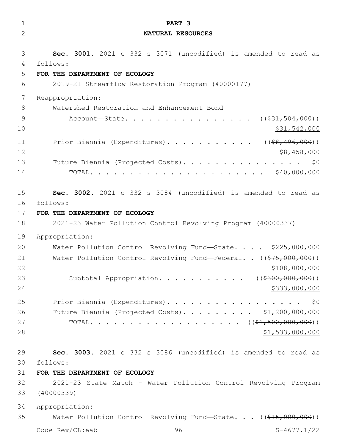| 1  | PART 3                                                                                  |
|----|-----------------------------------------------------------------------------------------|
| 2  | NATURAL RESOURCES                                                                       |
|    |                                                                                         |
| 3  | Sec. 3001. 2021 c 332 s 3071 (uncodified) is amended to read as                         |
| 4  | follows:                                                                                |
| 5  | FOR THE DEPARTMENT OF ECOLOGY                                                           |
| 6  | 2019-21 Streamflow Restoration Program (40000177)                                       |
| 7  | Reappropriation:                                                                        |
| 8  | Watershed Restoration and Enhancement Bond                                              |
| 9  | Account—State. ( $(\frac{231}{504}, \frac{504}{600})$ )                                 |
| 10 | \$31,542,000                                                                            |
| 11 | Prior Biennia (Expenditures). ( $(\frac{2}{68}, \frac{496}{600})$ )                     |
| 12 | \$8,458,000                                                                             |
| 13 | Future Biennia (Projected Costs).<br>\$0                                                |
| 14 |                                                                                         |
|    |                                                                                         |
| 15 | Sec. 3002. 2021 c 332 s 3084 (uncodified) is amended to read as                         |
| 16 | follows:                                                                                |
| 17 | FOR THE DEPARTMENT OF ECOLOGY                                                           |
| 18 | 2021-23 Water Pollution Control Revolving Program (40000337)                            |
| 19 | Appropriation:                                                                          |
| 20 | Water Pollution Control Revolving Fund-State. \$225,000,000                             |
| 21 | Water Pollution Control Revolving Fund-Federal. . $((\frac{275,000,000)}{275,000,000})$ |
| 22 | \$108,000,000                                                                           |
| 23 | Subtotal Appropriation. ( $(\frac{2300,000,000)}{100,000}$ )                            |
| 24 | \$333,000,000                                                                           |
| 25 | Prior Biennia (Expenditures).<br>\$0                                                    |
| 26 | Future Biennia (Projected Costs). \$1,200,000,000                                       |
| 27 |                                                                                         |
| 28 | \$1,533,000,000                                                                         |
|    |                                                                                         |
| 29 | Sec. 3003. 2021 c 332 s 3086 (uncodified) is amended to read as                         |
| 30 | follows:                                                                                |
| 31 | FOR THE DEPARTMENT OF ECOLOGY                                                           |
| 32 | 2021-23 State Match - Water Pollution Control Revolving Program                         |
| 33 | (40000339)                                                                              |
| 34 | Appropriation:                                                                          |
| 35 | Water Pollution Control Revolving Fund-State. $($ $($ $$15,000,000)$ $)$                |
|    | Code Rev/CL:eab<br>96<br>$S-4677.1/22$                                                  |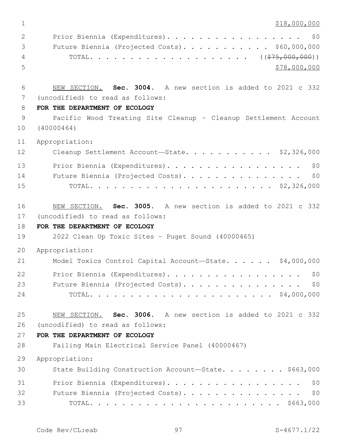\$18,000,000  $\,$ 

| 2             | Prior Biennia (Expenditures). \$0              |
|---------------|------------------------------------------------|
| $\mathcal{S}$ | Future Biennia (Projected Costs). \$60,000,000 |
| 4             |                                                |
| - 5 -         | \$78,000,000                                   |

 NEW SECTION. **Sec. 3004.** A new section is added to 2021 c 332 7 (uncodified) to read as follows:

## **FOR THE DEPARTMENT OF ECOLOGY**

 Pacific Wood Treating Site Cleanup – Cleanup Settlement Account (40000464)

Appropriation:

| 12 | Cleanup Settlement Account-State. \$2,326,000 |
|----|-----------------------------------------------|
| 13 | Prior Biennia (Expenditures). \$0             |
| 14 | Future Biennia (Projected Costs). \$0         |
| 15 |                                               |

 NEW SECTION. **Sec. 3005.** A new section is added to 2021 c 332 17 (uncodified) to read as follows:

# **FOR THE DEPARTMENT OF ECOLOGY**

2022 Clean Up Toxic Sites – Puget Sound (40000465)

Appropriation:

| 21 | Model Toxics Control Capital Account-State. \$4,000,000 |  |
|----|---------------------------------------------------------|--|
| 22 | Prior Biennia (Expenditures). \$0                       |  |
| 23 | Future Biennia (Projected Costs). \$0                   |  |
| 24 |                                                         |  |

 NEW SECTION. **Sec. 3006.** A new section is added to 2021 c 332 (uncodified) to read as follows: 26

## **FOR THE DEPARTMENT OF ECOLOGY**

Failing Main Electrical Service Panel (40000467)

Appropriation:

| 30 | State Building Construction Account-State. \$663,000 |
|----|------------------------------------------------------|
| 31 | Prior Biennia (Expenditures). \$0                    |
| 32 | Future Biennia (Projected Costs). \$0                |
| 33 |                                                      |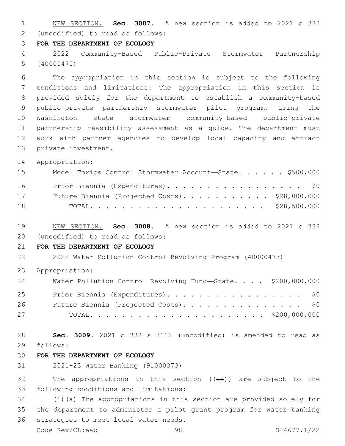NEW SECTION. **Sec. 3007.** A new section is added to 2021 c 332 (uncodified) to read as follows: 2

## **FOR THE DEPARTMENT OF ECOLOGY**

 2022 Community-Based Public-Private Stormwater Partnership (40000470)

 The appropriation in this section is subject to the following conditions and limitations: The appropriation in this section is provided solely for the department to establish a community-based public-private partnership stormwater pilot program, using the Washington state stormwater community-based public-private partnership feasibility assessment as a guide. The department must work with partner agencies to develop local capacity and attract 13 private investment.

Appropriation:

| 15 | Model Toxics Control Stormwater Account-State. \$500,000 |  |
|----|----------------------------------------------------------|--|
| 16 | Prior Biennia (Expenditures). \$0                        |  |
| 17 | Future Biennia (Projected Costs). \$28,000,000           |  |
| 18 |                                                          |  |

 NEW SECTION. **Sec. 3008.** A new section is added to 2021 c 332 (uncodified) to read as follows: 20

## **FOR THE DEPARTMENT OF ECOLOGY**

2022 Water Pollution Control Revolving Program (40000473)

Appropriation:

| 24 | Water Pollution Control Revolving Fund-State. \$200,000,000 |  |
|----|-------------------------------------------------------------|--|
| 25 | Prior Biennia (Expenditures). \$0                           |  |
| 26 | Future Biennia (Projected Costs). \$0                       |  |
| 27 |                                                             |  |

 **Sec. 3009.** 2021 c 332 s 3112 (uncodified) is amended to read as follows: 29

# **FOR THE DEPARTMENT OF ECOLOGY**

2021-23 Water Banking (91000373)

32 The appropriations in this section  $((\frac{1}{18}))$  are subject to the 33 following conditions and limitations:

 (1)(a) The appropriations in this section are provided solely for the department to administer a pilot grant program for water banking 36 strategies to meet local water needs.

Code Rev/CL:eab 98 S-4677.1/22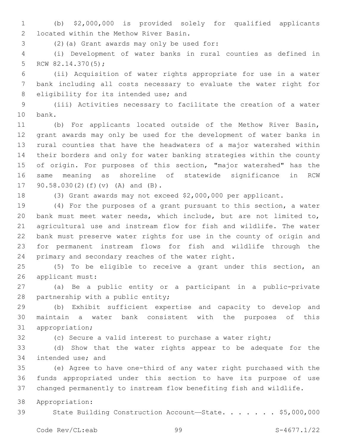(b) \$2,000,000 is provided solely for qualified applicants located within the Methow River Basin.2

(2)(a) Grant awards may only be used for:3

 (i) Development of water banks in rural counties as defined in 5 RCW  $82.14.370(5)$ ;

 (ii) Acquisition of water rights appropriate for use in a water bank including all costs necessary to evaluate the water right for 8 eligibility for its intended use; and

 (iii) Activities necessary to facilitate the creation of a water 10 bank.

 (b) For applicants located outside of the Methow River Basin, grant awards may only be used for the development of water banks in rural counties that have the headwaters of a major watershed within their borders and only for water banking strategies within the county of origin. For purposes of this section, "major watershed" has the same meaning as shoreline of statewide significance in RCW 17 90.58.030(2)(f)(v) (A) and (B).

(3) Grant awards may not exceed \$2,000,000 per applicant.

 (4) For the purposes of a grant pursuant to this section, a water bank must meet water needs, which include, but are not limited to, agricultural use and instream flow for fish and wildlife. The water bank must preserve water rights for use in the county of origin and for permanent instream flows for fish and wildlife through the 24 primary and secondary reaches of the water right.

 (5) To be eligible to receive a grant under this section, an 26 applicant must:

 (a) Be a public entity or a participant in a public-private 28 partnership with a public entity;

 (b) Exhibit sufficient expertise and capacity to develop and maintain a water bank consistent with the purposes of this 31 appropriation;

(c) Secure a valid interest to purchase a water right;

 (d) Show that the water rights appear to be adequate for the 34 intended use; and

 (e) Agree to have one-third of any water right purchased with the funds appropriated under this section to have its purpose of use changed permanently to instream flow benefiting fish and wildlife.

Appropriation:

39 State Building Construction Account-State. . . . . . \$5,000,000

Code Rev/CL:eab 99 S-4677.1/22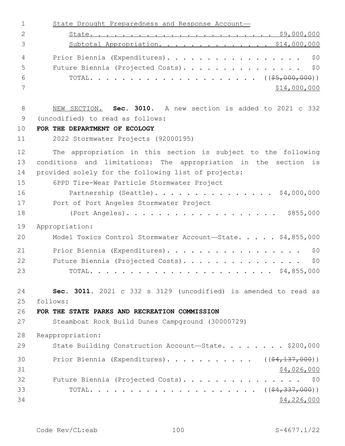| $\mathbf 1$    | State Drought Preparedness and Response Account-                |
|----------------|-----------------------------------------------------------------|
| 2              |                                                                 |
| 3              | Subtotal Appropriation. \$14,000,000                            |
| $\overline{4}$ | \$0<br>Prior Biennia (Expenditures).                            |
| 5              | \$0<br>Future Biennia (Projected Costs).                        |
| 6              |                                                                 |
| 7              | \$14,000,000                                                    |
| 8              | NEW SECTION. Sec. 3010. A new section is added to 2021 c 332    |
| 9              | (uncodified) to read as follows:                                |
| 10             | FOR THE DEPARTMENT OF ECOLOGY                                   |
| 11             | 2022 Stormwater Projects (92000195)                             |
| 12             | The appropriation in this section is subject to the following   |
| 13             | conditions and limitations: The appropriation in the section is |
| 14             | provided solely for the following list of projects:             |
| 15             | 6PPD Tire-Wear Particle Stormwater Project                      |
| 16             | Partnership (Seattle). \$4,000,000                              |
| 17             | Port of Port Angeles Stormwater Project                         |
| 18             |                                                                 |
| 19             | Appropriation:                                                  |
| 20             | Model Toxics Control Stormwater Account-State. \$4,855,000      |
| 21             | Prior Biennia (Expenditures).<br>\$0                            |
| 22             | Future Biennia (Projected Costs).<br>\$0                        |
| 23             | TOTAL.                                                          |
| 24             | Sec. 3011. 2021 c 332 s 3129 (uncodified) is amended to read as |
| 25             | follows:                                                        |
| 26             | FOR THE STATE PARKS AND RECREATION COMMISSION                   |
| 27             | Steamboat Rock Build Dunes Campground (30000729)                |
| 28             | Reappropriation:                                                |
| 29             | State Building Construction Account-State. \$200,000            |
| 30             | Prior Biennia (Expenditures). ( $(\frac{24,137,000}{2})$        |
| 31             | \$4,026,000                                                     |
| 32             | Future Biennia (Projected Costs). \$0                           |
| 33             |                                                                 |
| 34             | \$4,226,000                                                     |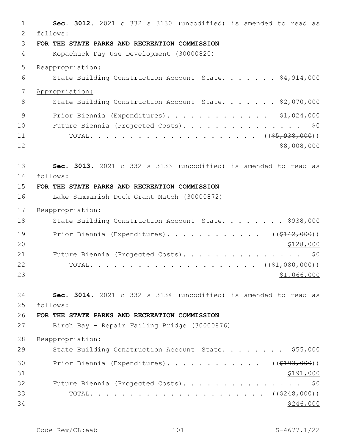| 1  | Sec. 3012. 2021 c 332 s 3130 (uncodified) is amended to read as   |
|----|-------------------------------------------------------------------|
| 2  | follows:                                                          |
| 3  | FOR THE STATE PARKS AND RECREATION COMMISSION                     |
| 4  | Kopachuck Day Use Development (30000820)                          |
| 5  | Reappropriation:                                                  |
| 6  | State Building Construction Account-State. \$4,914,000            |
| 7  | Appropriation:                                                    |
| 8  | State Building Construction Account-State. \$2,070,000            |
| 9  | Prior Biennia (Expenditures). \$1,024,000                         |
| 10 | Future Biennia (Projected Costs).<br>\$0                          |
| 11 |                                                                   |
| 12 | \$8,008,000                                                       |
| 13 | Sec. 3013. 2021 c 332 s 3133 (uncodified) is amended to read as   |
| 14 | follows:                                                          |
| 15 | FOR THE STATE PARKS AND RECREATION COMMISSION                     |
| 16 | Lake Sammamish Dock Grant Match (30000872)                        |
| 17 | Reappropriation:                                                  |
| 18 | State Building Construction Account-State. \$938,000              |
| 19 | Prior Biennia (Expenditures). ( $(\frac{\$142,000}{\$142,000})$ ) |
| 20 | \$128,000                                                         |
| 21 | Future Biennia (Projected Costs).<br>\$0                          |
| 22 |                                                                   |
| 23 | \$1,066,000                                                       |
| 24 | Sec. 3014. 2021 c 332 s 3134 (uncodified) is amended to read as   |
| 25 | follows:                                                          |
| 26 | FOR THE STATE PARKS AND RECREATION COMMISSION                     |
| 27 | Birch Bay - Repair Failing Bridge (30000876)                      |
| 28 | Reappropriation:                                                  |
| 29 | State Building Construction Account-State. \$55,000               |
| 30 | Prior Biennia (Expenditures). ( $(\frac{2193,000}{1})$            |
| 31 | \$191,000                                                         |
| 32 | Future Biennia (Projected Costs).<br>\$0                          |
| 33 |                                                                   |
| 34 | \$246,000                                                         |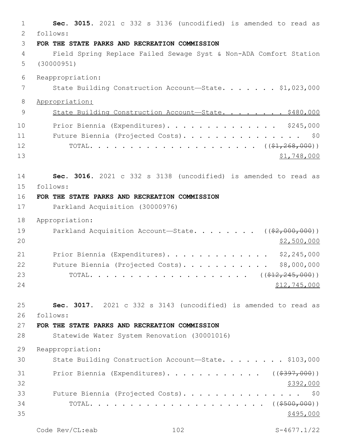**Sec. 3015.** 2021 c 332 s 3136 (uncodified) is amended to read as follows: 2 **FOR THE STATE PARKS AND RECREATION COMMISSION** Field Spring Replace Failed Sewage Syst & Non-ADA Comfort Station (30000951) Reappropriation: 7 State Building Construction Account—State. . . . . . \$1,023,000 Appropriation: 9 State Building Construction Account-State. . . . . . . \$480,000 Prior Biennia (Expenditures). . . . . . . . . . . . . . \$245,000 Future Biennia (Projected Costs). . . . . . . . . . . . . . . \$0 TOTAL. . . . . . . . . . . . . . . . . . . . . ((\$1,268,000)) \$1,748,000 **Sec. 3016.** 2021 c 332 s 3138 (uncodified) is amended to read as follows: 15 **FOR THE STATE PARKS AND RECREATION COMMISSION** Parkland Acquisition (30000976) Appropriation: 19 Parkland Acquisition Account—State. . . . . . . ((\$2,000,000)) \$2,500,000 21 Prior Biennia (Expenditures). . . . . . . . . . . . \$2,245,000 22 Future Biennia (Projected Costs). . . . . . . . . . \$8,000,000 23 TOTAL. . . . . . . . . . . . . . . . . . ((<del>\$12,245,000</del>)) \$12,745,000 **Sec. 3017.** 2021 c 332 s 3143 (uncodified) is amended to read as follows: 26 **FOR THE STATE PARKS AND RECREATION COMMISSION** Statewide Water System Renovation (30001016) Reappropriation: 30 State Building Construction Account-State. . . . . . . \$103,000 31 Prior Biennia (Expenditures). . . . . . . . . . . ((\$397,000))  $\frac{$392,000}{9}$  Future Biennia (Projected Costs). . . . . . . . . . . . . . . \$0 TOTAL. . . . . . . . . . . . . . . . . . . . . . ((\$500,000))  $\frac{$495,000}{900}$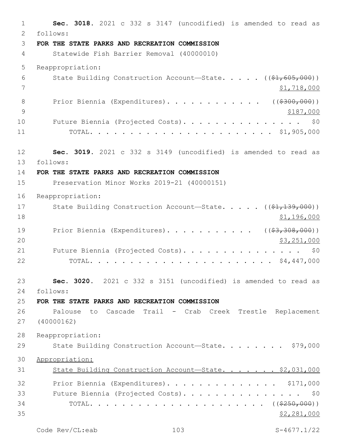1 **Sec. 3018.** 2021 c 332 s 3147 (uncodified) is amended to read as follows: 2 3 **FOR THE STATE PARKS AND RECREATION COMMISSION** 4 Statewide Fish Barrier Removal (40000010) 5 Reappropriation: 6 State Building Construction Account—State. . . . . ((\$1,605,000))  $7$   $\frac{1}{2}$ , 718,000 8 Prior Biennia (Expenditures). . . . . . . . . . . ((\$300,000)) 9 \$187,000 10 Future Biennia (Projected Costs). . . . . . . . . . . . . . \$0 11 TOTAL. . . . . . . . . . . . . . . . . . . . . . . \$1,905,000 12 **Sec. 3019.** 2021 c 332 s 3149 (uncodified) is amended to read as follows: 13 14 **FOR THE STATE PARKS AND RECREATION COMMISSION** 15 Preservation Minor Works 2019-21 (40000151) 16 Reappropriation: 17 State Building Construction Account—State. . . . . ((\$1,139,000)) 18 \$1,196,000 19 Prior Biennia (Expenditures). . . . . . . . . . ((\$3,308,000)) 20 \$3,251,000 21 Future Biennia (Projected Costs). . . . . . . . . . . . . . \$0 22 TOTAL. . . . . . . . . . . . . . . . . . . . . . . \$4,447,000 23 **Sec. 3020.** 2021 c 332 s 3151 (uncodified) is amended to read as follows: 24 25 **FOR THE STATE PARKS AND RECREATION COMMISSION** 26 Palouse to Cascade Trail - Crab Creek Trestle Replacement 27 (40000162) 28 Reappropriation: 29 State Building Construction Account-State. . . . . . . \$79,000 30 Appropriation: 31 State Building Construction Account-State. . . . . . \$2,031,000 32 Prior Biennia (Expenditures). . . . . . . . . . . . . \$171,000 33 Future Biennia (Projected Costs). . . . . . . . . . . . . . . \$0 34 TOTAL. . . . . . . . . . . . . . . . . . . . . . ((\$250,000))  $35$  \$2,281,000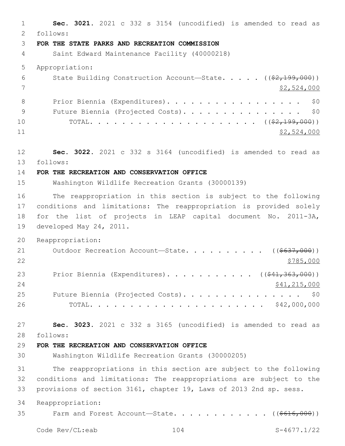**Sec. 3021.** 2021 c 332 s 3154 (uncodified) is amended to read as follows: 2 **FOR THE STATE PARKS AND RECREATION COMMISSION** Saint Edward Maintenance Facility (40000218) Appropriation: 6 State Building Construction Account—State. . . . . ((\$2,199,000)) \$2,524,000 8 Prior Biennia (Expenditures). . . . . . . . . . . . . . . . \$0 9 Future Biennia (Projected Costs). . . . . . . . . . . . . . \$0 TOTAL. . . . . . . . . . . . . . . . . . . . . ((\$2,199,000)) \$2,524,000 **Sec. 3022.** 2021 c 332 s 3164 (uncodified) is amended to read as follows: 13 **FOR THE RECREATION AND CONSERVATION OFFICE** Washington Wildlife Recreation Grants (30000139) The reappropriation in this section is subject to the following conditions and limitations: The reappropriation is provided solely for the list of projects in LEAP capital document No. 2011-3A, 19 developed May 24, 2011. Reappropriation: 21 Outdoor Recreation Account—State. . . . . . . . . ((\$637,000)) 23 Prior Biennia (Expenditures). . . . . . . . . . ((\$41,363,000)) 24 \$41,215,000 25 Future Biennia (Projected Costs). . . . . . . . . . . . . . \$0 TOTAL. . . . . . . . . . . . . . . . . . . . . . \$42,000,000 **Sec. 3023.** 2021 c 332 s 3165 (uncodified) is amended to read as follows: 28 **FOR THE RECREATION AND CONSERVATION OFFICE** Washington Wildlife Recreation Grants (30000205) The reappropriations in this section are subject to the following conditions and limitations: The reappropriations are subject to the provisions of section 3161, chapter 19, Laws of 2013 2nd sp. sess. Reappropriation: 35 Farm and Forest Account—State. . . . . . . . . . . ((\$616,000)) Code Rev/CL:eab 104 S-4677.1/22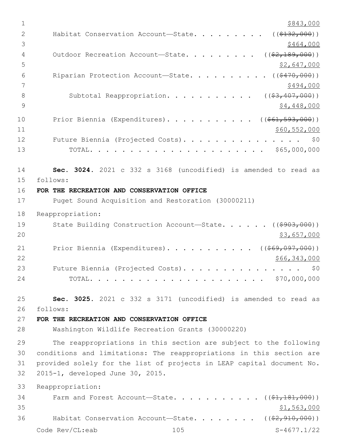| 1              | \$843,000                                                             |
|----------------|-----------------------------------------------------------------------|
| $\overline{2}$ | ( ( \$132, 000) )<br>Habitat Conservation Account-State.              |
| 3              | \$464,000                                                             |
| 4              | $($ $(\frac{2}{7} + 189, 000)$ )<br>Outdoor Recreation Account-State. |
| 5              | <u>\$2,647,000</u>                                                    |
| 6              | Riparian Protection Account-State.<br>( ( \$470,000) )                |
| 7              | \$494,000                                                             |
| 8              | Subtotal Reappropriation.<br>$($ $($ $$3, 407, 000)$ $)$              |
| 9              | \$4,448,000                                                           |
| 10             | Prior Biennia (Expenditures). ( $(\frac{\$61,593,000)}{}$ )           |
| 11             | \$60,552,000                                                          |
| 12             | Future Biennia (Projected Costs).<br>\$0                              |
| 13             |                                                                       |
| 14             | Sec. 3024. 2021 c 332 s 3168 (uncodified) is amended to read as       |
| 15             | follows:                                                              |
| 16             | FOR THE RECREATION AND CONSERVATION OFFICE                            |
| 17             | Puget Sound Acquisition and Restoration (30000211)                    |
| 18             | Reappropriation:                                                      |
| 19             | State Building Construction Account-State. ((\$903,000))              |
| 20             | \$3,657,000                                                           |
| 21             | Prior Biennia (Expenditures). ( $(\frac{1669,097,000}{1})$            |
| 22             | \$66,343,000                                                          |
| 23             | Future Biennia (Projected Costs).<br>\$0                              |
| 24             | \$70,000,000                                                          |
| 25             | Sec. 3025. 2021 c 332 s 3171 (uncodified) is amended to read as       |
| 26             | follows:                                                              |
| 27             | FOR THE RECREATION AND CONSERVATION OFFICE                            |
| 28             | Washington Wildlife Recreation Grants (30000220)                      |
| 29             | The reappropriations in this section are subject to the following     |
| 30             | conditions and limitations: The reappropriations in this section are  |
| 31             | provided solely for the list of projects in LEAP capital document No. |
| 32             | 2015-1, developed June 30, 2015.                                      |
| 33             | Reappropriation:                                                      |
| 34             | Farm and Forest Account-State.<br>$((\$1,181,000))$                   |
| 35             | \$1,563,000                                                           |
| 36             | Habitat Conservation Account-State. ( $(\frac{2}{7}, 910, 000)$ )     |
|                | Code Rev/CL:eab<br>105<br>$S-4677.1/22$                               |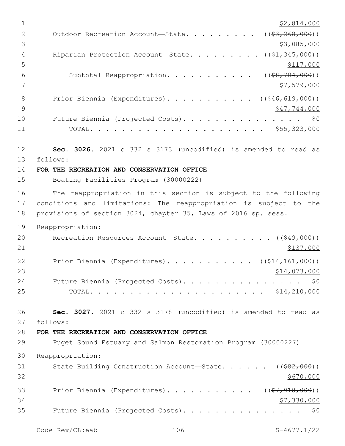$1$  \$2,814,000 2 Outdoor Recreation Account—State. . . . . . . . ((\$3,268,000))  $\frac{1}{3}$ ,085,000 4 Riparian Protection Account—State. . . . . . . . ((\$1,345,000))  $5 - 5$ 6 Subtotal Reappropriation. . . . . . . . . . ((\$8,704,000))  $7 \frac{\text{S}}{7}$ ,579,000 8 Prior Biennia (Expenditures). . . . . . . . . . ((\$46,619,000))  $9 \hspace{3.5cm}$  \$47,744,000 10 Future Biennia (Projected Costs). . . . . . . . . . . . . . \$0 11 TOTAL. . . . . . . . . . . . . . . . . . . . . . \$55,323,000 12 **Sec. 3026.** 2021 c 332 s 3173 (uncodified) is amended to read as follows: 13 14 **FOR THE RECREATION AND CONSERVATION OFFICE** 15 Boating Facilities Program (30000222) 16 The reappropriation in this section is subject to the following 17 conditions and limitations: The reappropriation is subject to the 18 provisions of section 3024, chapter 35, Laws of 2016 sp. sess. 19 Reappropriation: 20 Recreation Resources Account—State. . . . . . . . . ((<del>\$49,000</del>))  $21$   $\frac{$137,000}{}$ 22 Prior Biennia (Expenditures). . . . . . . . . . (  $(\frac{214,161,000}{s})$  $23$   $$14,073,000$ 24 Future Biennia (Projected Costs). . . . . . . . . . . . . . \$0 25 TOTAL. . . . . . . . . . . . . . . . . . . . . . \$14,210,000 26 **Sec. 3027.** 2021 c 332 s 3178 (uncodified) is amended to read as follows: 27 28 **FOR THE RECREATION AND CONSERVATION OFFICE** 29 Puget Sound Estuary and Salmon Restoration Program (30000227) 30 Reappropriation: 31 State Building Construction Account—State. . . . . ((\$82,000))  $32 \div 5670,000$ 33 Prior Biennia (Expenditures). . . . . . . . . . ((\$7,918,000))  $34$   $$7,330,000$ 35 Future Biennia (Projected Costs). . . . . . . . . . . . . . . \$0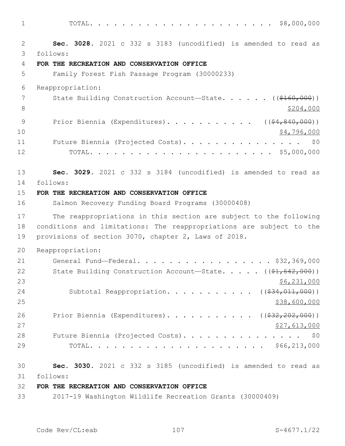1 TOTAL. . . . . . . . . . . . . . . . . . . . . . . \$8,000,000

2 **Sec. 3028.** 2021 c 332 s 3183 (uncodified) is amended to read as follows: 3 4 **FOR THE RECREATION AND CONSERVATION OFFICE** 5 Family Forest Fish Passage Program (30000233) 6 Reappropriation: 7 State Building Construction Account—State. . . . . . ((\$160,000)) 8 \$204,000 9 Prior Biennia (Expenditures). . . . . . . . . . ((\$4,840,000))  $10 \hspace{2.5cm}$  \$4,796,000 11 Future Biennia (Projected Costs). . . . . . . . . . . . . . \$0 12 TOTAL. . . . . . . . . . . . . . . . . . . . . . . \$5,000,000 13 **Sec. 3029.** 2021 c 332 s 3184 (uncodified) is amended to read as 14 follows: 15 **FOR THE RECREATION AND CONSERVATION OFFICE** 16 Salmon Recovery Funding Board Programs (30000408) 17 The reappropriations in this section are subject to the following 18 conditions and limitations: The reappropriations are subject to the 19 provisions of section 3070, chapter 2, Laws of 2018. 20 Reappropriation: 21 General Fund—Federal. . . . . . . . . . . . . . . . . \$32,369,000 22 State Building Construction Account—State. . . . . ((\$1,642,000))  $23$  \$6,231,000 24 Subtotal Reappropriation. . . . . . . . . . ((\$34,011,000))  $25$  \$38,600,000 \$38,600,000 \$38,600,000 \$38,600,000 \$38,600,000 \$38,600,000 \$38,600,000 \$58,600 \$58,600 \$58,600 \$59,600 \$59,600 \$59,600 \$59,600 \$59,600 \$50,500 \$50,500 \$50,500 \$50,500 \$50,500 \$50,500 \$50,500 \$50,500 \$50, 26 Prior Biennia (Expenditures). . . . . . . . . . ((\$32,202,000)) 27,613,000 28 Future Biennia (Projected Costs). . . . . . . . . . . . . . \$0 29 TOTAL. . . . . . . . . . . . . . . . . . . . . . \$66,213,000 30 **Sec. 3030.** 2021 c 332 s 3185 (uncodified) is amended to read as follows: 31

# 32 **FOR THE RECREATION AND CONSERVATION OFFICE**

33 2017-19 Washington Wildlife Recreation Grants (30000409)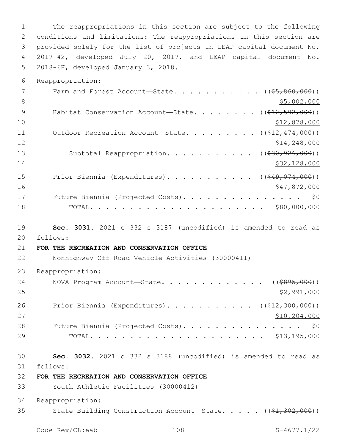The reappropriations in this section are subject to the following conditions and limitations: The reappropriations in this section are provided solely for the list of projects in LEAP capital document No. 2017-42, developed July 20, 2017, and LEAP capital document No. 5 2018-6H, developed January 3, 2018.

Reappropriation:

| 7  | Farm and Forest Account-State. ( $(\frac{25}{65}, \frac{860}{000})$ )        |
|----|------------------------------------------------------------------------------|
| 8  | \$5,002,000                                                                  |
| 9  | Habitat Conservation Account-State. ( $(\frac{212}{592}, \frac{592}{000})$ ) |
| 10 | \$12,878,000                                                                 |
| 11 | Outdoor Recreation Account-State. ( $(\frac{212}{7474},000)$ )               |
| 12 | \$14,248,000                                                                 |
| 13 | Subtotal Reappropriation. ( $(\frac{230}{200}, \frac{926}{000})$ )           |
| 14 | \$32,128,000                                                                 |
| 15 | Prior Biennia (Expenditures). ( $(\frac{249}{1000})(\frac{249}{1000})$       |
| 16 | \$47,872,000                                                                 |
| 17 | Future Biennia (Projected Costs). \$0                                        |
| 18 |                                                                              |

 **Sec. 3031.** 2021 c 332 s 3187 (uncodified) is amended to read as follows: 20

# **FOR THE RECREATION AND CONSERVATION OFFICE**

Nonhighway Off-Road Vehicle Activities (30000411)

Reappropriation:

| 24 | NOVA Program Account—State. $($ $($ $\frac{2995}{100})$                 |
|----|-------------------------------------------------------------------------|
| 25 | \$2,991,000                                                             |
| 26 | Prior Biennia (Expenditures). ( $(\frac{\$12,300,000}{\$12,300,000})$ ) |
| 27 | \$10, 204, 000                                                          |
| 28 | Future Biennia (Projected Costs). \$0                                   |
| 29 |                                                                         |

 **Sec. 3032.** 2021 c 332 s 3188 (uncodified) is amended to read as follows: 31

**FOR THE RECREATION AND CONSERVATION OFFICE**

Youth Athletic Facilities (30000412)

Reappropriation:

35 State Building Construction Account—State. . . . . ((\$1,302,000))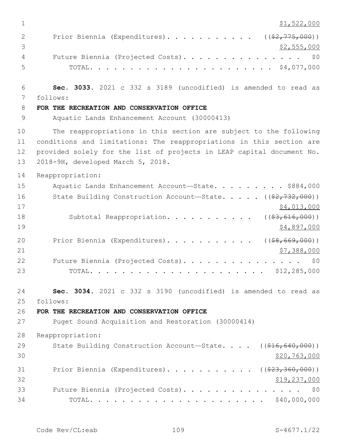| $\mathbf{1}$      | \$1,522,000                                                                  |
|-------------------|------------------------------------------------------------------------------|
| $\mathbf{2}$<br>3 | Prior Biennia (Expenditures). ( $(\frac{2}{775,000})$ )<br>\$2,555,000       |
| 4                 | Future Biennia (Projected Costs).<br>\$0                                     |
| 5                 |                                                                              |
| 6                 | Sec. 3033. 2021 c 332 s 3189 (uncodified) is amended to read as              |
| 7                 | follows:                                                                     |
| 8                 | FOR THE RECREATION AND CONSERVATION OFFICE                                   |
| 9                 | Aquatic Lands Enhancement Account (30000413)                                 |
| 10                | The reappropriations in this section are subject to the following            |
| 11                | conditions and limitations: The reappropriations in this section are         |
| 12                | provided solely for the list of projects in LEAP capital document No.        |
| 13                | 2018-9H, developed March 5, 2018.                                            |
| 14                | Reappropriation:                                                             |
| 15                | Aquatic Lands Enhancement Account-State. \$884,000                           |
| 16                | State Building Construction Account-State. $($ $(*2, 732, 000)$              |
| 17                | \$4,013,000                                                                  |
| 18<br>19          | Subtotal Reappropriation. ( $(\frac{2}{7}, 616, 000)$ )<br>\$4,897,000       |
|                   |                                                                              |
| 20                | ( ( \$8, 669, 000) )<br>Prior Biennia (Expenditures).                        |
| 21<br>22          | \$7,388,000<br>Future Biennia (Projected Costs).<br>\$0                      |
| 23                |                                                                              |
|                   |                                                                              |
| 24                | Sec. 3034. 2021 c 332 s 3190 (uncodified) is amended to read as              |
| 25                | follows:                                                                     |
| 26                | FOR THE RECREATION AND CONSERVATION OFFICE                                   |
| 27                | Puget Sound Acquisition and Restoration (30000414)                           |
| 28                | Reappropriation:                                                             |
| 29                | State Building Construction Account-State. $($ $($ $\frac{216}{640}$ , 000)) |
| 30                | \$20, 763, 000                                                               |
| 31                | Prior Biennia (Expenditures). ( $(\frac{23}{7}360,000)$ )                    |
| 32                | \$19,237,000                                                                 |
| 33                | Future Biennia (Projected Costs).<br>\$0                                     |
| 34                |                                                                              |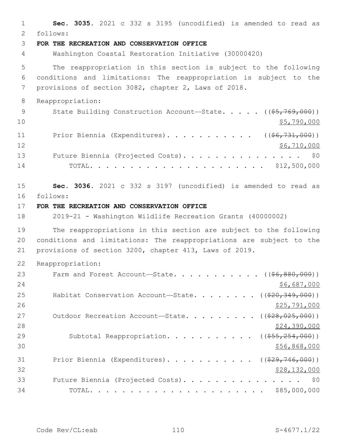1 **Sec. 3035.** 2021 c 332 s 3195 (uncodified) is amended to read as follows: 2 3 **FOR THE RECREATION AND CONSERVATION OFFICE** 4 Washington Coastal Restoration Initiative (30000420) 5 The reappropriation in this section is subject to the following 6 conditions and limitations: The reappropriation is subject to the 7 provisions of section 3082, chapter 2, Laws of 2018. 8 Reappropriation: 9 State Building Construction Account—State. . . . . ((\$5,769,000))  $10 \hspace{2.5cm}$ \$5,790,000 11 Prior Biennia (Expenditures). . . . . . . . . . ((\$6,731,000)) 12 \$6,710,000 13 Future Biennia (Projected Costs). . . . . . . . . . . . . . \$0 14 TOTAL. . . . . . . . . . . . . . . . . . . . . . \$12,500,000 15 **Sec. 3036.** 2021 c 332 s 3197 (uncodified) is amended to read as follows: 16 17 **FOR THE RECREATION AND CONSERVATION OFFICE** 18 2019-21 - Washington Wildlife Recreation Grants (40000002) 19 The reappropriations in this section are subject to the following 20 conditions and limitations: The reappropriations are subject to the 21 provisions of section 3200, chapter 413, Laws of 2019. 22 Reappropriation: 23 Farm and Forest Account—State. . . . . . . . . . ((\$6,880,000)) 24 \$6,687,000 \$6,687,000 25 Habitat Conservation Account—State. . . . . . . ((\$20,349,000))  $26$   $$25,791,000$ 27 Outdoor Recreation Account—State. . . . . . . . ((\$28,025,000)) 28 \$24,390,000 29 Subtotal Reappropriation. . . . . . . . . . ((\$55,254,000))  $30 \frac{\text{556,868,000}}{9000}$ 31 Prior Biennia (Expenditures). . . . . . . . . . ((\$29,746,000))  $32$  \$28,132,000 33 Future Biennia (Projected Costs). . . . . . . . . . . . . . . \$0 34 TOTAL. . . . . . . . . . . . . . . . . . . . . . \$85,000,000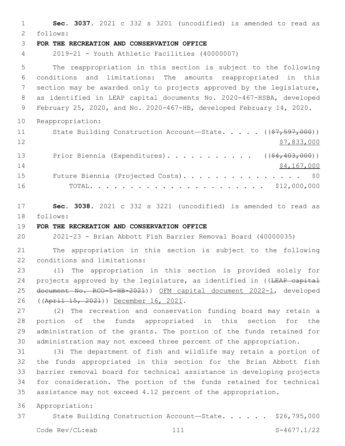**Sec. 3037.** 2021 c 332 s 3201 (uncodified) is amended to read as follows: 2 **FOR THE RECREATION AND CONSERVATION OFFICE** 2019-21 - Youth Athletic Facilities (40000007) The reappropriation in this section is subject to the following conditions and limitations: The amounts reappropriated in this section may be awarded only to projects approved by the legislature, as identified in LEAP capital documents No. 2020-467-HSBA, developed February 25, 2020, and No. 2020-467-HB, developed February 14, 2020. Reappropriation: 11 State Building Construction Account—State. . . . ((\$7,597,000)) \$7,833,000 13 Prior Biennia (Expenditures). . . . . . . . . . ((\$4,403,000)) 14 \$4,167,000 15 Future Biennia (Projected Costs). . . . . . . . . . . . . . \$0 TOTAL. . . . . . . . . . . . . . . . . . . . . . \$12,000,000 **Sec. 3038.** 2021 c 332 s 3221 (uncodified) is amended to read as 18 follows: **FOR THE RECREATION AND CONSERVATION OFFICE** 2021-23 - Brian Abbott Fish Barrier Removal Board (40000035)

 The appropriation in this section is subject to the following 22 conditions and limitations:

 (1) The appropriation in this section is provided solely for 24 projects approved by the legislature, as identified in ((LEAP capital document No. RCO-5-HB-2021)) OFM capital document 2022-1, developed 26 ((April 15, 2021)) December 16, 2021.

 (2) The recreation and conservation funding board may retain a portion of the funds appropriated in this section for the administration of the grants. The portion of the funds retained for administration may not exceed three percent of the appropriation.

 (3) The department of fish and wildlife may retain a portion of the funds appropriated in this section for the Brian Abbott fish barrier removal board for technical assistance in developing projects for consideration. The portion of the funds retained for technical assistance may not exceed 4.12 percent of the appropriation.

Appropriation:

37 State Building Construction Account-State. . . . . \$26,795,000

Code Rev/CL:eab 111 S-4677.1/22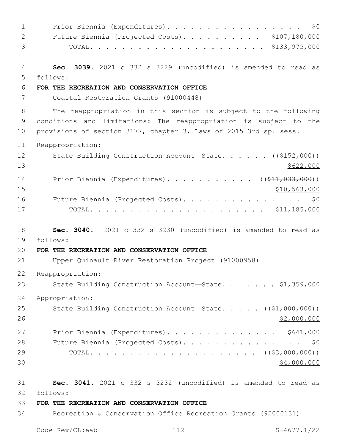1 Prior Biennia (Expenditures). . . . . . . . . . . . . . . . \$0 Future Biennia (Projected Costs). . . . . . . . . . \$107,180,000 TOTAL. . . . . . . . . . . . . . . . . . . . . . \$133,975,000 **Sec. 3039.** 2021 c 332 s 3229 (uncodified) is amended to read as follows: 5 **FOR THE RECREATION AND CONSERVATION OFFICE** Coastal Restoration Grants (91000448) The reappropriation in this section is subject to the following conditions and limitations: The reappropriation is subject to the provisions of section 3177, chapter 3, Laws of 2015 3rd sp. sess. Reappropriation: 12 State Building Construction Account—State. . . . . ((\$152,000))  $13 \frac{\$622,000}{}$ 14 Prior Biennia (Expenditures)........... ((\$11,033,000)) \$10,563,000 16 Future Biennia (Projected Costs). . . . . . . . . . . . . . \$0 TOTAL. . . . . . . . . . . . . . . . . . . . . . \$11,185,000 **Sec. 3040.** 2021 c 332 s 3230 (uncodified) is amended to read as follows: 19 **FOR THE RECREATION AND CONSERVATION OFFICE** Upper Quinault River Restoration Project (91000958) Reappropriation: 23 State Building Construction Account—State. . . . . . \$1,359,000 Appropriation: 25 State Building Construction Account—State. . . . . ((\$1,000,000)) \$2,000,000 27 Prior Biennia (Expenditures). . . . . . . . . . . . . \$641,000 28 Future Biennia (Projected Costs). . . . . . . . . . . . . . \$0 TOTAL. . . . . . . . . . . . . . . . . . . . . ((\$3,000,000))  $30 \times 4,000,000$  **Sec. 3041.** 2021 c 332 s 3232 (uncodified) is amended to read as follows: 32 **FOR THE RECREATION AND CONSERVATION OFFICE** Recreation & Conservation Office Recreation Grants (92000131)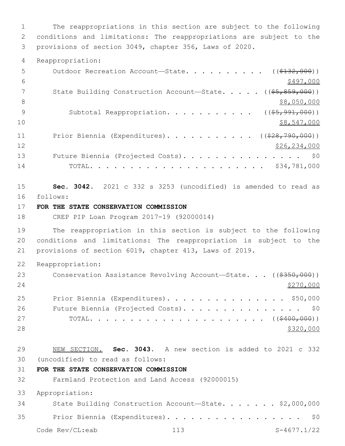The reappropriations in this section are subject to the following conditions and limitations: The reappropriations are subject to the provisions of section 3049, chapter 356, Laws of 2020.

Reappropriation:

| 5  | Outdoor Recreation Account-State. ( $(\frac{2132}{132}, 000)$ )                      |
|----|--------------------------------------------------------------------------------------|
| 6  | \$497,000                                                                            |
| 7  | State Building Construction Account-State. $($ $($ $\frac{65}{67}, \frac{859}{600})$ |
| 8  | \$8,050,000                                                                          |
| 9  | Subtotal Reappropriation. ( $(\frac{25}{7}, \frac{991}{100})$ )                      |
| 10 | \$8,547,000                                                                          |
| 11 | Prior Biennia (Expenditures). ( $(\frac{228}{790}, \frac{790}{000})$ )               |
| 12 | \$26,234,000                                                                         |
| 13 | Future Biennia (Projected Costs). \$0                                                |
| 14 |                                                                                      |
|    |                                                                                      |

 **Sec. 3042.** 2021 c 332 s 3253 (uncodified) is amended to read as follows: 16

## **FOR THE STATE CONSERVATION COMMISSION**

CREP PIP Loan Program 2017-19 (92000014)

 The reappropriation in this section is subject to the following conditions and limitations: The reappropriation is subject to the provisions of section 6019, chapter 413, Laws of 2019.

Reappropriation:

| 23 | Conservation Assistance Revolving Account-State. $((\frac{2350}{100})$ |
|----|------------------------------------------------------------------------|
| 24 | \$270,000                                                              |
| 25 | Prior Biennia (Expenditures). \$50,000                                 |
| 26 | Future Biennia (Projected Costs). \$0                                  |
| 27 |                                                                        |
| 28 | \$320,000                                                              |

 NEW SECTION. **Sec. 3043.** A new section is added to 2021 c 332 (uncodified) to read as follows: 30

## **FOR THE STATE CONSERVATION COMMISSION**

Farmland Protection and Land Access (92000015)

Appropriation:

34 State Building Construction Account-State. . . . . . \$2,000,000 35 Prior Biennia (Expenditures). . . . . . . . . . . . . . . . \$0

Code Rev/CL:eab 113 S-4677.1/22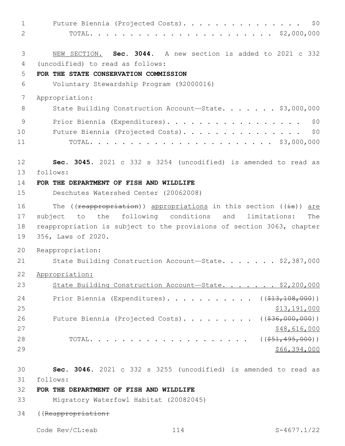| 1  | Future Biennia (Projected Costs).<br>\$0                              |
|----|-----------------------------------------------------------------------|
| 2  |                                                                       |
|    |                                                                       |
| 3  | NEW SECTION. Sec. 3044. A new section is added to 2021 c 332          |
| 4  | (uncodified) to read as follows:                                      |
| 5  | FOR THE STATE CONSERVATION COMMISSION                                 |
| 6  | Voluntary Stewardship Program (92000016)                              |
| 7  | Appropriation:                                                        |
| 8  | State Building Construction Account-State. \$3,000,000                |
| 9  | Prior Biennia (Expenditures).<br>\$0                                  |
| 10 | Future Biennia (Projected Costs).<br>\$0                              |
| 11 |                                                                       |
| 12 | Sec. 3045. 2021 c 332 s 3254 (uncodified) is amended to read as       |
| 13 | follows:                                                              |
| 14 | FOR THE DEPARTMENT OF FISH AND WILDLIFE                               |
| 15 | Deschutes Watershed Center (20062008)                                 |
| 16 | The ((reappropriation)) appropriations in this section ((is)) are     |
| 17 | following conditions and<br>limitations:<br>to the<br>subject<br>The  |
| 18 | reappropriation is subject to the provisions of section 3063, chapter |
| 19 | 356, Laws of 2020.                                                    |
| 20 | Reappropriation:                                                      |
| 21 | State Building Construction Account-State. \$2,387,000                |
| 22 | Appropriation:                                                        |
| 23 | State Building Construction Account-State. \$2,200,000                |
| 24 | Prior Biennia (Expenditures). ( $(\frac{13}{13}, \frac{108}{100})$ )  |
| 25 | \$13,191,000                                                          |
| 26 | Future Biennia (Projected Costs). ( $(\frac{236}{1000}, 000)$ )       |
| 27 | \$48,616,000                                                          |
| 28 |                                                                       |
| 29 | \$66,394,000                                                          |
|    |                                                                       |
| 30 | Sec. 3046. 2021 c 332 s 3255 (uncodified) is amended to read as       |
| 31 | follows:                                                              |
| 32 | FOR THE DEPARTMENT OF FISH AND WILDLIFE                               |
| 33 | Migratory Waterfowl Habitat (20082045)                                |

((Reappropriation:

Code Rev/CL:eab 114 S-4677.1/22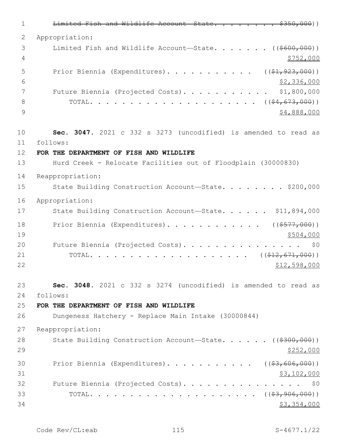1 Limited Fish and Wildlife Account State. . . . . . . \$350,000) 2 Appropriation: 3 Limited Fish and Wildlife Account—State. . . . . . ((\$600,000)) 4 \$752,000 5 Prior Biennia (Expenditures). . . . . . . . . . . ((\$1,923,000))  $6 - 52,336,000$ 7 Future Biennia (Projected Costs). . . . . . . . . . \$1,800,000 8 TOTAL. . . . . . . . . . . . . . . . . . . . . ((\$4,673,000))  $9$   $$4,888,000$ 10 **Sec. 3047.** 2021 c 332 s 3273 (uncodified) is amended to read as follows: 11 12 **FOR THE DEPARTMENT OF FISH AND WILDLIFE** 13 Hurd Creek - Relocate Facilities out of Floodplain (30000830) 14 Reappropriation: 15 State Building Construction Account—State. . . . . . . \$200,000 16 Appropriation: 17 State Building Construction Account-State. . . . . \$11,894,000 18 Prior Biennia (Expenditures). . . . . . . . . . . ((\$577,000))  $19$  \$504,000 20 Future Biennia (Projected Costs). . . . . . . . . . . . . . . \$0 21 TOTAL. . . . . . . . . . . . . . . . . . . . ((\$12,671,000))  $22$  \$12,598,000 23 **Sec. 3048.** 2021 c 332 s 3274 (uncodified) is amended to read as follows: 24 25 **FOR THE DEPARTMENT OF FISH AND WILDLIFE** 26 Dungeness Hatchery - Replace Main Intake (30000844) 27 Reappropriation: 28 State Building Construction Account—State. . . . . ((\$300,000))  $29$   $\frac{$252,000}{}$ 30 Prior Biennia (Expenditures). . . . . . . . . . ((\$3,606,000))  $31$  \$3,102,000 32 Future Biennia (Projected Costs). . . . . . . . . . . . . . \$0 33 TOTAL. . . . . . . . . . . . . . . . . . . . . ((\$3,906,000))  $34$  \$3,354,000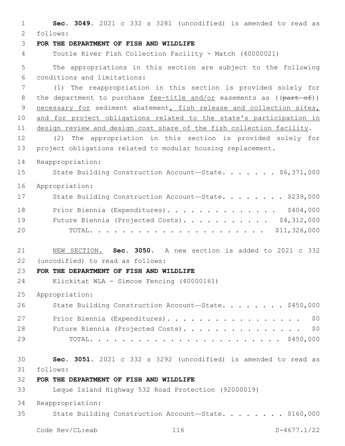1 **Sec. 3049.** 2021 c 332 s 3281 (uncodified) is amended to read as follows: 2 3 **FOR THE DEPARTMENT OF FISH AND WILDLIFE** 4 Toutle River Fish Collection Facility - Match (40000021) 5 The appropriations in this section are subject to the following conditions and limitations:6 7 (1) The reappropriation in this section is provided solely for 8 the department to purchase  $fee-title and/or easements as  $((part-of))$$ </u> 9 necessary for sediment abatement, fish release and collection sites, 10 and for project obligations related to the state's participation in 11 design review and design cost share of the fish collection facility. 12 (2) The appropriation in this section is provided solely for 13 project obligations related to modular housing replacement. 14 Reappropriation: 15 State Building Construction Account—State. . . . . . \$6,371,000 16 Appropriation: 17 State Building Construction Account-State. . . . . . . \$239,000 18 Prior Biennia (Expenditures). . . . . . . . . . . . . \$404,000 19 Future Biennia (Projected Costs). . . . . . . . . . \$4,312,000 20 TOTAL. . . . . . . . . . . . . . . . . . . . . . \$11,326,000 21 NEW SECTION. **Sec. 3050.** A new section is added to 2021 c 332 (uncodified) to read as follows: 22 23 **FOR THE DEPARTMENT OF FISH AND WILDLIFE** 24 Klickitat WLA - Simcoe Fencing (40000161) 25 Appropriation: 26 State Building Construction Account—State. . . . . . . \$450,000 27 Prior Biennia (Expenditures). . . . . . . . . . . . . . . . \$0 28 Future Biennia (Projected Costs). . . . . . . . . . . . . . \$0 29 TOTAL. . . . . . . . . . . . . . . . . . . . . . . . \$450,000 30 **Sec. 3051.** 2021 c 332 s 3292 (uncodified) is amended to read as follows: 31 32 **FOR THE DEPARTMENT OF FISH AND WILDLIFE** 33 Leque Island Highway 532 Road Protection (92000019) 34 Reappropriation: 35 State Building Construction Account—State. . . . . . . . \$160,000

Code Rev/CL:eab 116 S-4677.1/22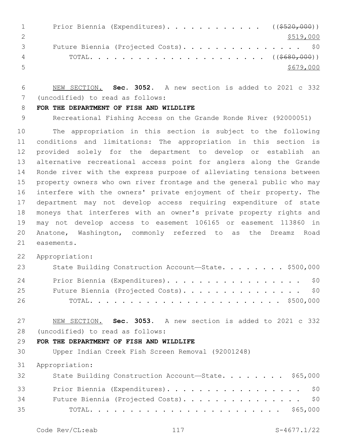| $\sim$ 1      | Prior Biennia (Expenditures). ( $(\frac{2520}{100})$ ) |           |
|---------------|--------------------------------------------------------|-----------|
|               |                                                        | \$519,000 |
| $\mathcal{S}$ | Future Biennia (Projected Costs). \$0                  |           |
|               |                                                        |           |
| $5^{\circ}$   |                                                        | \$679,000 |

 NEW SECTION. **Sec. 3052.** A new section is added to 2021 c 332 (uncodified) to read as follows: 7

### **FOR THE DEPARTMENT OF FISH AND WILDLIFE**

Recreational Fishing Access on the Grande Ronde River (92000051)

 The appropriation in this section is subject to the following conditions and limitations: The appropriation in this section is provided solely for the department to develop or establish an alternative recreational access point for anglers along the Grande Ronde river with the express purpose of alleviating tensions between property owners who own river frontage and the general public who may interfere with the owners' private enjoyment of their property. The department may not develop access requiring expenditure of state moneys that interferes with an owner's private property rights and may not develop access to easement 106165 or easement 113860 in Anatone, Washington, commonly referred to as the Dreamz Road 21 easements.

Appropriation:

| 23 | State Building Construction Account-State. \$500,000 |
|----|------------------------------------------------------|
| 24 | Prior Biennia (Expenditures). \$0                    |
| 25 | Future Biennia (Projected Costs). \$0                |
| 26 |                                                      |

 NEW SECTION. **Sec. 3053.** A new section is added to 2021 c 332 (uncodified) to read as follows: 28

### **FOR THE DEPARTMENT OF FISH AND WILDLIFE**

Upper Indian Creek Fish Screen Removal (92001248)

Appropriation:

| 32 | State Building Construction Account-State. \$65,000 |  |
|----|-----------------------------------------------------|--|
| 33 | Prior Biennia (Expenditures). \$0                   |  |
| 34 | Future Biennia (Projected Costs). \$0               |  |
| 35 |                                                     |  |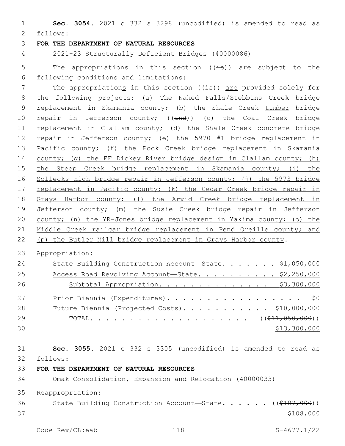1 **Sec. 3054.** 2021 c 332 s 3298 (uncodified) is amended to read as follows: 2

#### 3 **FOR THE DEPARTMENT OF NATURAL RESOURCES**

4 2021-23 Structurally Deficient Bridges (40000086)

5 The appropriations in this section  $((\frac{1}{18}))$  are subject to the following conditions and limitations:6

7 The appropriations in this section  $((\frac{1}{15}))$  are provided solely for 8 the following projects: (a) The Naked Falls/Stebbins Creek bridge 9 replacement in Skamania county; (b) the Shale Creek timber bridge 10 repair in Jefferson county; ((and)) (c) the Coal Creek bridge 11 replacement in Clallam county; (d) the Shale Creek concrete bridge 12 repair in Jefferson county; (e) the 5970 #1 bridge replacement in 13 Pacific county; (f) the Rock Creek bridge replacement in Skamania 14 county; (g) the EF Dickey River bridge design in Clallam county; (h) 15 the Steep Creek bridge replacement in Skamania county; (i) the 16 Sollecks High bridge repair in Jefferson county; (j) the 5973 bridge 17 replacement in Pacific county; (k) the Cedar Creek bridge repair in 18 Grays Harbor county; (1) the Arvid Creek bridge replacement in 19 Jefferson county; (m) the Susie Creek bridge repair in Jefferson 20 county; (n) the YR-Jones bridge replacement in Yakima county; (o) the 21 Middle Creek railcar bridge replacement in Pend Oreille county; and 22 (p) the Butler Mill bridge replacement in Grays Harbor county.

23 Appropriation:

| 24 | State Building Construction Account-State. \$1,050,000 |
|----|--------------------------------------------------------|
| 25 | Access Road Revolving Account-State. \$2,250,000       |
| 26 | Subtotal Appropriation. \$3,300,000                    |
| 27 | Prior Biennia (Expenditures). \$0                      |
| 28 | Future Biennia (Projected Costs). \$10,000,000         |
| 29 |                                                        |
| 30 | \$13,300,000                                           |

31 **Sec. 3055.** 2021 c 332 s 3305 (uncodified) is amended to read as follows: 32

33 **FOR THE DEPARTMENT OF NATURAL RESOURCES**

34 Omak Consolidation, Expansion and Relocation (40000033)

35 Reappropriation:

36 State Building Construction Account—State. . . . . . ((\$107,000))  $37$   $\frac{$108,000}{9}$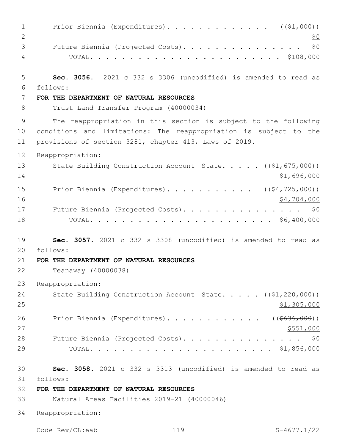| $\mathbf{1}$<br>2   | Prior Biennia (Expenditures). ( $(\frac{1}{2}, 000)$ )<br><u>\$0</u>                                                                                                                           |
|---------------------|------------------------------------------------------------------------------------------------------------------------------------------------------------------------------------------------|
| 3<br>$\overline{4}$ | Future Biennia (Projected Costs).<br>\$0                                                                                                                                                       |
| 5                   | Sec. 3056. 2021 c 332 s 3306 (uncodified) is amended to read as                                                                                                                                |
| 6                   | follows:                                                                                                                                                                                       |
| 7<br>8              | FOR THE DEPARTMENT OF NATURAL RESOURCES<br>Trust Land Transfer Program (40000034)                                                                                                              |
| 9<br>10<br>11       | The reappropriation in this section is subject to the following<br>conditions and limitations: The reappropriation is subject to the<br>provisions of section 3281, chapter 413, Laws of 2019. |
| 12                  | Reappropriation:                                                                                                                                                                               |
| 13<br>14            | State Building Construction Account-State. $($ $($ $\frac{1}{61}$ , $675$ , 000))<br>\$1,696,000                                                                                               |
| 15<br>16            | Prior Biennia (Expenditures). ( $(\frac{24}{725},000)$ )<br>\$4,704,000                                                                                                                        |
| 17<br>18            | Future Biennia (Projected Costs).<br>\$0                                                                                                                                                       |
| 19                  | Sec. 3057. 2021 c 332 s 3308 (uncodified) is amended to read as                                                                                                                                |
| 20                  | follows:                                                                                                                                                                                       |
| 21                  | FOR THE DEPARTMENT OF NATURAL RESOURCES                                                                                                                                                        |
| 22                  | Teanaway (40000038)                                                                                                                                                                            |
| 23                  | Reappropriation:                                                                                                                                                                               |
| 24<br>25            | State Building Construction Account-State. $($ $($ \$1,220,000) $)$<br>\$1,305,000                                                                                                             |
| 26<br>27            | Prior Biennia (Expenditures). ((\$636,000))<br>\$551,000                                                                                                                                       |
| 28                  | Future Biennia (Projected Costs). \$0                                                                                                                                                          |
| 29                  |                                                                                                                                                                                                |
| 30<br>31            | Sec. 3058. 2021 c 332 s 3313 (uncodified) is amended to read as<br>follows:                                                                                                                    |
| 32                  | FOR THE DEPARTMENT OF NATURAL RESOURCES                                                                                                                                                        |
| 33                  | Natural Areas Facilities 2019-21 (40000046)                                                                                                                                                    |
| 34                  | Reappropriation:                                                                                                                                                                               |
|                     | Code Rev/CL:eab<br>119<br>$S-4677.1/22$                                                                                                                                                        |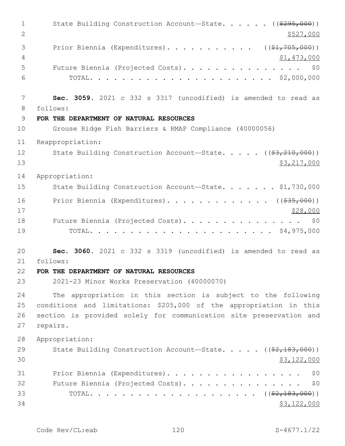1 State Building Construction Account—State. . . . . ((\$295,000)) 2  $\frac{$527,000}{ }$ 3 Prior Biennia (Expenditures). . . . . . . . . . . ((\$1,705,000))  $4 \times 1,473,000$ 5 Future Biennia (Projected Costs). . . . . . . . . . . . . . . \$0 6 TOTAL. . . . . . . . . . . . . . . . . . . . . . . \$2,000,000 7 **Sec. 3059.** 2021 c 332 s 3317 (uncodified) is amended to read as follows: 8 9 **FOR THE DEPARTMENT OF NATURAL RESOURCES** 10 Grouse Ridge Fish Barriers & RMAP Compliance (40000056) 11 Reappropriation: 12 State Building Construction Account—State. . . . . ((\$3,210,000)) 13 \$3,217,000 14 Appropriation: 15 State Building Construction Account—State. . . . . . \$1,730,000 16 Prior Biennia (Expenditures).............. ((\$35,000))  $17$  \$28,000 18 Future Biennia (Projected Costs). . . . . . . . . . . . . . \$0 19 TOTAL. . . . . . . . . . . . . . . . . . . . . . . \$4,975,000 20 **Sec. 3060.** 2021 c 332 s 3319 (uncodified) is amended to read as follows: 21 22 **FOR THE DEPARTMENT OF NATURAL RESOURCES** 23 2021-23 Minor Works Preservation (40000070) 24 The appropriation in this section is subject to the following 25 conditions and limitations: \$205,000 of the appropriation in this 26 section is provided solely for communication site preservation and 27 repairs. 28 Appropriation: 29 State Building Construction Account—State. . . . . ((\$2,183,000))  $30 \,$  \$3,122,000 31 Prior Biennia (Expenditures). . . . . . . . . . . . . . . . . \$0 32 Future Biennia (Projected Costs). . . . . . . . . . . . . . \$0 33 TOTAL. . . . . . . . . . . . . . . . . . . . . ((\$2,183,000))  $34$  \$3,122,000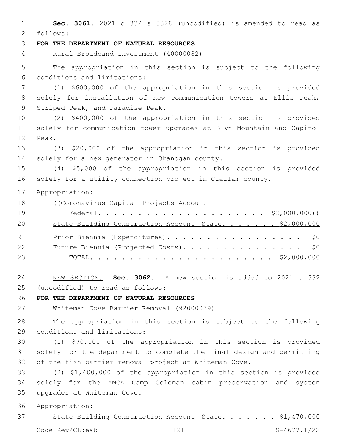**Sec. 3061.** 2021 c 332 s 3328 (uncodified) is amended to read as follows: 2 **FOR THE DEPARTMENT OF NATURAL RESOURCES** Rural Broadband Investment (40000082) The appropriation in this section is subject to the following conditions and limitations:6 (1) \$600,000 of the appropriation in this section is provided solely for installation of new communication towers at Ellis Peak, 9 Striped Peak, and Paradise Peak. (2) \$400,000 of the appropriation in this section is provided solely for communication tower upgrades at Blyn Mountain and Capitol 12 Peak. (3) \$20,000 of the appropriation in this section is provided 14 solely for a new generator in Okanogan county. (4) \$5,000 of the appropriation in this section is provided solely for a utility connection project in Clallam county. Appropriation: ((Coronavirus Capital Projects Account— Federal. . . . . . . . . . . . . . . . . . . . . \$2,000,000)) 20 State Building Construction Account-State. . . . . . \$2,000,000 Prior Biennia (Expenditures). . . . . . . . . . . . . . . . . \$0 22 Future Biennia (Projected Costs). . . . . . . . . . . . . . \$0 TOTAL. . . . . . . . . . . . . . . . . . . . . . . \$2,000,000 NEW SECTION. **Sec. 3062.** A new section is added to 2021 c 332 (uncodified) to read as follows: 25 **FOR THE DEPARTMENT OF NATURAL RESOURCES** Whiteman Cove Barrier Removal (92000039) The appropriation in this section is subject to the following 29 conditions and limitations: (1) \$70,000 of the appropriation in this section is provided solely for the department to complete the final design and permitting of the fish barrier removal project at Whiteman Cove. (2) \$1,400,000 of the appropriation in this section is provided solely for the YMCA Camp Coleman cabin preservation and system 35 upgrades at Whiteman Cove. Appropriation: State Building Construction Account—State. . . . . . . \$1,470,000

Code Rev/CL:eab 121 S-4677.1/22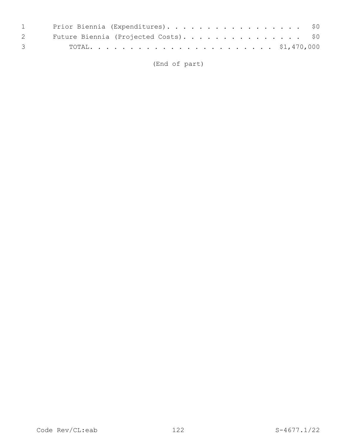| 1 Prior Biennia (Expenditures). \$0     |  |
|-----------------------------------------|--|
| 2 Future Biennia (Projected Costs). \$0 |  |
|                                         |  |

(End of part)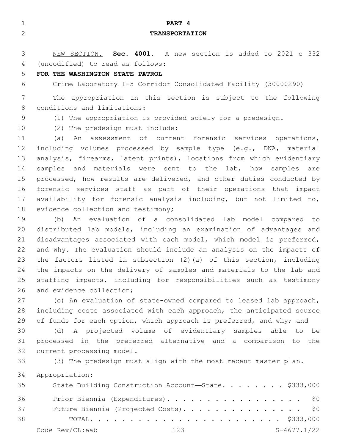| $\mathbf{1}$   | PART 4                                                                |
|----------------|-----------------------------------------------------------------------|
| $\mathbf{2}$   | <b>TRANSPORTATION</b>                                                 |
|                |                                                                       |
| 3              | NEW SECTION. Sec. 4001. A new section is added to 2021 c 332          |
| $\overline{4}$ | (uncodified) to read as follows:                                      |
| 5              | FOR THE WASHINGTON STATE PATROL                                       |
| 6              | Crime Laboratory I-5 Corridor Consolidated Facility (30000290)        |
| 7              | The appropriation in this section is subject to the following         |
| 8              | conditions and limitations:                                           |
| 9              | (1) The appropriation is provided solely for a predesign.             |
| 10             | (2) The predesign must include:                                       |
| 11             | An assessment of current forensic services operations,<br>(a)         |
| 12             | including volumes processed by sample type (e.g., DNA, material       |
| 13             | analysis, firearms, latent prints), locations from which evidentiary  |
| 14             | samples and materials were sent to the lab, how<br>samples are        |
| 15             | processed, how results are delivered, and other duties conducted by   |
| 16             | forensic services staff as part of their operations that impact       |
| 17             | availability for forensic analysis including, but not limited to,     |
| 18             | evidence collection and testimony;                                    |
| 19             | An evaluation of a consolidated lab model compared to<br>(b)          |
| 20             | distributed lab models, including an examination of advantages and    |
| 21             | disadvantages associated with each model, which model is preferred,   |
| 22             | and why. The evaluation should include an analysis on the impacts of  |
| 23             | the factors listed in subsection (2) (a) of this section, including   |
| 24             | the impacts on the delivery of samples and materials to the lab and   |
| 25             | staffing impacts, including for responsibilities such as testimony    |
| 26             | and evidence collection;                                              |
| 27             | (c) An evaluation of state-owned compared to leased lab approach,     |
| 28             | including costs associated with each approach, the anticipated source |
| 29             | of funds for each option, which approach is preferred, and why; and   |
| 30             | (d) A projected volume of evidentiary samples able to be              |
| 31<br>32       | processed in the preferred alternative and a comparison to the        |
|                | current processing model.                                             |
| 33             | (3) The predesign must align with the most recent master plan.        |
| 34             | Appropriation:                                                        |
| 35             | State Building Construction Account-State. \$333,000                  |
|                |                                                                       |

36 Prior Biennia (Expenditures). . . . . . . . . . . . . . . . \$0 37 Future Biennia (Projected Costs). . . . . . . . . . . . . . \$0 TOTAL. . . . . . . . . . . . . . . . . . . . . . . . \$333,000 Code Rev/CL:eab 123 S-4677.1/22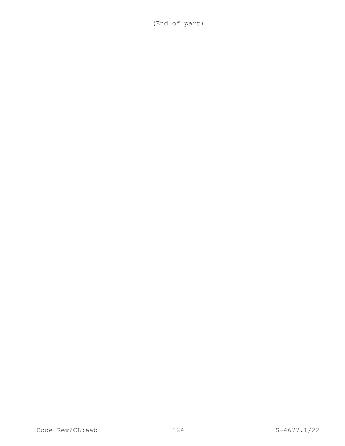(End of part)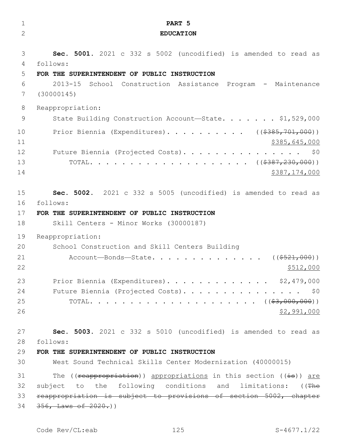| $\mathbf 1$    | PART 5                                                              |
|----------------|---------------------------------------------------------------------|
| $\overline{2}$ | <b>EDUCATION</b>                                                    |
|                |                                                                     |
| 3              | Sec. 5001. 2021 c 332 s 5002 (uncodified) is amended to read as     |
| 4              | follows:                                                            |
| 5              | FOR THE SUPERINTENDENT OF PUBLIC INSTRUCTION                        |
| 6              | $2013 - 15$<br>School Construction Assistance Program - Maintenance |
| 7              | (30000145)                                                          |
| 8              | Reappropriation:                                                    |
| 9              | State Building Construction Account-State. \$1,529,000              |
| 10             | Prior Biennia (Expenditures). ( $(\frac{2385}{701},000)$ )          |
| 11             | \$385,645,000                                                       |
| 12             | Future Biennia (Projected Costs).<br>\$0                            |
| 13             |                                                                     |
| 14             | \$387,174,000                                                       |
|                |                                                                     |
| 15             | Sec. 5002. 2021 c 332 s 5005 (uncodified) is amended to read as     |
| 16             | follows:                                                            |
| 17             | FOR THE SUPERINTENDENT OF PUBLIC INSTRUCTION                        |
| 18             | Skill Centers - Minor Works (30000187)                              |
| 19             | Reappropriation:                                                    |
| 20             | School Construction and Skill Centers Building                      |
| 21             | Account-Bonds-State.<br>$((\$521,000))$                             |
| 22             | \$512,000                                                           |
| 23             | Prior Biennia (Expenditures). \$2,479,000                           |
| 24             | Future Biennia (Projected Costs). \$0                               |
| 25             |                                                                     |
| 26             | \$2,991,000                                                         |
|                |                                                                     |
| 27             | Sec. 5003. 2021 c 332 s 5010 (uncodified) is amended to read as     |
| 28<br>29       | follows:<br>FOR THE SUPERINTENDENT OF PUBLIC INSTRUCTION            |
| 30             | West Sound Technical Skills Center Modernization (40000015)         |
|                |                                                                     |
| 31             | The ((reappropriation)) appropriations in this section ((is)) are   |
| 32             | subject to the following conditions and limitations: ((The          |
| 33             | reappropriation is subject to provisions of section 5002, chapter   |
| 34             | $356,$ Laws of $2020.$ ))                                           |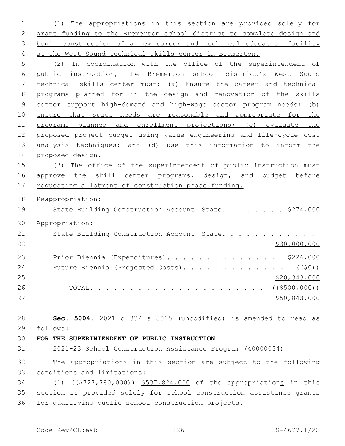(1) The appropriations in this section are provided solely for grant funding to the Bremerton school district to complete design and 3 begin construction of a new career and technical education facility at the West Sound technical skills center in Bremerton.

 (2) In coordination with the office of the superintendent of public instruction, the Bremerton school district's West Sound technical skills center must: (a) Ensure the career and technical programs planned for in the design and renovation of the skills center support high-demand and high-wage sector program needs; (b) ensure that space needs are reasonable and appropriate for the programs planned and enrollment projections; (c) evaluate the proposed project budget using value engineering and life-cycle cost 13 analysis techniques; and (d) use this information to inform the proposed design.

 (3) The office of the superintendent of public instruction must 16 approve the skill center programs, design, and budget before 17 requesting allotment of construction phase funding.

Reappropriation:

19 State Building Construction Account—State. . . . . . . \$274,000

Appropriation:

| 21 | State Building Construction Account-State.                  |              |
|----|-------------------------------------------------------------|--------------|
| 22 |                                                             | \$30,000,000 |
| 23 | Prior Biennia (Expenditures). \$226,000                     |              |
| 24 | Future Biennia (Projected Costs). ( $(\frac{1}{2}\theta)$ ) |              |
| 25 |                                                             | \$20,343,000 |
| 26 |                                                             |              |
| 27 |                                                             | \$50,843,000 |

 **Sec. 5004.** 2021 c 332 s 5015 (uncodified) is amended to read as follows: 29

**FOR THE SUPERINTENDENT OF PUBLIC INSTRUCTION**

2021-23 School Construction Assistance Program (40000034)

 The appropriations in this section are subject to the following 33 conditions and limitations:

 (1) ((\$727,780,000)) \$537,824,000 of the appropriations in this section is provided solely for school construction assistance grants for qualifying public school construction projects.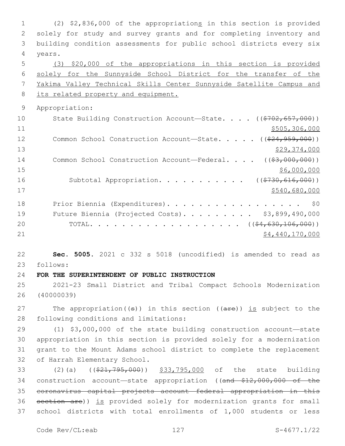(2) \$2,836,000 of the appropriations in this section is provided solely for study and survey grants and for completing inventory and building condition assessments for public school districts every six 4 years. (3) \$20,000 of the appropriations in this section is provided solely for the Sunnyside School District for the transfer of the Yakima Valley Technical Skills Center Sunnyside Satellite Campus and 8 its related property and equipment. Appropriation: 10 State Building Construction Account—State. . . . ((\$702,657,000)) \$505,306,000 12 Common School Construction Account—State. . . . . ((\$24,959,000)) \$29,374,000 14 Common School Construction Account—Federal. . . . ((\$3,000,000)) \$6,000,000 \$6,000,000 \$6,000,000 \$6,000,000 \$6,000,000 \$6,000 \$6,000 \$6,000 \$6,000 \$6,000 \$6,000 \$6,000 \$6,000 \$6,000 \$6,000 \$6,000 \$6,000 \$6,000 \$6,000 \$6,000 \$6,000 \$6,000 \$6,000 \$6,000 \$6,000 \$6,000 \$6,000 \$6,000 16 Subtotal Appropriation. . . . . . . . . . ((\$730,616,000)) \$540,680,000 18 Prior Biennia (Expenditures). . . . . . . . . . . . . . . . \$0 Future Biennia (Projected Costs). . . . . . . . . \$3,899,490,000 20 TOTAL. . . . . . . . . . . . . . . . . ((<del>\$4,630,106,000</del>))  $54,440,170,000$  **Sec. 5005.** 2021 c 332 s 5018 (uncodified) is amended to read as follows: 23 **FOR THE SUPERINTENDENT OF PUBLIC INSTRUCTION** 2021-23 Small District and Tribal Compact Schools Modernization (40000039) 27 The appropriation( $(\theta)$ ) in this section ( $(\theta + \epsilon)$ ) is subject to the 28 following conditions and limitations:

 (1) \$3,000,000 of the state building construction account—state appropriation in this section is provided solely for a modernization grant to the Mount Adams school district to complete the replacement 32 of Harrah Elementary School.

33 (2)(a) ((\$21,795,000)) \$33,795,000 of the state building 34 construction account—state appropriation ((and \$12,000,000 of the 35 coronavirus capital projects account—federal appropriation in this 36 section are)) is provided solely for modernization grants for small 37 school districts with total enrollments of 1,000 students or less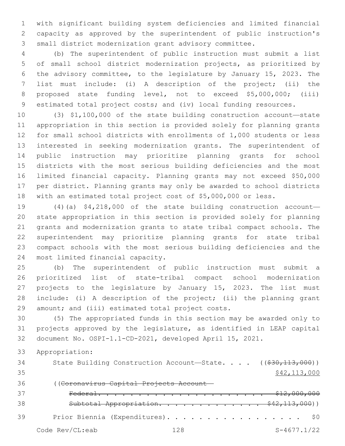with significant building system deficiencies and limited financial capacity as approved by the superintendent of public instruction's small district modernization grant advisory committee.

 (b) The superintendent of public instruction must submit a list of small school district modernization projects, as prioritized by the advisory committee, to the legislature by January 15, 2023. The list must include: (i) A description of the project; (ii) the proposed state funding level, not to exceed \$5,000,000; (iii) estimated total project costs; and (iv) local funding resources.

 (3) \$1,100,000 of the state building construction account—state appropriation in this section is provided solely for planning grants for small school districts with enrollments of 1,000 students or less interested in seeking modernization grants. The superintendent of public instruction may prioritize planning grants for school districts with the most serious building deficiencies and the most limited financial capacity. Planning grants may not exceed \$50,000 per district. Planning grants may only be awarded to school districts with an estimated total project cost of \$5,000,000 or less.

 (4)(a) \$4,218,000 of the state building construction account— state appropriation in this section is provided solely for planning grants and modernization grants to state tribal compact schools. The superintendent may prioritize planning grants for state tribal compact schools with the most serious building deficiencies and the 24 most limited financial capacity.

 (b) The superintendent of public instruction must submit a prioritized list of state-tribal compact school modernization projects to the legislature by January 15, 2023. The list must include: (i) A description of the project; (ii) the planning grant 29 amount; and (iii) estimated total project costs.

 (5) The appropriated funds in this section may be awarded only to projects approved by the legislature, as identified in LEAP capital document No. OSPI-1.1-CD-2021, developed April 15, 2021.

Appropriation:

34 State Building Construction Account—State. . . . ((\$30,113,000)) \$42,113,000 ((Coronavirus Capital Projects Account— Federal. . . . . . . . . . . . . . . . . . . . . \$12,000,000 Subtotal Appropriation. . . . . . . . . . . . . \$42,113,000)) 39 Prior Biennia (Expenditures). . . . . . . . . . . . . . . . \$0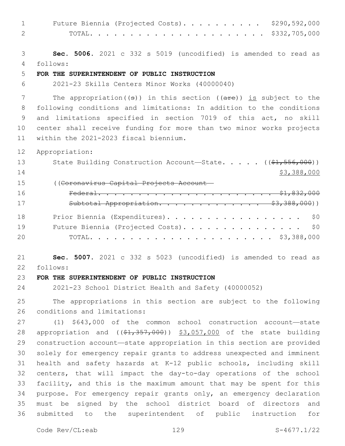| $\mathbf 1$  | \$290,592,000<br>Future Biennia (Projected Costs).                                   |
|--------------|--------------------------------------------------------------------------------------|
| $\mathbf{2}$ | \$332,705,000<br>TOTAL.                                                              |
|              |                                                                                      |
| 3            | Sec. 5006. 2021 c 332 s 5019 (uncodified) is amended to read as                      |
| 4            | follows:                                                                             |
| 5            | FOR THE SUPERINTENDENT OF PUBLIC INSTRUCTION                                         |
| 6            | 2021-23 Skills Centers Minor Works (40000040)                                        |
| 7            | The appropriation( $(\theta)$ ) in this section ( $(\text{are})$ ) is subject to the |
| 8            | following conditions and limitations: In addition to the conditions                  |
| 9            | and limitations specified in section 7019 of this act, no skill                      |
| 10           | center shall receive funding for more than two minor works projects                  |
| 11           | within the 2021-2023 fiscal biennium.                                                |
| 12           | Appropriation:                                                                       |
| 13           | State Building Construction Account-State. ((\$1,556,000))                           |
| 14           | \$3,388,000                                                                          |
| 15           | ((Coronavirus Capital Projects Account-                                              |
| 16           |                                                                                      |
| 17           | Subtotal Appropriation. \$3,388,000))                                                |
|              |                                                                                      |
| 18           | Prior Biennia (Expenditures).<br>\$0                                                 |
| 19           | Future Biennia (Projected Costs). \$0                                                |
| 20           |                                                                                      |
| 21           | Sec. 5007. 2021 c 332 s 5023 (uncodified) is amended to read as                      |
| 22           | follows:                                                                             |
| 23           | FOR THE SUPERINTENDENT OF PUBLIC INSTRUCTION                                         |
| 24           | 2021-23 School District Health and Safety (40000052)                                 |
| 25           | The appropriations in this section are subject to the following                      |
| 26           | conditions and limitations:                                                          |
| 27           | $(1)$ \$643,000 of the common school construction account-state                      |
| 28           | appropriation and $((\$1,357,000))$ $\$3,057,000$ of the state building              |
| 29           | construction account-state appropriation in this section are provided                |
| 30           | solely for emergency repair grants to address unexpected and imminent                |
| 31           | health and safety hazards at K-12 public schools, including skill                    |
| 32           | centers, that will impact the day-to-day operations of the school                    |
| 33           | facility, and this is the maximum amount that may be spent for this                  |
| 34           | purpose. For emergency repair grants only, an emergency declaration                  |
| 35           | must be signed by the school district board of directors<br>and                      |
| 36           | submitted to<br>superintendent of public instruction<br>for<br>the                   |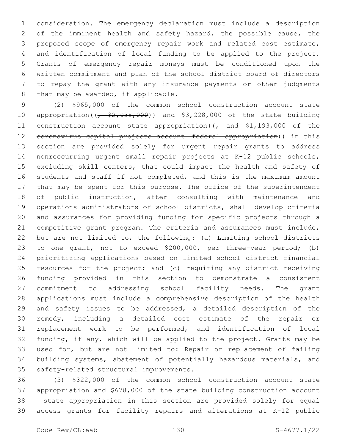consideration. The emergency declaration must include a description of the imminent health and safety hazard, the possible cause, the proposed scope of emergency repair work and related cost estimate, and identification of local funding to be applied to the project. Grants of emergency repair moneys must be conditioned upon the written commitment and plan of the school district board of directors to repay the grant with any insurance payments or other judgments 8 that may be awarded, if applicable.

 (2) \$965,000 of the common school construction account—state 10 appropriation( $\left(\frac{2}{5}, \frac{35}{100}\right)$ ) and \$3,228,000 of the state building 11 construction account—state appropriation((<sub>r</sub> and \$1,193,000 of the coronavirus capital projects account—federal appropriation)) in this section are provided solely for urgent repair grants to address nonreccurring urgent small repair projects at K-12 public schools, excluding skill centers, that could impact the health and safety of students and staff if not completed, and this is the maximum amount that may be spent for this purpose. The office of the superintendent of public instruction, after consulting with maintenance and operations administrators of school districts, shall develop criteria and assurances for providing funding for specific projects through a competitive grant program. The criteria and assurances must include, but are not limited to, the following: (a) Limiting school districts to one grant, not to exceed \$200,000, per three-year period; (b) prioritizing applications based on limited school district financial resources for the project; and (c) requiring any district receiving funding provided in this section to demonstrate a consistent commitment to addressing school facility needs. The grant applications must include a comprehensive description of the health and safety issues to be addressed, a detailed description of the remedy, including a detailed cost estimate of the repair or replacement work to be performed, and identification of local funding, if any, which will be applied to the project. Grants may be used for, but are not limited to: Repair or replacement of failing building systems, abatement of potentially hazardous materials, and 35 safety-related structural improvements.

 (3) \$322,000 of the common school construction account—state appropriation and \$678,000 of the state building construction account —state appropriation in this section are provided solely for equal access grants for facility repairs and alterations at K-12 public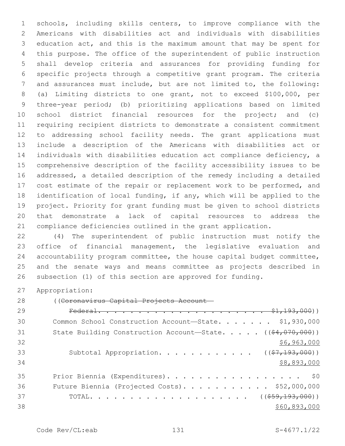schools, including skills centers, to improve compliance with the Americans with disabilities act and individuals with disabilities education act, and this is the maximum amount that may be spent for this purpose. The office of the superintendent of public instruction shall develop criteria and assurances for providing funding for specific projects through a competitive grant program. The criteria and assurances must include, but are not limited to, the following: (a) Limiting districts to one grant, not to exceed \$100,000, per three-year period; (b) prioritizing applications based on limited school district financial resources for the project; and (c) requiring recipient districts to demonstrate a consistent commitment to addressing school facility needs. The grant applications must include a description of the Americans with disabilities act or individuals with disabilities education act compliance deficiency, a comprehensive description of the facility accessibility issues to be addressed, a detailed description of the remedy including a detailed 17 cost estimate of the repair or replacement work to be performed, and identification of local funding, if any, which will be applied to the project. Priority for grant funding must be given to school districts that demonstrate a lack of capital resources to address the compliance deficiencies outlined in the grant application.

 (4) The superintendent of public instruction must notify the office of financial management, the legislative evaluation and accountability program committee, the house capital budget committee, and the senate ways and means committee as projects described in subsection (1) of this section are approved for funding.

Appropriation:

((Coronavirus Capital Projects Account—

| 29 |                                                                               |
|----|-------------------------------------------------------------------------------|
| 30 | Common School Construction Account-State. \$1,930,000                         |
| 31 | State Building Construction Account-State. $($ $($ $\frac{64}{707}, 000)$ $)$ |
| 32 | \$6,963,000                                                                   |
| 33 | Subtotal Appropriation. ( $(\frac{27}{193}, 000)$ )                           |
| 34 | \$8,893,000                                                                   |
| 35 | Prior Biennia (Expenditures). \$0                                             |
| 36 | Future Biennia (Projected Costs). \$52,000,000                                |
| 37 |                                                                               |
| 38 | \$60,893,000                                                                  |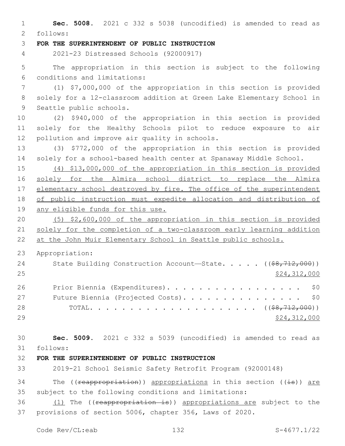**Sec. 5008.** 2021 c 332 s 5038 (uncodified) is amended to read as follows: 2 **FOR THE SUPERINTENDENT OF PUBLIC INSTRUCTION** 2021-23 Distressed Schools (92000917) The appropriation in this section is subject to the following conditions and limitations:6 (1) \$7,000,000 of the appropriation in this section is provided solely for a 12-classroom addition at Green Lake Elementary School in 9 Seattle public schools. (2) \$940,000 of the appropriation in this section is provided solely for the Healthy Schools pilot to reduce exposure to air 12 pollution and improve air quality in schools. (3) \$772,000 of the appropriation in this section is provided solely for a school-based health center at Spanaway Middle School. (4) \$13,000,000 of the appropriation in this section is provided solely for the Almira school district to replace the Almira 17 elementary school destroyed by fire. The office of the superintendent of public instruction must expedite allocation and distribution of any eligible funds for this use. (5) \$2,600,000 of the appropriation in this section is provided solely for the completion of a two-classroom early learning addition at the John Muir Elementary School in Seattle public schools. Appropriation: 24 State Building Construction Account—State. . . . . ((\$8,712,000)) 25 \$24,312,000 26 Prior Biennia (Expenditures). . . . . . . . . . . . . . . . \$0 27 Future Biennia (Projected Costs). . . . . . . . . . . . . . \$0 TOTAL. . . . . . . . . . . . . . . . . . . . . ((\$8,712,000)) \$24,312,000 **Sec. 5009.** 2021 c 332 s 5039 (uncodified) is amended to read as follows: 31 **FOR THE SUPERINTENDENT OF PUBLIC INSTRUCTION** 2019-21 School Seismic Safety Retrofit Program (92000148) 34 The (( $r$ eappropriation)) appropriations in this section ( $(i\texttt{s})$ ) are subject to the following conditions and limitations: 36 (1) The ((reappropriation is)) appropriations are subject to the provisions of section 5006, chapter 356, Laws of 2020.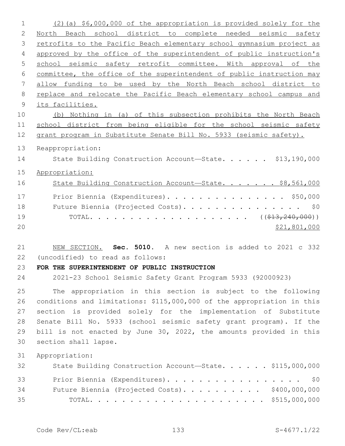| $\mathbf 1$  | (2) (a) \$6,000,000 of the appropriation is provided solely for the    |
|--------------|------------------------------------------------------------------------|
| $\mathbf{2}$ | North Beach school district to complete needed seismic safety          |
| 3            | retrofits to the Pacific Beach elementary school gymnasium project as  |
| 4            | approved by the office of the superintendent of public instruction's   |
| 5            | school seismic safety retrofit committee. With approval of the         |
| 6            | committee, the office of the superintendent of public instruction may  |
| 7            | allow funding to be used by the North Beach school district to         |
| 8            | replace and relocate the Pacific Beach elementary school campus and    |
| 9            | its facilities.                                                        |
| 10           | (b) Nothing in (a) of this subsection prohibits the North Beach        |
| 11           | school district from being eligible for the school seismic safety      |
| 12           | grant program in Substitute Senate Bill No. 5933 (seismic safety).     |
| 13           | Reappropriation:                                                       |
| 14           | State Building Construction Account-State. \$13,190,000                |
|              |                                                                        |
| 15           | Appropriation:                                                         |
| 16           | State Building Construction Account-State. \$8,561,000                 |
| 17           | Prior Biennia (Expenditures). \$50,000                                 |
| 18           | Future Biennia (Projected Costs).<br>\$0                               |
| 19           |                                                                        |
| 20           | \$21,801,000                                                           |
|              |                                                                        |
| 21           | NEW SECTION. Sec. 5010. A new section is added to 2021 c 332           |
| 22           | (uncodified) to read as follows:                                       |
| 23           | FOR THE SUPERINTENDENT OF PUBLIC INSTRUCTION                           |
| 24           | 2021-23 School Seismic Safety Grant Program 5933 (92000923)            |
| 25           | The appropriation in this section is subject to the following          |
| 26           | conditions and limitations: \$115,000,000 of the appropriation in this |
| 27           | section is provided solely for the implementation of Substitute        |
| 28           | Senate Bill No. 5933 (school seismic safety grant program). If the     |
| 29           |                                                                        |
|              | bill is not enacted by June 30, 2022, the amounts provided in this     |
| 30           | section shall lapse.                                                   |
| 31           | Appropriation:                                                         |
| 32           | State Building Construction Account-State. \$115,000,000               |
|              |                                                                        |
| 33           | Prior Biennia (Expenditures). \$0                                      |
| 34<br>35     | Future Biennia (Projected Costs). \$400,000,000                        |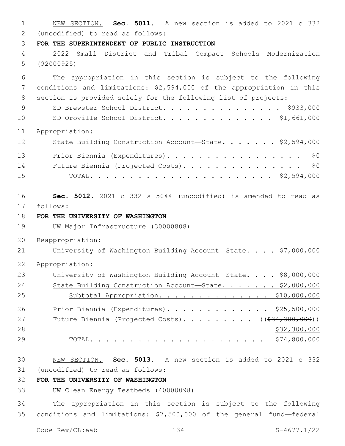NEW SECTION. **Sec. 5011.** A new section is added to 2021 c 332 (uncodified) to read as follows: 2 **FOR THE SUPERINTENDENT OF PUBLIC INSTRUCTION** 2022 Small District and Tribal Compact Schools Modernization (92000925) The appropriation in this section is subject to the following conditions and limitations: \$2,594,000 of the appropriation in this section is provided solely for the following list of projects: 9 SD Brewster School District. . . . . . . . . . . . . \$933,000 SD Oroville School District. . . . . . . . . . . . . . \$1,661,000 Appropriation: 12 State Building Construction Account-State. . . . . . \$2,594,000 13 Prior Biennia (Expenditures). . . . . . . . . . . . . . . . \$0 14 Future Biennia (Projected Costs). . . . . . . . . . . . . . \$0 TOTAL. . . . . . . . . . . . . . . . . . . . . . . \$2,594,000 **Sec. 5012.** 2021 c 332 s 5044 (uncodified) is amended to read as 17 follows: **FOR THE UNIVERSITY OF WASHINGTON** UW Major Infrastructure (30000808) Reappropriation: 21 University of Washington Building Account-State. . . . \$7,000,000 Appropriation: University of Washington Building Account—State. . . . \$8,000,000 24 State Building Construction Account-State. . . . . . \$2,000,000 25 Subtotal Appropriation. . . . . . . . . . . . . \$10,000,000 Prior Biennia (Expenditures). . . . . . . . . . . . . \$25,500,000 27 Future Biennia (Projected Costs). . . . . . . . ((\$34,300,000)) \$32,300,000 TOTAL. . . . . . . . . . . . . . . . . . . . . . \$74,800,000 NEW SECTION. **Sec. 5013.** A new section is added to 2021 c 332 (uncodified) to read as follows: 31 **FOR THE UNIVERSITY OF WASHINGTON** UW Clean Energy Testbeds (40000098)

 The appropriation in this section is subject to the following conditions and limitations: \$7,500,000 of the general fund—federal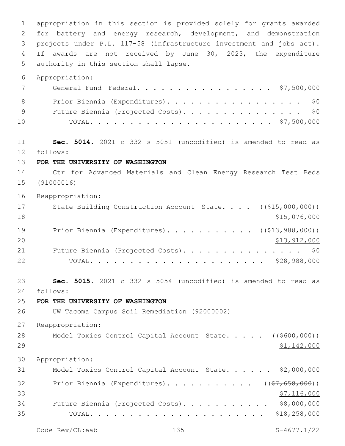appropriation in this section is provided solely for grants awarded for battery and energy research, development, and demonstration projects under P.L. 117-58 (infrastructure investment and jobs act). If awards are not received by June 30, 2023, the expenditure 5 authority in this section shall lapse. Appropriation: General Fund—Federal. . . . . . . . . . . . . . . . . \$7,500,000 8 Prior Biennia (Expenditures). . . . . . . . . . . . . . . . \$0 9 Future Biennia (Projected Costs). . . . . . . . . . . . . . \$0 TOTAL. . . . . . . . . . . . . . . . . . . . . . . \$7,500,000 **Sec. 5014.** 2021 c 332 s 5051 (uncodified) is amended to read as follows: 12 **FOR THE UNIVERSITY OF WASHINGTON** Ctr for Advanced Materials and Clean Energy Research Test Beds (91000016) Reappropriation: 17 State Building Construction Account—State. . . . ((\$15,000,000))  $\frac{15,076,000}{ }$ 19 Prior Biennia (Expenditures). . . . . . . . . . ( (\$13,988,000)) 20 \$13,912,000 21 Future Biennia (Projected Costs). . . . . . . . . . . . . . \$0 TOTAL. . . . . . . . . . . . . . . . . . . . . . \$28,988,000 **Sec. 5015.** 2021 c 332 s 5054 (uncodified) is amended to read as follows: 24 **FOR THE UNIVERSITY OF WASHINGTON** UW Tacoma Campus Soil Remediation (92000002) Reappropriation: 28 Model Toxics Control Capital Account—State. . . . ((\$600,000)) \$1,142,000 Appropriation: Model Toxics Control Capital Account—State. . . . . . \$2,000,000 32 Prior Biennia (Expenditures)............. ((\$7,658,000))  $\frac{1}{57}$ , 116,000 Future Biennia (Projected Costs). . . . . . . . . . . \$8,000,000 TOTAL. . . . . . . . . . . . . . . . . . . . . . \$18,258,000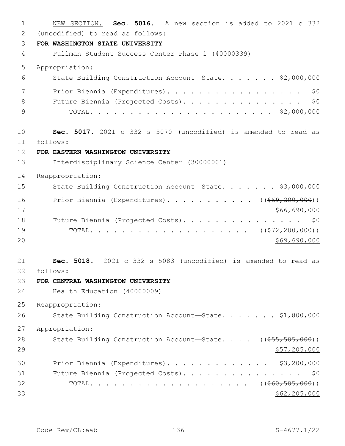NEW SECTION. **Sec. 5016.** A new section is added to 2021 c 332 (uncodified) to read as follows: 2 **FOR WASHINGTON STATE UNIVERSITY** Pullman Student Success Center Phase 1 (40000339) Appropriation: State Building Construction Account—State. . . . . . . \$2,000,000 7 Prior Biennia (Expenditures). . . . . . . . . . . . . . . . \$0 8 Future Biennia (Projected Costs). . . . . . . . . . . . . . \$0 TOTAL. . . . . . . . . . . . . . . . . . . . . . . \$2,000,000 **Sec. 5017.** 2021 c 332 s 5070 (uncodified) is amended to read as follows: 11 **FOR EASTERN WASHINGTON UNIVERSITY** Interdisciplinary Science Center (30000001) Reappropriation: 15 State Building Construction Account—State. . . . . . \$3,000,000 16 Prior Biennia (Expenditures). . . . . . . . . . ((\$69,200,000)) \$66,690,000 18 Future Biennia (Projected Costs). . . . . . . . . . . . . . \$0 19 TOTAL. . . . . . . . . . . . . . . . . . ((<del>\$72,200,000</del>)) \$69,690,000 **Sec. 5018.** 2021 c 332 s 5083 (uncodified) is amended to read as follows: 22 **FOR CENTRAL WASHINGTON UNIVERSITY** Health Education (40000009) Reappropriation: 26 State Building Construction Account-State. . . . . . \$1,800,000 Appropriation: 28 State Building Construction Account—State. . . . ((\$55,505,000)) 29 \$57,205,000 Prior Biennia (Expenditures). . . . . . . . . . . . . \$3,200,000 Future Biennia (Projected Costs). . . . . . . . . . . . . . . \$0 TOTAL. . . . . . . . . . . . . . . . . . . . ((\$60,505,000)) \$62,205,000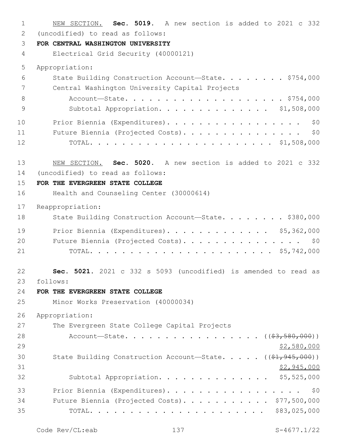NEW SECTION. **Sec. 5019.** A new section is added to 2021 c 332 (uncodified) to read as follows: 2 **FOR CENTRAL WASHINGTON UNIVERSITY** Electrical Grid Security (40000121) Appropriation: State Building Construction Account—State. . . . . . . . \$754,000 7 Central Washington University Capital Projects 8 Account-State. . . . . . . . . . . . . . . . . . \$754,000 Subtotal Appropriation. . . . . . . . . . . . . . \$1,508,000 10 Prior Biennia (Expenditures). . . . . . . . . . . . . . . . \$0 Future Biennia (Projected Costs). . . . . . . . . . . . . . . \$0 TOTAL. . . . . . . . . . . . . . . . . . . . . . . \$1,508,000 NEW SECTION. **Sec. 5020.** A new section is added to 2021 c 332 (uncodified) to read as follows: 14 **FOR THE EVERGREEN STATE COLLEGE** Health and Counseling Center (30000614) Reappropriation: 18 State Building Construction Account—State. . . . . . . \$380,000 Prior Biennia (Expenditures). . . . . . . . . . . . . \$5,362,000 20 Future Biennia (Projected Costs). . . . . . . . . . . . . . \$0 TOTAL. . . . . . . . . . . . . . . . . . . . . . . \$5,742,000 **Sec. 5021.** 2021 c 332 s 5093 (uncodified) is amended to read as follows: 23 **FOR THE EVERGREEN STATE COLLEGE** Minor Works Preservation (40000034) Appropriation: 27 The Evergreen State College Capital Projects 28 Account—State. . . . . . . . . . . . . . . (  $(\frac{2}{7}, \frac{580}{100})$  )  $$2,580,000$ 30 State Building Construction Account—State. . . . . ((\$1,945,000)) \$2,945,000 Subtotal Appropriation. . . . . . . . . . . . . . \$5,525,000 Prior Biennia (Expenditures). . . . . . . . . . . . . . . . . \$0 34 Future Biennia (Projected Costs). . . . . . . . . . \$77,500,000 TOTAL. . . . . . . . . . . . . . . . . . . . . . \$83,025,000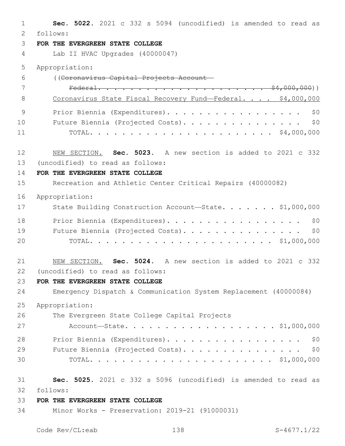| $\mathbf{1}$ | Sec. 5022. 2021 c 332 s 5094 (uncodified) is amended to read as  |
|--------------|------------------------------------------------------------------|
| 2            | follows:                                                         |
| 3            | FOR THE EVERGREEN STATE COLLEGE                                  |
| 4            | Lab II HVAC Upgrades (40000047)                                  |
| 5            | Appropriation:                                                   |
| 6            | ((Coronavirus Capital Projects Account-                          |
| 7            |                                                                  |
| 8            | Coronavirus State Fiscal Recovery Fund-Federal. \$4,000,000      |
| 9            | Prior Biennia (Expenditures).<br>\$0                             |
| 10           | Future Biennia (Projected Costs).<br>\$0                         |
| 11           |                                                                  |
| 12           | NEW SECTION. Sec. 5023. A new section is added to 2021 c 332     |
| 13           | (uncodified) to read as follows:                                 |
| 14           | FOR THE EVERGREEN STATE COLLEGE                                  |
| 15           | Recreation and Athletic Center Critical Repairs (40000082)       |
| 16           | Appropriation:                                                   |
| 17           | State Building Construction Account-State. \$1,000,000           |
| 18           | Prior Biennia (Expenditures).<br>\$0                             |
| 19           | Future Biennia (Projected Costs).<br>\$0                         |
| 20           |                                                                  |
| 21           | NEW SECTION. Sec. 5024. A new section is added to 2021 c 332     |
| 22           | (uncodified) to read as follows:                                 |
| 23           | FOR THE EVERGREEN STATE COLLEGE                                  |
| 24           | Emergency Dispatch & Communication System Replacement (40000084) |
| 25           | Appropriation:                                                   |
| 26           | The Evergreen State College Capital Projects                     |
| 27           | Account-State. \$1,000,000                                       |
| 28           | Prior Biennia (Expenditures).<br>\$0                             |
| 29           | Future Biennia (Projected Costs). \$0                            |
| 30           |                                                                  |
| 31           | Sec. 5025. 2021 c 332 s 5096 (uncodified) is amended to read as  |
| 32           | follows:                                                         |
| 33           | FOR THE EVERGREEN STATE COLLEGE                                  |
| 34           | Minor Works - Preservation: 2019-21 (91000031)                   |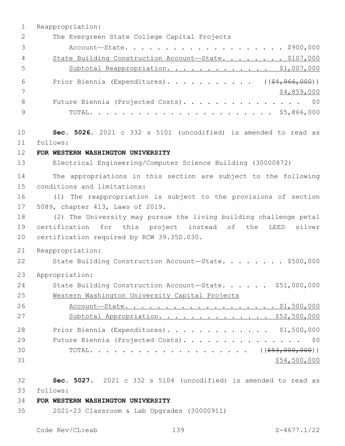1 Reappropriation: 2 The Evergreen State College Capital Projects 3 Account—State. . . . . . . . . . . . . . . . . . . . \$900,000 4 State Building Construction Account-State. . . . . . . \$107,000 5 Subtotal Reappropriation. . . . . . . . . . . . . \$1,007,000 6 Prior Biennia (Expenditures)............ ((\$4,966,000))  $7$   $\frac{1}{2}$   $\frac{1}{2}$   $\frac{1}{2}$   $\frac{1}{2}$   $\frac{1}{2}$   $\frac{1}{2}$   $\frac{1}{2}$   $\frac{1}{2}$   $\frac{1}{2}$   $\frac{1}{2}$   $\frac{1}{2}$   $\frac{1}{2}$   $\frac{1}{2}$   $\frac{1}{2}$   $\frac{1}{2}$   $\frac{1}{2}$   $\frac{1}{2}$   $\frac{1}{2}$   $\frac{1}{2}$   $\frac{1}{2}$   $\frac{1}{2}$   $\frac{1}{2$ 8 Future Biennia (Projected Costs). . . . . . . . . . . . . . \$0 9 TOTAL. . . . . . . . . . . . . . . . . . . . . . . \$5,866,000 10 **Sec. 5026.** 2021 c 332 s 5101 (uncodified) is amended to read as follows: 11 12 **FOR WESTERN WASHINGTON UNIVERSITY** 13 Electrical Engineering/Computer Science Building (30000872) 14 The appropriations in this section are subject to the following 15 conditions and limitations: 16 (1) The reappropriation is subject to the provisions of section 17 5089, chapter 413, Laws of 2019. 18 (2) The University may pursue the living building challenge petal 19 certification for this project instead of the LEED silver 20 certification required by RCW 39.35D.030. 21 Reappropriation: 22 State Building Construction Account-State. . . . . . . \$500,000 23 Appropriation: 24 State Building Construction Account-State. . . . . \$51,000,000 25 Western Washington University Capital Projects 26 Account-State. . . . . . . . . . . . . . . . . \$1,500,000 27 Subtotal Appropriation. . . . . . . . . . . . . \$52,500,000 28 Prior Biennia (Expenditures). . . . . . . . . . . . . \$1,500,000 29 Future Biennia (Projected Costs). . . . . . . . . . . . . . \$0 30 TOTAL. . . . . . . . . . . . . . . . . . ((\$53,000,000))  $31$  \$54,500,000 32 **Sec. 5027.** 2021 c 332 s 5104 (uncodified) is amended to read as

- follows: 33
- 34 **FOR WESTERN WASHINGTON UNIVERSITY**
- 35 2021-23 Classroom & Lab Upgrades (30000911)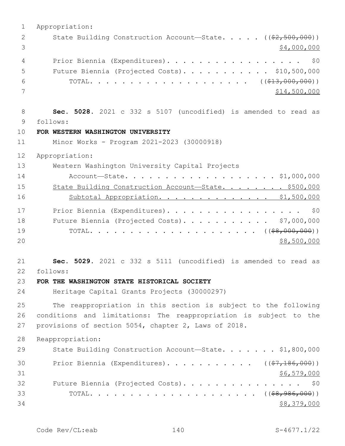| State Building Construction Account-State. ((\$2,500,000))<br>2<br>3<br>\$4,000,000<br>Prior Biennia (Expenditures).<br>\$0<br>4<br>Future Biennia (Projected Costs). \$10,500,000<br>5<br>6<br>7<br>\$14,500,000<br>8<br>Sec. 5028. 2021 c 332 s 5107 (uncodified) is amended to read as<br>9<br>follows:<br>10<br>FOR WESTERN WASHINGTON UNIVERSITY<br>11<br>Minor Works - Program 2021-2023 (30000918)<br>12<br>Appropriation:<br>13<br>Western Washington University Capital Projects<br>14<br>Account-State. \$1,000,000<br>15<br>State Building Construction Account-State. \$500,000<br>16<br>Subtotal Appropriation. \$1,500,000<br>17<br>Prior Biennia (Expenditures).<br>\$0<br>18<br>Future Biennia (Projected Costs). \$7,000,000<br>19<br>20<br>\$8,500,000<br>21<br>Sec. 5029. 2021 c 332 s 5111 (uncodified) is amended to read as<br>22<br>follows:<br>23<br>FOR THE WASHINGTON STATE HISTORICAL SOCIETY<br>24<br>Heritage Capital Grants Projects (30000297)<br>25<br>The reappropriation in this section is subject to the following<br>26<br>conditions and limitations: The reappropriation is subject to the<br>27<br>provisions of section 5054, chapter 2, Laws of 2018.<br>28<br>Reappropriation:<br>29<br>State Building Construction Account-State. \$1,800,000<br>Prior Biennia (Expenditures). ( $(\frac{27}{186},000)$ )<br>30<br>31<br>\$6,579,000<br>32<br>Future Biennia (Projected Costs). \$0<br>33 | $\mathbf{1}$ | Appropriation: |
|---------------------------------------------------------------------------------------------------------------------------------------------------------------------------------------------------------------------------------------------------------------------------------------------------------------------------------------------------------------------------------------------------------------------------------------------------------------------------------------------------------------------------------------------------------------------------------------------------------------------------------------------------------------------------------------------------------------------------------------------------------------------------------------------------------------------------------------------------------------------------------------------------------------------------------------------------------------------------------------------------------------------------------------------------------------------------------------------------------------------------------------------------------------------------------------------------------------------------------------------------------------------------------------------------------------------------------------------------------------------------------------------------------------------------------------|--------------|----------------|
|                                                                                                                                                                                                                                                                                                                                                                                                                                                                                                                                                                                                                                                                                                                                                                                                                                                                                                                                                                                                                                                                                                                                                                                                                                                                                                                                                                                                                                       |              |                |
|                                                                                                                                                                                                                                                                                                                                                                                                                                                                                                                                                                                                                                                                                                                                                                                                                                                                                                                                                                                                                                                                                                                                                                                                                                                                                                                                                                                                                                       |              |                |
|                                                                                                                                                                                                                                                                                                                                                                                                                                                                                                                                                                                                                                                                                                                                                                                                                                                                                                                                                                                                                                                                                                                                                                                                                                                                                                                                                                                                                                       |              |                |
|                                                                                                                                                                                                                                                                                                                                                                                                                                                                                                                                                                                                                                                                                                                                                                                                                                                                                                                                                                                                                                                                                                                                                                                                                                                                                                                                                                                                                                       |              |                |
|                                                                                                                                                                                                                                                                                                                                                                                                                                                                                                                                                                                                                                                                                                                                                                                                                                                                                                                                                                                                                                                                                                                                                                                                                                                                                                                                                                                                                                       |              |                |
|                                                                                                                                                                                                                                                                                                                                                                                                                                                                                                                                                                                                                                                                                                                                                                                                                                                                                                                                                                                                                                                                                                                                                                                                                                                                                                                                                                                                                                       |              |                |
|                                                                                                                                                                                                                                                                                                                                                                                                                                                                                                                                                                                                                                                                                                                                                                                                                                                                                                                                                                                                                                                                                                                                                                                                                                                                                                                                                                                                                                       |              |                |
|                                                                                                                                                                                                                                                                                                                                                                                                                                                                                                                                                                                                                                                                                                                                                                                                                                                                                                                                                                                                                                                                                                                                                                                                                                                                                                                                                                                                                                       |              |                |
|                                                                                                                                                                                                                                                                                                                                                                                                                                                                                                                                                                                                                                                                                                                                                                                                                                                                                                                                                                                                                                                                                                                                                                                                                                                                                                                                                                                                                                       |              |                |
|                                                                                                                                                                                                                                                                                                                                                                                                                                                                                                                                                                                                                                                                                                                                                                                                                                                                                                                                                                                                                                                                                                                                                                                                                                                                                                                                                                                                                                       |              |                |
|                                                                                                                                                                                                                                                                                                                                                                                                                                                                                                                                                                                                                                                                                                                                                                                                                                                                                                                                                                                                                                                                                                                                                                                                                                                                                                                                                                                                                                       |              |                |
|                                                                                                                                                                                                                                                                                                                                                                                                                                                                                                                                                                                                                                                                                                                                                                                                                                                                                                                                                                                                                                                                                                                                                                                                                                                                                                                                                                                                                                       |              |                |
|                                                                                                                                                                                                                                                                                                                                                                                                                                                                                                                                                                                                                                                                                                                                                                                                                                                                                                                                                                                                                                                                                                                                                                                                                                                                                                                                                                                                                                       |              |                |
|                                                                                                                                                                                                                                                                                                                                                                                                                                                                                                                                                                                                                                                                                                                                                                                                                                                                                                                                                                                                                                                                                                                                                                                                                                                                                                                                                                                                                                       |              |                |
|                                                                                                                                                                                                                                                                                                                                                                                                                                                                                                                                                                                                                                                                                                                                                                                                                                                                                                                                                                                                                                                                                                                                                                                                                                                                                                                                                                                                                                       |              |                |
|                                                                                                                                                                                                                                                                                                                                                                                                                                                                                                                                                                                                                                                                                                                                                                                                                                                                                                                                                                                                                                                                                                                                                                                                                                                                                                                                                                                                                                       |              |                |
|                                                                                                                                                                                                                                                                                                                                                                                                                                                                                                                                                                                                                                                                                                                                                                                                                                                                                                                                                                                                                                                                                                                                                                                                                                                                                                                                                                                                                                       |              |                |
|                                                                                                                                                                                                                                                                                                                                                                                                                                                                                                                                                                                                                                                                                                                                                                                                                                                                                                                                                                                                                                                                                                                                                                                                                                                                                                                                                                                                                                       |              |                |
|                                                                                                                                                                                                                                                                                                                                                                                                                                                                                                                                                                                                                                                                                                                                                                                                                                                                                                                                                                                                                                                                                                                                                                                                                                                                                                                                                                                                                                       |              |                |
|                                                                                                                                                                                                                                                                                                                                                                                                                                                                                                                                                                                                                                                                                                                                                                                                                                                                                                                                                                                                                                                                                                                                                                                                                                                                                                                                                                                                                                       |              |                |
|                                                                                                                                                                                                                                                                                                                                                                                                                                                                                                                                                                                                                                                                                                                                                                                                                                                                                                                                                                                                                                                                                                                                                                                                                                                                                                                                                                                                                                       |              |                |
|                                                                                                                                                                                                                                                                                                                                                                                                                                                                                                                                                                                                                                                                                                                                                                                                                                                                                                                                                                                                                                                                                                                                                                                                                                                                                                                                                                                                                                       |              |                |
|                                                                                                                                                                                                                                                                                                                                                                                                                                                                                                                                                                                                                                                                                                                                                                                                                                                                                                                                                                                                                                                                                                                                                                                                                                                                                                                                                                                                                                       |              |                |
|                                                                                                                                                                                                                                                                                                                                                                                                                                                                                                                                                                                                                                                                                                                                                                                                                                                                                                                                                                                                                                                                                                                                                                                                                                                                                                                                                                                                                                       |              |                |
|                                                                                                                                                                                                                                                                                                                                                                                                                                                                                                                                                                                                                                                                                                                                                                                                                                                                                                                                                                                                                                                                                                                                                                                                                                                                                                                                                                                                                                       |              |                |
|                                                                                                                                                                                                                                                                                                                                                                                                                                                                                                                                                                                                                                                                                                                                                                                                                                                                                                                                                                                                                                                                                                                                                                                                                                                                                                                                                                                                                                       |              |                |
|                                                                                                                                                                                                                                                                                                                                                                                                                                                                                                                                                                                                                                                                                                                                                                                                                                                                                                                                                                                                                                                                                                                                                                                                                                                                                                                                                                                                                                       |              |                |
|                                                                                                                                                                                                                                                                                                                                                                                                                                                                                                                                                                                                                                                                                                                                                                                                                                                                                                                                                                                                                                                                                                                                                                                                                                                                                                                                                                                                                                       |              |                |
|                                                                                                                                                                                                                                                                                                                                                                                                                                                                                                                                                                                                                                                                                                                                                                                                                                                                                                                                                                                                                                                                                                                                                                                                                                                                                                                                                                                                                                       |              |                |
|                                                                                                                                                                                                                                                                                                                                                                                                                                                                                                                                                                                                                                                                                                                                                                                                                                                                                                                                                                                                                                                                                                                                                                                                                                                                                                                                                                                                                                       |              |                |
|                                                                                                                                                                                                                                                                                                                                                                                                                                                                                                                                                                                                                                                                                                                                                                                                                                                                                                                                                                                                                                                                                                                                                                                                                                                                                                                                                                                                                                       |              |                |
|                                                                                                                                                                                                                                                                                                                                                                                                                                                                                                                                                                                                                                                                                                                                                                                                                                                                                                                                                                                                                                                                                                                                                                                                                                                                                                                                                                                                                                       |              |                |
|                                                                                                                                                                                                                                                                                                                                                                                                                                                                                                                                                                                                                                                                                                                                                                                                                                                                                                                                                                                                                                                                                                                                                                                                                                                                                                                                                                                                                                       |              |                |
|                                                                                                                                                                                                                                                                                                                                                                                                                                                                                                                                                                                                                                                                                                                                                                                                                                                                                                                                                                                                                                                                                                                                                                                                                                                                                                                                                                                                                                       |              |                |
|                                                                                                                                                                                                                                                                                                                                                                                                                                                                                                                                                                                                                                                                                                                                                                                                                                                                                                                                                                                                                                                                                                                                                                                                                                                                                                                                                                                                                                       | 34           | \$8,379,000    |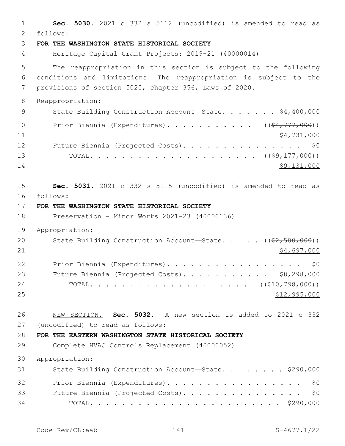1 **Sec. 5030.** 2021 c 332 s 5112 (uncodified) is amended to read as follows: 2 3 **FOR THE WASHINGTON STATE HISTORICAL SOCIETY** 4 Heritage Capital Grant Projects: 2019-21 (40000014) 5 The reappropriation in this section is subject to the following 6 conditions and limitations: The reappropriation is subject to the 7 provisions of section 5020, chapter 356, Laws of 2020. 8 Reappropriation: 9 State Building Construction Account-State. . . . . . \$4,400,000 10 Prior Biennia (Expenditures). . . . . . . . . . ((\$4,777,000)) 11 \$4,731,000 12 Future Biennia (Projected Costs). . . . . . . . . . . . . . \$0 13 TOTAL. . . . . . . . . . . . . . . . . . . . . ((\$9,177,000))  $14$  \$9,131,000 15 **Sec. 5031.** 2021 c 332 s 5115 (uncodified) is amended to read as follows: 16 17 **FOR THE WASHINGTON STATE HISTORICAL SOCIETY** 18 Preservation - Minor Works 2021-23 (40000136) 19 Appropriation: 20 State Building Construction Account—State. . . . . ((\$2,500,000)) 21 \$4,697,000 22 Prior Biennia (Expenditures). . . . . . . . . . . . . . . . \$0 23 Future Biennia (Projected Costs). . . . . . . . . . \$8,298,000 24 TOTAL. . . . . . . . . . . . . . . . . . (  $(\frac{210}{798}, \frac{798}{000})$  ) 25 \$12,995,000 26 NEW SECTION. **Sec. 5032.** A new section is added to 2021 c 332 27 (uncodified) to read as follows: 28 **FOR THE EASTERN WASHINGTON STATE HISTORICAL SOCIETY** 29 Complete HVAC Controls Replacement (40000052) 30 Appropriation: 31 State Building Construction Account-State. . . . . . . \$290,000 32 Prior Biennia (Expenditures). . . . . . . . . . . . . . . . \$0 33 Future Biennia (Projected Costs). . . . . . . . . . . . . . \$0 34 TOTAL. . . . . . . . . . . . . . . . . . . . . . . . \$290,000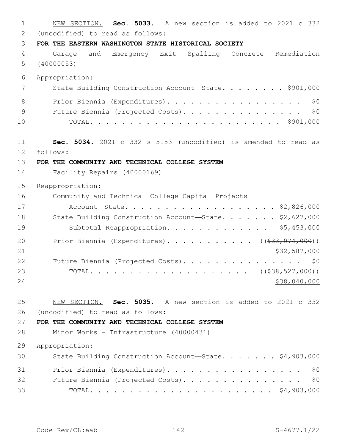NEW SECTION. **Sec. 5033.** A new section is added to 2021 c 332 (uncodified) to read as follows:2 **FOR THE EASTERN WASHINGTON STATE HISTORICAL SOCIETY** Garage and Emergency Exit Spalling Concrete Remediation (40000053) Appropriation: 7 State Building Construction Account—State. . . . . . . \$901,000 8 Prior Biennia (Expenditures). . . . . . . . . . . . . . . . \$0 9 Future Biennia (Projected Costs). . . . . . . . . . . . . . \$0 TOTAL. . . . . . . . . . . . . . . . . . . . . . . . \$901,000 **Sec. 5034.** 2021 c 332 s 5153 (uncodified) is amended to read as follows: 12 **FOR THE COMMUNITY AND TECHNICAL COLLEGE SYSTEM** Facility Repairs (40000169) Reappropriation: Community and Technical College Capital Projects Account—State. . . . . . . . . . . . . . . . . . . \$2,826,000 18 State Building Construction Account-State. . . . . . \$2,627,000 19 Subtotal Reappropriation. . . . . . . . . . . . \$5,453,000 20 Prior Biennia (Expenditures). . . . . . . . . . ((\$33,074,000)) 21 \$32,587,000 22 Future Biennia (Projected Costs). . . . . . . . . . . . . . \$0 TOTAL. . . . . . . . . . . . . . . . . . . . ((\$38,527,000)) 24 \$38,040,000 \$38,040,000 \$38,040,000 \$38,040,000 \$38,040,000 \$38,040,000 \$38,040,000 \$ NEW SECTION. **Sec. 5035.** A new section is added to 2021 c 332 (uncodified) to read as follows:26 **FOR THE COMMUNITY AND TECHNICAL COLLEGE SYSTEM** Minor Works - Infrastructure (40000431) Appropriation: State Building Construction Account—State. . . . . . . \$4,903,000 31 Prior Biennia (Expenditures). . . . . . . . . . . . . . . . \$0 Future Biennia (Projected Costs). . . . . . . . . . . . . . . \$0 TOTAL. . . . . . . . . . . . . . . . . . . . . . . \$4,903,000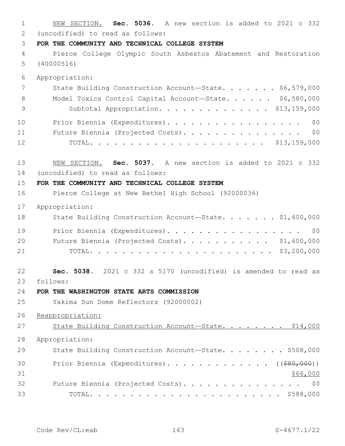NEW SECTION. **Sec. 5036.** A new section is added to 2021 c 332 (uncodified) to read as follows: 2 **FOR THE COMMUNITY AND TECHNICAL COLLEGE SYSTEM** Pierce College Olympic South Asbestos Abatement and Restoration (40000516) Appropriation: 7 State Building Construction Account—State. . . . . . \$6,579,000 Model Toxics Control Capital Account—State. . . . . . \$6,580,000 Subtotal Appropriation. . . . . . . . . . . . . . \$13,159,000 10 Prior Biennia (Expenditures). . . . . . . . . . . . . . . . \$0 Future Biennia (Projected Costs). . . . . . . . . . . . . . . \$0 TOTAL. . . . . . . . . . . . . . . . . . . . . . \$13,159,000 NEW SECTION. **Sec. 5037.** A new section is added to 2021 c 332 14 (uncodified) to read as follows: **FOR THE COMMUNITY AND TECHNICAL COLLEGE SYSTEM** Pierce College at New Bethel High School (92000036) Appropriation: 18 State Building Construction Account-State. . . . . . \$1,600,000 19 Prior Biennia (Expenditures). . . . . . . . . . . . . . . . \$0 20 Future Biennia (Projected Costs). . . . . . . . . . \$1,600,000 TOTAL. . . . . . . . . . . . . . . . . . . . . . . \$3,200,000 **Sec. 5038.** 2021 c 332 s 5170 (uncodified) is amended to read as follows: 23 **FOR THE WASHINGTON STATE ARTS COMMISSION** Yakima Sun Dome Reflectors (92000002) Reappropriation: 27 State Building Construction Account-State. . . . . . . \$14,000 Appropriation: 29 State Building Construction Account-State. . . . . . . \$508,000 30 Prior Biennia (Expenditures). . . . . . . . . . . . ((\$80,000)) \$66,000 32 Future Biennia (Projected Costs). . . . . . . . . . . . . . \$0 TOTAL. . . . . . . . . . . . . . . . . . . . . . . . \$588,000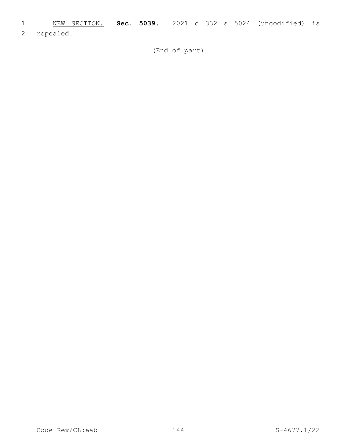- 1 NEW SECTION. **Sec. 5039.** 2021 c 332 s 5024 (uncodified) is
- 2 repealed.

(End of part)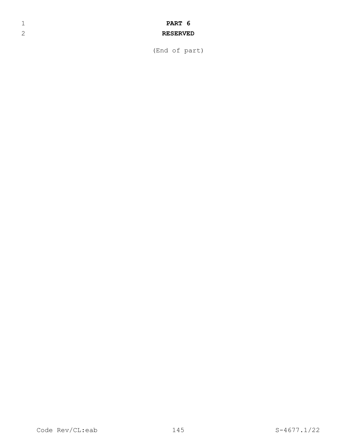## 1 **PART 6**

## 2 **RESERVED**

(End of part)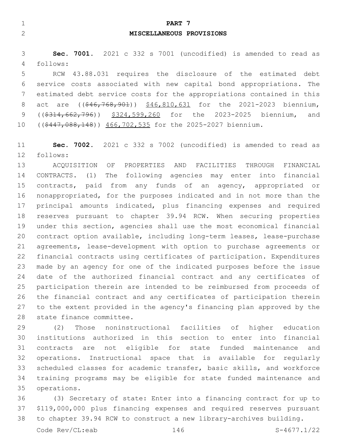| ⊣<br><b>PART</b>                               | -7 |
|------------------------------------------------|----|
| $\mathcal{D}$<br>MISCELLANEOUS PROVISIONS<br>↩ |    |
|                                                |    |

 **Sec. 7001.** 2021 c 332 s 7001 (uncodified) is amended to read as follows:4

 RCW 43.88.031 requires the disclosure of the estimated debt service costs associated with new capital bond appropriations. The estimated debt service costs for the appropriations contained in this 8 act are ((\$46,768,901)) \$46,810,631 for the 2021-2023 biennium, 9 ((\$314,662,796)) \$324,599,260 for the 2023-2025 biennium, and 10 ((\$447,088,148)) 466,702,535 for the 2025-2027 biennium.

 **Sec. 7002.** 2021 c 332 s 7002 (uncodified) is amended to read as 12 follows:

 ACQUISITION OF PROPERTIES AND FACILITIES THROUGH FINANCIAL CONTRACTS. (1) The following agencies may enter into financial contracts, paid from any funds of an agency, appropriated or nonappropriated, for the purposes indicated and in not more than the principal amounts indicated, plus financing expenses and required reserves pursuant to chapter 39.94 RCW. When securing properties under this section, agencies shall use the most economical financial contract option available, including long-term leases, lease-purchase agreements, lease-development with option to purchase agreements or financial contracts using certificates of participation. Expenditures made by an agency for one of the indicated purposes before the issue date of the authorized financial contract and any certificates of participation therein are intended to be reimbursed from proceeds of the financial contract and any certificates of participation therein to the extent provided in the agency's financing plan approved by the 28 state finance committee.

 (2) Those noninstructional facilities of higher education institutions authorized in this section to enter into financial contracts are not eligible for state funded maintenance and operations. Instructional space that is available for regularly scheduled classes for academic transfer, basic skills, and workforce training programs may be eligible for state funded maintenance and 35 operations.

 (3) Secretary of state: Enter into a financing contract for up to \$119,000,000 plus financing expenses and required reserves pursuant to chapter 39.94 RCW to construct a new library-archives building.

Code Rev/CL:eab 146 S-4677.1/22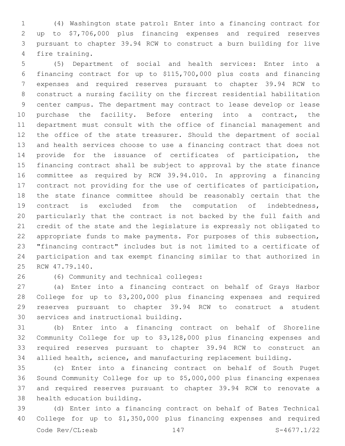(4) Washington state patrol: Enter into a financing contract for up to \$7,706,000 plus financing expenses and required reserves pursuant to chapter 39.94 RCW to construct a burn building for live 4 fire training.

 (5) Department of social and health services: Enter into a financing contract for up to \$115,700,000 plus costs and financing expenses and required reserves pursuant to chapter 39.94 RCW to construct a nursing facility on the fircrest residential habilitation center campus. The department may contract to lease develop or lease purchase the facility. Before entering into a contract, the department must consult with the office of financial management and the office of the state treasurer. Should the department of social and health services choose to use a financing contract that does not provide for the issuance of certificates of participation, the financing contract shall be subject to approval by the state finance committee as required by RCW 39.94.010. In approving a financing contract not providing for the use of certificates of participation, the state finance committee should be reasonably certain that the contract is excluded from the computation of indebtedness, particularly that the contract is not backed by the full faith and credit of the state and the legislature is expressly not obligated to appropriate funds to make payments. For purposes of this subsection, "financing contract" includes but is not limited to a certificate of participation and tax exempt financing similar to that authorized in 25 RCW 47.79.140.

(6) Community and technical colleges:26

 (a) Enter into a financing contract on behalf of Grays Harbor College for up to \$3,200,000 plus financing expenses and required reserves pursuant to chapter 39.94 RCW to construct a student 30 services and instructional building.

 (b) Enter into a financing contract on behalf of Shoreline Community College for up to \$3,128,000 plus financing expenses and required reserves pursuant to chapter 39.94 RCW to construct an allied health, science, and manufacturing replacement building.

 (c) Enter into a financing contract on behalf of South Puget Sound Community College for up to \$5,000,000 plus financing expenses and required reserves pursuant to chapter 39.94 RCW to renovate a 38 health education building.

 (d) Enter into a financing contract on behalf of Bates Technical College for up to \$1,350,000 plus financing expenses and required Code Rev/CL:eab 147 S-4677.1/22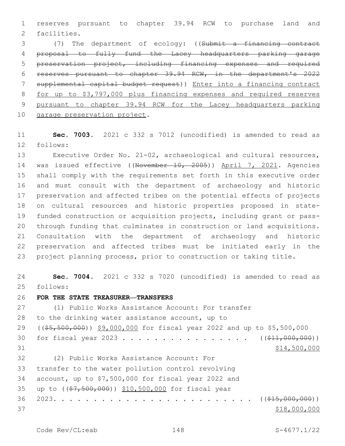reserves pursuant to chapter 39.94 RCW to purchase land and 2 facilities.

 (7) The department of ecology: ((Submit a financing contract proposal to fully fund the Lacey headquarters parking garage preservation project, including financing expenses and required reserves pursuant to chapter 39.94 RCW, in the department's 2022 supplemental capital budget request)) Enter into a financing contract for up to \$3,797,000 plus financing expenses and required reserves pursuant to chapter 39.94 RCW for the Lacey headquarters parking 10 garage preservation project.

 **Sec. 7003.** 2021 c 332 s 7012 (uncodified) is amended to read as 12 follows:

 Executive Order No. 21-02, archaeological and cultural resources, 14 was issued effective ((November 10, 2005)) April 7, 2021. Agencies shall comply with the requirements set forth in this executive order and must consult with the department of archaeology and historic preservation and affected tribes on the potential effects of projects on cultural resources and historic properties proposed in state- funded construction or acquisition projects, including grant or pass- through funding that culminates in construction or land acquisitions. Consultation with the department of archaeology and historic preservation and affected tribes must be initiated early in the project planning process, prior to construction or taking title.

 **Sec. 7004.** 2021 c 332 s 7020 (uncodified) is amended to read as 25 follows:

**FOR THE STATE TREASURER—TRANSFERS**

 (1) Public Works Assistance Account: For transfer 28 to the drinking water assistance account, up to ((\$5,500,000)) \$9,000,000 for fiscal year 2022 and up to \$5,500,000 30 for fiscal year 2023 . . . . . . . . . . . . . . . ((\$11,000,000)) \$14,500,000 (2) Public Works Assistance Account: For32 33 transfer to the water pollution control revolving account, up to \$7,500,000 for fiscal year 2022 and 35 up to ((\$7,500,000)) \$10,500,000 for fiscal year 2023. . . . . . . . . . . . . . . . . . . . . . . . . ((\$15,000,000)) 37 \$18,000,000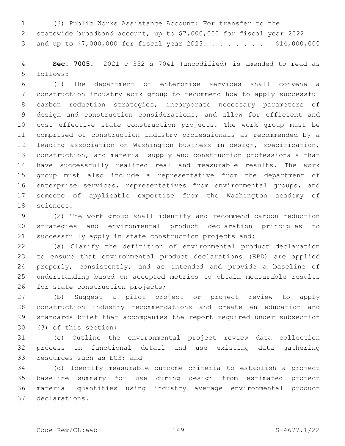(3) Public Works Assistance Account: For transfer to the statewide broadband account, up to \$7,000,000 for fiscal year 2022 3 and up to \$7,000,000 for fiscal year 2023. . . . . . . . \$14,000,000

 **Sec. 7005.** 2021 c 332 s 7041 (uncodified) is amended to read as follows:5

 (1) The department of enterprise services shall convene a construction industry work group to recommend how to apply successful carbon reduction strategies, incorporate necessary parameters of design and construction considerations, and allow for efficient and cost effective state construction projects. The work group must be comprised of construction industry professionals as recommended by a leading association on Washington business in design, specification, construction, and material supply and construction professionals that have successfully realized real and measurable results. The work group must also include a representative from the department of enterprise services, representatives from environmental groups, and someone of applicable expertise from the Washington academy of 18 sciences.

 (2) The work group shall identify and recommend carbon reduction strategies and environmental product declaration principles to successfully apply in state construction projects and:

 (a) Clarify the definition of environmental product declaration to ensure that environmental product declarations (EPD) are applied 24 properly, consistently, and as intended and provide a baseline of understanding based on accepted metrics to obtain measurable results 26 for state construction projects;

 (b) Suggest a pilot project or project review to apply construction industry recommendations and create an education and standards brief that accompanies the report required under subsection 30 (3) of this section;

 (c) Outline the environmental project review data collection process in functional detail and use existing data gathering 33 resources such as EC3; and

 (d) Identify measurable outcome criteria to establish a project baseline summary for use during design from estimated project material quantities using industry average environmental product declarations.37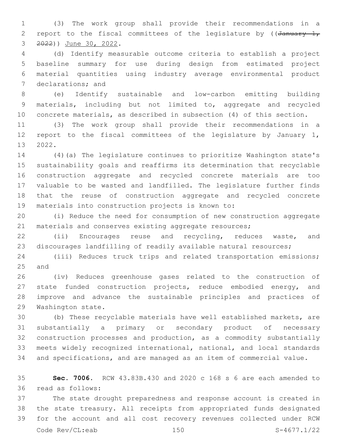(3) The work group shall provide their recommendations in a 2 report to the fiscal committees of the legislature by ( $\sqrt{4}$ anuary 1, 3 ) June 30, 2022.

 (d) Identify measurable outcome criteria to establish a project baseline summary for use during design from estimated project material quantities using industry average environmental product 7 declarations; and

 (e) Identify sustainable and low-carbon emitting building materials, including but not limited to, aggregate and recycled concrete materials, as described in subsection (4) of this section.

 (3) The work group shall provide their recommendations in a report to the fiscal committees of the legislature by January 1, 13 2022.

 (4)(a) The legislature continues to prioritize Washington state's sustainability goals and reaffirms its determination that recyclable construction aggregate and recycled concrete materials are too valuable to be wasted and landfilled. The legislature further finds that the reuse of construction aggregate and recycled concrete 19 materials into construction projects is known to:

 (i) Reduce the need for consumption of new construction aggregate 21 materials and conserves existing aggregate resources;

 (ii) Encourages reuse and recycling, reduces waste, and discourages landfilling of readily available natural resources;

 (iii) Reduces truck trips and related transportation emissions; 25 and

 (iv) Reduces greenhouse gases related to the construction of state funded construction projects, reduce embodied energy, and improve and advance the sustainable principles and practices of 29 Washington state.

 (b) These recyclable materials have well established markets, are substantially a primary or secondary product of necessary construction processes and production, as a commodity substantially meets widely recognized international, national, and local standards and specifications, and are managed as an item of commercial value.

 **Sec. 7006.** RCW 43.83B.430 and 2020 c 168 s 6 are each amended to read as follows:36

 The state drought preparedness and response account is created in the state treasury. All receipts from appropriated funds designated for the account and all cost recovery revenues collected under RCW Code Rev/CL:eab 150 S-4677.1/22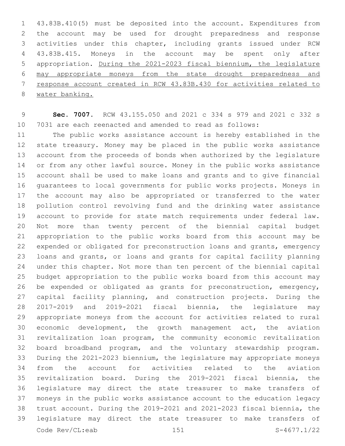43.83B.410(5) must be deposited into the account. Expenditures from the account may be used for drought preparedness and response activities under this chapter, including grants issued under RCW 43.83B.415. Moneys in the account may be spent only after appropriation. During the 2021-2023 fiscal biennium, the legislature may appropriate moneys from the state drought preparedness and response account created in RCW 43.83B.430 for activities related to water banking.

 **Sec. 7007.** RCW 43.155.050 and 2021 c 334 s 979 and 2021 c 332 s 7031 are each reenacted and amended to read as follows:

 The public works assistance account is hereby established in the state treasury. Money may be placed in the public works assistance account from the proceeds of bonds when authorized by the legislature or from any other lawful source. Money in the public works assistance account shall be used to make loans and grants and to give financial guarantees to local governments for public works projects. Moneys in the account may also be appropriated or transferred to the water pollution control revolving fund and the drinking water assistance account to provide for state match requirements under federal law. Not more than twenty percent of the biennial capital budget appropriation to the public works board from this account may be expended or obligated for preconstruction loans and grants, emergency loans and grants, or loans and grants for capital facility planning under this chapter. Not more than ten percent of the biennial capital budget appropriation to the public works board from this account may be expended or obligated as grants for preconstruction, emergency, capital facility planning, and construction projects. During the 2017-2019 and 2019-2021 fiscal biennia, the legislature may appropriate moneys from the account for activities related to rural economic development, the growth management act, the aviation revitalization loan program, the community economic revitalization board broadband program, and the voluntary stewardship program. During the 2021-2023 biennium, the legislature may appropriate moneys from the account for activities related to the aviation revitalization board. During the 2019-2021 fiscal biennia, the legislature may direct the state treasurer to make transfers of moneys in the public works assistance account to the education legacy trust account. During the 2019-2021 and 2021-2023 fiscal biennia, the legislature may direct the state treasurer to make transfers of Code Rev/CL:eab 151 151 S-4677.1/22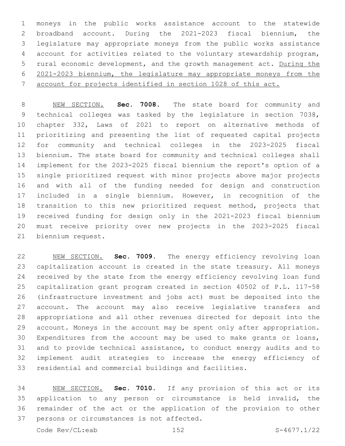moneys in the public works assistance account to the statewide broadband account. During the 2021-2023 fiscal biennium, the legislature may appropriate moneys from the public works assistance account for activities related to the voluntary stewardship program, rural economic development, and the growth management act. During the 2021-2023 biennium, the legislature may appropriate moneys from the account for projects identified in section 1028 of this act.

 NEW SECTION. **Sec. 7008.** The state board for community and technical colleges was tasked by the legislature in section 7038, chapter 332, Laws of 2021 to report on alternative methods of prioritizing and presenting the list of requested capital projects for community and technical colleges in the 2023-2025 fiscal biennium. The state board for community and technical colleges shall implement for the 2023-2025 fiscal biennium the report's option of a single prioritized request with minor projects above major projects and with all of the funding needed for design and construction included in a single biennium. However, in recognition of the transition to this new prioritized request method, projects that received funding for design only in the 2021-2023 fiscal biennium must receive priority over new projects in the 2023-2025 fiscal biennium request.

 NEW SECTION. **Sec. 7009.** The energy efficiency revolving loan capitalization account is created in the state treasury. All moneys received by the state from the energy efficiency revolving loan fund capitalization grant program created in section 40502 of P.L. 117-58 (infrastructure investment and jobs act) must be deposited into the account. The account may also receive legislative transfers and appropriations and all other revenues directed for deposit into the account. Moneys in the account may be spent only after appropriation. Expenditures from the account may be used to make grants or loans, and to provide technical assistance, to conduct energy audits and to implement audit strategies to increase the energy efficiency of residential and commercial buildings and facilities.

 NEW SECTION. **Sec. 7010.** If any provision of this act or its application to any person or circumstance is held invalid, the remainder of the act or the application of the provision to other persons or circumstances is not affected.

Code Rev/CL:eab 152 S-4677.1/22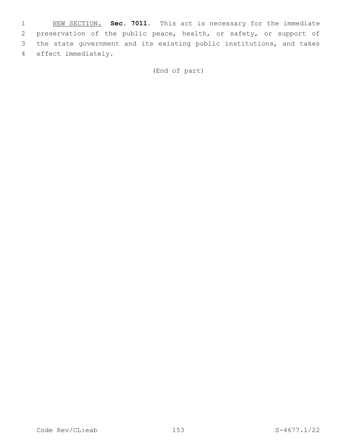NEW SECTION. **Sec. 7011.** This act is necessary for the immediate preservation of the public peace, health, or safety, or support of the state government and its existing public institutions, and takes effect immediately.

(End of part)